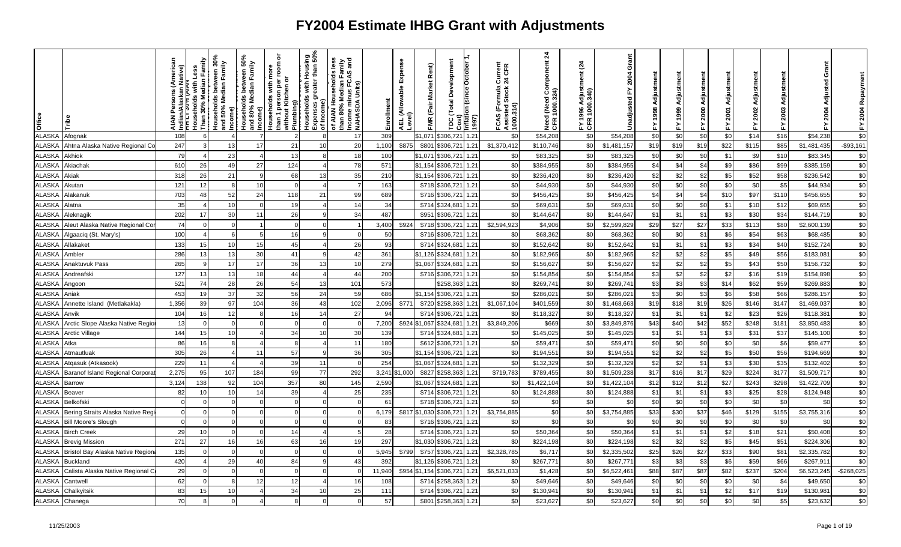| Office        |                                  | lative)<br>ndian/<br><del>The Li</del><br><b>NAIA</b> | Households with Less<br>Than 30% Median Family |     | Income)<br>Households between 50%<br>and 80% Median Family<br>Income) | ৯<br>room<br>ē<br>than 1 person per i<br>without Kitchen or<br>Households with | Mrn.⊾<br>∍ Plumbing)<br>Households with Housing<br>Louseholds with Housing<br>Louses greater than 50% | is less<br>Tamily<br>Sand<br>of AIAN Households le<br>than 80% Median Fam<br>Income minus FCAS a<br>Income minus FC<br>NAHASDA Units) | Enrollment | Expense<br>AEL (Allowable I<br>Level) | Rent)<br>FMR (Fair Market | Development<br>Cost)<br>mflation (since October<br>Total<br>ă | (1997) | ormula Current<br>I Stock 24 CFR<br>FCAS (Formula (<br>Assisted Stock 2<br>1000.314) | $\mathbf{z}$<br>Need (Need Component<br>CFR 1000.324) | <u>રૂ</u><br>qiust<br>340)<br>1000<br>FY 1996<br>CFR 100 | Grant<br>2004<br>놊<br>Unadjusted | Adjustment<br>1998<br>놊 |      | Adju<br>2000<br>≿. | Adiu<br>2001<br>십 | Adjustment<br>2002<br>置 | Adju<br>2003<br>놊 | Grant<br>공<br>2004 | 2004 Repaym<br>십 |
|---------------|----------------------------------|-------------------------------------------------------|------------------------------------------------|-----|-----------------------------------------------------------------------|--------------------------------------------------------------------------------|-------------------------------------------------------------------------------------------------------|---------------------------------------------------------------------------------------------------------------------------------------|------------|---------------------------------------|---------------------------|---------------------------------------------------------------|--------|--------------------------------------------------------------------------------------|-------------------------------------------------------|----------------------------------------------------------|----------------------------------|-------------------------|------|--------------------|-------------------|-------------------------|-------------------|--------------------|------------------|
| <b>ALASKA</b> | Afognak                          | 108                                                   |                                                |     |                                                                       |                                                                                |                                                                                                       | 17                                                                                                                                    | 309        |                                       | \$1,071                   | \$306,72                                                      | 1.21   | \$0                                                                                  | \$54,208                                              | \$0                                                      | \$54,208                         | \$0                     | \$0  | \$0                | \$0               | \$14                    | \$16              | \$54,238           | \$0              |
| <b>ALASKA</b> | Ahtna Alaska Native Regional Co  | 247                                                   |                                                | 13  | 17                                                                    | 21                                                                             | 10                                                                                                    | 20                                                                                                                                    | 1,100      | \$875                                 | \$801                     | \$306,721                                                     | 1.21   | \$1,370,412                                                                          | \$110,746                                             | \$0                                                      | \$1,481,157                      | \$19                    | \$19 | \$19               | \$22              | \$115                   | \$85              | \$1,481,435        | $-$93,161$       |
| <b>ALASKA</b> | Akhiok                           | 79                                                    | $\overline{4}$                                 | 23  |                                                                       | 13                                                                             |                                                                                                       | 18                                                                                                                                    | 100        |                                       | \$1,071                   | \$306,721                                                     | 1.21   | \$0                                                                                  | \$83,325                                              | \$0                                                      | \$83,325                         | \$0                     | \$0  | \$0                | \$1               | \$9                     | \$10              | \$83,34            | \$0              |
| ALASKA        | Akiachak                         | 610                                                   | 26                                             | 49  | 27                                                                    | 124                                                                            |                                                                                                       | 78                                                                                                                                    | 571        |                                       | \$1,154                   | \$306,721                                                     | 1.21   | \$0                                                                                  | \$384,955                                             | \$0                                                      | \$384,955                        | \$4                     | \$4  | \$4                | \$9               | \$86                    | \$99              | \$385,159          | \$0              |
| <b>ALASKA</b> | Akiak                            | 318                                                   | 26                                             | 21  | q                                                                     | 68                                                                             | 13                                                                                                    | 35                                                                                                                                    | 210        |                                       | \$1,154                   | \$306,721                                                     | 1.21   | \$0                                                                                  | \$236,420                                             | \$0                                                      | \$236,420                        | \$2                     | \$2  | \$2                | \$5               | \$52                    | \$58              | \$236,542          | \$0              |
| <b>ALASKA</b> | Akutan                           | 121                                                   | 12                                             |     | 10                                                                    |                                                                                |                                                                                                       |                                                                                                                                       | 163        |                                       | \$718                     | \$306,721                                                     | 1.21   | \$0                                                                                  | \$44,930                                              | \$0                                                      | \$44,930                         | \$0                     | \$0  | \$0                | \$0               | \$0                     | \$5               | \$44,934           | \$0              |
| <b>ALASKA</b> | Alakanuk                         | 703                                                   | 48                                             | 52  | 24                                                                    | 118                                                                            | 21                                                                                                    | 99                                                                                                                                    | 689        |                                       | \$716                     | \$306,721                                                     | 1.21   | \$0                                                                                  | \$456,425                                             | \$0                                                      | \$456,425                        | \$4                     | \$4  | \$4                | \$10              | \$97                    | \$110             | \$456,655          | \$0              |
| <b>ALASKA</b> | Alatna                           | 35                                                    | $\overline{4}$                                 | 10  | $\Omega$                                                              | 19                                                                             |                                                                                                       | 14                                                                                                                                    | 34         |                                       | \$714                     | \$324,68                                                      | 1.21   | \$0                                                                                  | \$69,63                                               | \$0                                                      | \$69,63'                         | \$0                     | \$0  | \$0                | \$1               | \$1C                    | \$12              | \$69,65            | \$0              |
| <b>ALASKA</b> | Aleknagik                        | 202                                                   | 17                                             | 30  | 11                                                                    | 26                                                                             |                                                                                                       | 34                                                                                                                                    | 487        |                                       | \$951                     | \$306,721                                                     | 1.21   | \$0                                                                                  | \$144,647                                             | \$0                                                      | \$144,647                        | \$1                     | \$1  | \$1                | \$3               | \$30                    | \$34              | \$144,719          | \$0              |
| <b>ALASKA</b> | Aleut Alaska Native Regional Co  | 74                                                    |                                                |     |                                                                       |                                                                                |                                                                                                       |                                                                                                                                       | 3,400      | \$924                                 | \$718                     | \$306,721                                                     | 1.21   | \$2,594,923                                                                          | \$4,906                                               | \$0                                                      | \$2,599,829                      | \$29                    | \$27 | \$27               | \$33              | \$113                   | \$80              | \$2,600,139        | \$0              |
| <b>ALASKA</b> | Algaaciq (St. Mary's)            | 100                                                   |                                                |     | 5                                                                     | 16                                                                             |                                                                                                       |                                                                                                                                       | 50         |                                       | \$716                     | \$306,721                                                     | 1.21   | \$0                                                                                  | \$68,362                                              | \$0                                                      | \$68,362                         | \$0                     | \$0  | \$1                | \$6               | \$54                    | \$63              | \$68,485           | \$0              |
| <b>ALASKA</b> | Allakaket                        | 133                                                   | 15                                             | 10  | 15                                                                    | 45                                                                             |                                                                                                       | 26                                                                                                                                    | 93         |                                       | \$714                     | \$324,68                                                      | 1.21   | \$0                                                                                  | \$152,642                                             | \$0                                                      | \$152,642                        | \$1                     | \$1  | \$1                | \$3               | \$34                    | \$40              | \$152,724          | \$0              |
| <b>ALASKA</b> | Ambler                           | 286                                                   | 13                                             | 13  | 30                                                                    | 41                                                                             |                                                                                                       | 42                                                                                                                                    | 361        |                                       | \$1,126                   | \$324,68                                                      | 1.21   | \$0                                                                                  | \$182,965                                             | \$0                                                      | \$182,965                        | \$2                     | \$2  | \$2                | \$5               | \$49                    | \$56              | \$183,08           | $$0$             |
| <b>ALASKA</b> | Anaktuvuk Pass                   | 265                                                   | -9                                             | 17  | 17                                                                    | 36                                                                             | 13                                                                                                    | 10                                                                                                                                    | 279        |                                       | \$1,067                   | \$324,68                                                      | 1.21   | \$0                                                                                  | \$156,627                                             | \$0                                                      | \$156,627                        | \$2                     | \$2  | \$2                | \$5               | \$43                    | \$50              | \$156,732          | $\sqrt{6}$       |
| <b>ALASKA</b> | Andreafski                       | 127                                                   | 13                                             | 13  | 18                                                                    | 44                                                                             |                                                                                                       | 44                                                                                                                                    | 200        |                                       | \$716                     | \$306,721                                                     | 1.21   | \$0                                                                                  | \$154,854                                             | \$0                                                      | \$154,854                        | \$3                     | \$2  | \$2                | \$2               | \$16                    | \$19              | \$154,898          | \$0              |
| <b>ALASKA</b> | Angoon                           | 521                                                   | 74                                             | 28  | 26                                                                    | 54                                                                             | 13                                                                                                    | 101                                                                                                                                   | 573        |                                       |                           | \$258,36                                                      | 1.21   | \$0                                                                                  | \$269,74                                              | \$0                                                      | \$269,74                         | \$3                     | \$3  | \$3                | \$14              | \$62                    | \$59              | \$269,883          | \$0              |
| <b>ALASKA</b> | Aniak                            | 453                                                   | 19                                             | 37  | 32                                                                    | 56                                                                             | 24                                                                                                    | 59                                                                                                                                    | 686        |                                       | \$1.154                   | \$306,721                                                     | 1.21   | \$0                                                                                  | \$286,021                                             | \$0                                                      | \$286,021                        | \$3                     | \$0  | \$3                | \$6               | \$58                    | \$66              | \$286,157          | \$0              |
| <b>ALASKA</b> | Annette Island (Metlakakla)      | 1,356                                                 | 39                                             | 97  | 104                                                                   | 36                                                                             | 43                                                                                                    | 102                                                                                                                                   | 2,096      | \$771                                 | \$720                     | \$258,363                                                     | 1.21   | \$1,067,104                                                                          | \$401,559                                             | \$0                                                      | \$1,468,663                      | \$19                    | \$18 | \$19               | \$26              | \$146                   | \$147             | \$1,469,037        | \$0              |
| <b>ALASKA</b> | Anvik                            | 104                                                   | 16                                             | 12  | $\mathsf{R}$                                                          | 16                                                                             | 14                                                                                                    | 27                                                                                                                                    | 94         |                                       | \$714                     | \$306,721                                                     | 1.21   | \$0                                                                                  | \$118,327                                             | \$0                                                      | \$118,327                        | \$1                     | \$1  | \$1                | \$2               | \$23                    | \$26              | \$118,38           | $\sqrt{6}$       |
| <b>ALASKA</b> | Arctic Slope Alaska Native Regio | 13                                                    | $\Omega$                                       |     |                                                                       |                                                                                |                                                                                                       |                                                                                                                                       | 7,200      | \$924                                 | \$1,067                   | \$324,681                                                     | 1.21   | \$3,849,206                                                                          | \$669                                                 | \$0                                                      | \$3,849,876                      | \$43                    | \$40 | \$42               | \$52              | \$248                   | \$181             | \$3,850,483        | \$0              |
| <b>ALASKA</b> | Arctic Village                   | 144                                                   | 15                                             | 10  |                                                                       | 34                                                                             | 10                                                                                                    | 30                                                                                                                                    | 139        |                                       | \$714                     | \$324,68                                                      | 1.21   | \$0                                                                                  | \$145,025                                             | \$0                                                      | \$145,025                        | \$1                     | \$1  | \$1                | \$3               | \$31                    | \$37              | \$145,100          | \$0              |
| <b>ALASKA</b> | Atka                             | 86                                                    | 16                                             |     |                                                                       |                                                                                |                                                                                                       | 11                                                                                                                                    | 180        |                                       | \$612                     | \$306,721                                                     | 1.21   | \$0                                                                                  | \$59,471                                              | \$0                                                      | \$59,471                         | \$0                     | \$0  | \$0                | \$0               | \$0                     | \$6               | \$59,477           | \$0              |
| ALASKA        | Atmautluak                       | 305                                                   | 26                                             |     | 11                                                                    | 57                                                                             |                                                                                                       | 36                                                                                                                                    | 305        |                                       | \$1,154                   | \$306,721                                                     | 1.21   | \$0                                                                                  | \$194,551                                             | \$0                                                      | \$194,55'                        | \$2                     | \$2  | \$2                | \$5               | \$50                    | \$56              | \$194,669          | $$0$             |
| <b>ALASKA</b> | Atqasuk (Atkasook)               | 229                                                   | 11                                             |     |                                                                       | 39                                                                             | 11                                                                                                    | $\Omega$                                                                                                                              | 254        |                                       | \$1.067                   | \$324,68                                                      | 1.21   | \$0                                                                                  | \$132,329                                             | \$0                                                      | \$132,329                        | \$2                     | \$2  | \$1                | \$3               | \$30                    | \$35              | \$132,402          | $\sqrt{6}$       |
| <b>ALASKA</b> | Baranof Island Regional Corpora  | 2,275                                                 | 95                                             | 107 | 184                                                                   | 99                                                                             | 77                                                                                                    | 292                                                                                                                                   |            | 3,241 \$1,000                         | \$827                     | \$258,363                                                     | 1.21   | \$719,783                                                                            | \$789,455                                             | \$0                                                      | \$1,509,238                      | \$17                    | \$16 | \$17               | \$29              | \$224                   | \$177             | \$1,509,717        | $$0$             |
| <b>ALASKA</b> | <b>Barrow</b>                    | 3,124                                                 | 138                                            | 92  | 104                                                                   | 357                                                                            | 80                                                                                                    | 145                                                                                                                                   | 2,590      |                                       | \$1,067                   | \$324,681                                                     | 1.21   | \$0                                                                                  | \$1,422,104                                           | \$0                                                      | \$1,422,104                      | \$12                    | \$12 | \$12               | \$27              | \$243                   | \$298             | \$1,422,709        | \$0              |
| <b>ALASKA</b> | <b>Beaver</b>                    | 82                                                    | 10                                             | 10  | 14                                                                    | 39                                                                             |                                                                                                       | 25                                                                                                                                    | 235        |                                       | \$714                     | \$306,721                                                     | 1.21   | \$0                                                                                  | \$124,888                                             | \$0                                                      | \$124,888                        | \$1                     | \$1  | \$1                | \$3               | \$25                    | \$28              | \$124,948          | \$0              |
| <b>ALASKA</b> | Belkofski                        |                                                       | $\Omega$                                       |     |                                                                       |                                                                                |                                                                                                       |                                                                                                                                       | 61         |                                       | \$718                     | \$306,721                                                     | 1.21   | \$0                                                                                  | \$0                                                   | \$0                                                      | \$0                              | \$0                     | \$0  | \$0                | \$0               | \$C                     | \$0               | \$0                | $\sqrt{6}$       |
| <b>ALASKA</b> | Bering Straits Alaska Native Reg |                                                       | $\Omega$                                       |     |                                                                       |                                                                                |                                                                                                       |                                                                                                                                       | 6,179      | \$817                                 | \$1,030                   | \$306,721                                                     | 1.21   | \$3,754,885                                                                          | \$0                                                   | \$0                                                      | \$3,754,885                      | \$33                    | \$30 | \$37               | \$46              | \$129                   | \$155             | \$3,755,316        | $$0$             |
| <b>ALASKA</b> | <b>Bill Moore's Slough</b>       |                                                       |                                                |     |                                                                       |                                                                                |                                                                                                       |                                                                                                                                       | 83         |                                       | \$716                     | \$306,721                                                     | 1.21   | \$0                                                                                  | \$0                                                   | \$0                                                      | \$0                              | \$0                     | \$0  | \$0                | \$0               | \$0                     | \$0               | \$0                | \$0              |
| <b>ALASKA</b> | <b>Birch Creek</b>               | 29                                                    | 10                                             |     | $\Omega$                                                              | 14                                                                             |                                                                                                       |                                                                                                                                       | 28         |                                       | \$714                     | \$306,721                                                     | 1.21   | \$0                                                                                  | \$50,364                                              | \$0                                                      | \$50,364                         | \$1                     | \$1  | \$1                | \$2               | \$18                    | \$21              | \$50,408           | \$0              |
| ALASKA        | Brevig Mission                   | 271                                                   | 27                                             | 16  | 16                                                                    | 63                                                                             | 16                                                                                                    | 19                                                                                                                                    | 297        |                                       | \$1,030                   | \$306,721                                                     | 1.21   | \$0                                                                                  | \$224,198                                             | \$0                                                      | \$224,198                        | \$2                     | \$2  | \$2                | \$5               | \$45                    | \$51              | \$224,306          | \$0              |
| <b>ALASKA</b> | Bristol Bay Alaska Native Regior | 135                                                   | $\Omega$                                       |     | $\Omega$                                                              | $\Omega$                                                                       |                                                                                                       |                                                                                                                                       | 5,945      | \$799                                 | \$757                     | \$306,721                                                     | 1.21   | \$2,328,785                                                                          | \$6,71                                                | \$0                                                      | \$2,335,502                      | \$25                    | \$26 | \$27               | \$33              | \$90                    | \$81              | \$2,335,782        | \$0              |
| <b>ALASKA</b> | <b>Buckland</b>                  | 420                                                   |                                                | 29  | 40                                                                    | 84                                                                             |                                                                                                       | 43                                                                                                                                    | 392        |                                       | \$1,126                   | \$306,721                                                     | 1.21   | \$0                                                                                  | \$267,771                                             | \$0                                                      | \$267,77'                        | \$3                     | -\$3 | \$3                | \$6               | \$59                    | \$66              | \$267,91           | \$0              |
| <b>ALASKA</b> | Calista Alaska Native Regional C | 29                                                    |                                                |     |                                                                       |                                                                                |                                                                                                       |                                                                                                                                       | 11,940     | \$954                                 | \$1,154                   | \$306,721                                                     | 1.21   | \$6,521,033                                                                          | \$1,428                                               | \$0                                                      | \$6,522,461                      | \$88                    | \$87 | \$87               | \$82              | \$237                   | \$204             | \$6,523,245        | $-$268,025$      |
| <b>ALASKA</b> | Cantwell                         | 62                                                    | $\Omega$                                       |     | 12                                                                    | 12                                                                             |                                                                                                       | 16                                                                                                                                    | 108        |                                       | \$714                     | \$258.363                                                     | 1.21   | \$0                                                                                  | \$49,646                                              | \$0                                                      | \$49,646                         | \$0                     | \$0  | \$0                | \$0               | \$0                     | \$4               | \$49,650           | $\$0$            |
| ALASKA        | Chalkyitsik                      | 83                                                    | 15                                             | 10  |                                                                       | 34                                                                             | 10                                                                                                    | 25                                                                                                                                    | 111        |                                       | \$714                     | \$306,72                                                      | 1.21   | \$0                                                                                  | \$130,941                                             | \$0                                                      | \$130,941                        | \$1                     | \$1  | \$1                | \$2               | \$17                    | \$19              | \$130,981          | \$0              |
| <b>ALASKA</b> | Chanega                          | 70                                                    |                                                |     |                                                                       |                                                                                |                                                                                                       | $\Omega$                                                                                                                              | 57         |                                       | \$801                     | \$258,363                                                     | 1.21   | \$0                                                                                  | \$23,627                                              | \$0                                                      | \$23,627                         | \$0                     | \$0  | \$0                | \$0               | \$0                     | \$5               | \$23,632           | \$0              |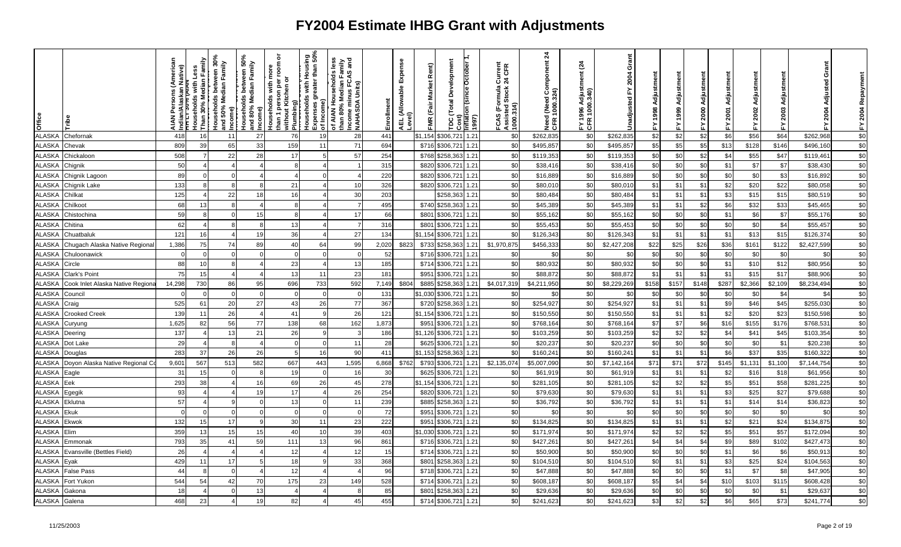| Office        |                                  | ns (Americ<br>lative)<br>ndian/<br>TTTT:<br><b>NAIA</b> | Households with Less<br>Than 30% Median Family | Households between 30%<br>and 50% Median Family<br>Income)<br>Households between 50%<br>Households between 50%<br>and 80% Median Family | Income)  | ō<br>room<br><b>Households with mo</b><br>than 1 person per ro<br>Without Kitchen or | Plumbing)<br>  Households with Housing<br>  Expenses greater than 50%<br>  of Income) | is less<br>Tamily<br>Sand<br>of AIAN Households le<br>than 80% Median Fami<br>Income minus FCAS a<br> NAHASDA Units) | Enrollment | Expense<br>AEL (Allowable I<br>Level) | Rent)<br>FMR (Fair Market | Development<br>TDC (Total Development<br>Cost)<br>Inflation (since October 1 | (1997) | FCAS (Formula Current<br>Assisted Stock 24 CFR<br>1000.314) | $\frac{4}{3}$<br>Need (Need Component<br>CFR 1000.324) | <u>રૂ</u><br>FY 1996 Adjusti<br>CFR 1000.340) | Grant<br>2004<br>놊<br>Unadjusted | Adjustment<br>1998<br>놊 |       | ã<br>Adjustm<br>2000<br>≿ੁ | Adjustment<br>2001<br>置 | FY 2002 Adjustment | Adju<br>2003<br>놊 | Grant<br>Adjusted<br>2004 | FY 2004 Repaym |
|---------------|----------------------------------|---------------------------------------------------------|------------------------------------------------|-----------------------------------------------------------------------------------------------------------------------------------------|----------|--------------------------------------------------------------------------------------|---------------------------------------------------------------------------------------|----------------------------------------------------------------------------------------------------------------------|------------|---------------------------------------|---------------------------|------------------------------------------------------------------------------|--------|-------------------------------------------------------------|--------------------------------------------------------|-----------------------------------------------|----------------------------------|-------------------------|-------|----------------------------|-------------------------|--------------------|-------------------|---------------------------|----------------|
| <b>ALASKA</b> | Chefornak                        | 418                                                     | 16                                             | 11                                                                                                                                      | 27       | 76                                                                                   | 19                                                                                    | 28                                                                                                                   | 441        |                                       | \$1,154                   | \$306,72                                                                     | 1.21   | \$0                                                         | \$262,835                                              | \$0                                           | \$262,835                        | \$2                     | \$2   | \$2                        | \$6                     | \$56               | \$64              | \$262,968                 | $\$0$          |
| <b>ALASKA</b> | Chevak                           | 809                                                     | 39                                             | 65                                                                                                                                      | 33       | 159                                                                                  | 11                                                                                    | 71                                                                                                                   | 694        |                                       | \$716                     | \$306,721                                                                    | 1.21   | \$0                                                         | \$495,857                                              | \$0                                           | \$495,857                        | \$5                     | \$5   | \$5                        | \$13                    | \$128              | \$146             | \$496,160                 | \$0            |
| <b>ALASKA</b> | Chickaloon                       | 508                                                     | $\overline{7}$                                 | 22                                                                                                                                      | 28       | 17                                                                                   |                                                                                       | 57                                                                                                                   | 254        |                                       | \$768                     | \$258,36                                                                     | 1.21   | \$0                                                         | \$119,353                                              | \$0                                           | \$119,353                        | \$0                     | \$0   | \$2                        | \$4                     | \$55               | \$47              | \$119,46'                 | $$0$           |
| <b>ALASKA</b> | Chignik                          | 50                                                      |                                                |                                                                                                                                         |          |                                                                                      |                                                                                       |                                                                                                                      | 315        |                                       | \$820                     | \$306,721                                                                    | 1.21   | \$0                                                         | \$38,416                                               | \$0                                           | \$38,416                         | \$0                     | \$0   | \$0                        | \$1                     | \$7                | \$7               | \$38,430                  | \$0            |
| <b>ALASKA</b> | Chignik Lagoon                   | 89                                                      |                                                |                                                                                                                                         |          |                                                                                      |                                                                                       |                                                                                                                      | <b>220</b> |                                       | \$820                     | \$306,721                                                                    | 1.21   | \$0                                                         | \$16,889                                               | \$0                                           | \$16,889                         | \$0                     | \$0   | \$0                        | \$0                     | \$0                | \$3               | \$16,892                  | \$0            |
| <b>ALASKA</b> | Chignik Lake                     | 133                                                     | 8                                              |                                                                                                                                         |          | 21                                                                                   |                                                                                       | 10                                                                                                                   | 326        |                                       | \$820                     | \$306,72                                                                     | 1.21   | \$0                                                         | \$80,010                                               | \$0                                           | \$80,010                         | \$1                     | \$1   | \$1                        | \$2                     | \$20               | \$22              | \$80,058                  | \$0            |
| <b>ALASKA</b> | Chilkat                          | 125                                                     |                                                | 22                                                                                                                                      | 18       | 16                                                                                   |                                                                                       | 30                                                                                                                   | 203        |                                       |                           | \$258,363                                                                    | 1.21   | \$0                                                         | \$80,484                                               | \$0                                           | \$80,484                         | \$1                     | \$1   | \$1                        | \$3                     | \$15               | \$15              | \$80,519                  | \$0            |
| <b>ALASKA</b> | Chilkoot                         | 68                                                      | 13                                             |                                                                                                                                         |          | 8                                                                                    |                                                                                       |                                                                                                                      | 495        |                                       | \$740                     | \$258,36                                                                     | 1.21   | \$0                                                         | \$45,389                                               | \$0                                           | \$45,389                         | \$1                     | \$1   | \$2                        | \$6                     | \$32               | \$33              | \$45,465                  | $\sqrt{6}$     |
| <b>ALASKA</b> | Chistochina                      | 59                                                      | 8                                              |                                                                                                                                         | 15       |                                                                                      |                                                                                       | 17                                                                                                                   | 66         |                                       | \$801                     | \$306,72                                                                     | 1.21   | \$0                                                         | \$55,162                                               | \$0                                           | \$55,162                         | \$0                     | \$0   | \$0                        | \$1                     | \$6                | \$7               | \$55,176                  | \$0            |
| <b>ALASKA</b> | Chitina                          | 62                                                      |                                                |                                                                                                                                         | R        | 13                                                                                   |                                                                                       |                                                                                                                      | 316        |                                       | \$801                     | \$306,721                                                                    | 1.21   | \$0                                                         | \$55,453                                               | \$0                                           | \$55,453                         | \$0                     | \$0   | \$0                        | \$0                     | \$0                | \$4               | \$55,457                  | \$0            |
| <b>ALASKA</b> | Chuatbaluk                       | 121                                                     | 16                                             |                                                                                                                                         | 19       | 36                                                                                   |                                                                                       | 27                                                                                                                   | 134        |                                       | \$1,154                   | \$306,721                                                                    | 1.21   | \$0                                                         | \$126,343                                              | \$0                                           | \$126,343                        | \$1                     | \$1   | \$1                        | \$1                     | \$13               | \$15              | \$126,374                 | \$0            |
| <b>ALASKA</b> | Chugach Alaska Native Regional   | 1,386                                                   | 75                                             | 74                                                                                                                                      | 89       | 40                                                                                   | 64                                                                                    | 99                                                                                                                   | 2,020      | \$823                                 | \$733                     | \$258,363                                                                    | 1.21   | \$1,970,875                                                 | \$456,333                                              | \$0                                           | \$2,427,208                      | \$22                    | \$25  | \$26                       | \$36                    | \$161              | \$122             | \$2,427,599               | \$0            |
| <b>ALASKA</b> | Chuloonawick                     | $\Omega$                                                | $\Omega$                                       |                                                                                                                                         | $\Omega$ | $\Omega$                                                                             |                                                                                       | $\Omega$                                                                                                             | 52         |                                       | \$716                     | \$306,721                                                                    | 1.21   | \$0                                                         | \$0                                                    | \$0                                           | \$0                              | \$0                     | \$0   | \$0                        | \$0                     | \$0                | \$0               | \$0                       | \$0            |
| <b>ALASKA</b> | Circle                           | 88                                                      | 10                                             |                                                                                                                                         |          | 23                                                                                   |                                                                                       | 13                                                                                                                   | 185        |                                       | \$714                     | \$306,721                                                                    | 1.21   | \$0                                                         | \$80,932                                               | \$0                                           | \$80,932                         | \$0                     | \$0   | \$0                        | \$1                     | \$1C               | \$12              | \$80,956                  | \$0            |
| <b>ALASKA</b> | <b>Clark's Point</b>             | 75                                                      | 15                                             |                                                                                                                                         |          | 13                                                                                   | 11                                                                                    | 23                                                                                                                   | 181        |                                       | \$951                     | \$306,721                                                                    | 1.21   | \$0                                                         | \$88,872                                               | \$0                                           | \$88,872                         | \$1                     | \$1   | \$1                        | \$1                     | \$15               | \$17              | \$88,906                  | \$0            |
| <b>ALASKA</b> | Cook Inlet Alaska Native Regiona | 14,298                                                  | 730                                            | 86                                                                                                                                      | 95       | 696                                                                                  | 733                                                                                   | 592                                                                                                                  | 7,149      | \$804                                 | \$885                     | \$258,363                                                                    | 1.21   | \$4,017,319                                                 | \$4,211,950                                            | \$0                                           | \$8,229,269                      | \$158                   | \$157 | \$148                      | \$287                   | \$2,366            | \$2,109           | \$8,234,494               | \$0            |
| <b>ALASKA</b> | Council                          |                                                         | $\Omega$                                       |                                                                                                                                         | ∩        |                                                                                      |                                                                                       |                                                                                                                      | 131        |                                       | \$1,030                   | \$306,721                                                                    | 1.21   | \$0                                                         | \$0                                                    | \$0                                           | \$0                              | \$0                     | \$0   | \$0                        | \$0                     | \$0                | \$4               | \$4                       | \$0            |
| <b>ALASKA</b> | Craig                            | 525                                                     | 61                                             | 20                                                                                                                                      | 27       | 43                                                                                   | 26                                                                                    | 77                                                                                                                   | 367        |                                       | \$720                     | \$258,363                                                                    | 1.21   | \$0                                                         | \$254,927                                              | \$0                                           | \$254,927                        | \$1                     | \$1   | \$1                        | \$9                     | \$46               | \$45              | \$255,030                 | \$0            |
| <b>ALASKA</b> | <b>Crooked Creek</b>             | 139                                                     | 11                                             | 26                                                                                                                                      |          | 41                                                                                   |                                                                                       | 26                                                                                                                   | 121        |                                       | \$1,154                   | \$306,721                                                                    | 1.21   | \$0                                                         | \$150,550                                              | \$0                                           | \$150,550                        | \$1                     | \$1   | \$1                        | \$2                     | \$2C               | \$23              | \$150,598                 | $\sqrt{6}$     |
| <b>ALASKA</b> | Curyung                          | 1,625                                                   | 82                                             | 56                                                                                                                                      | 77       | 138                                                                                  | 68                                                                                    | 162                                                                                                                  | 1,873      |                                       | \$951                     | \$306,721                                                                    | 1.21   | \$0                                                         | \$768,164                                              | \$0                                           | \$768,164                        | \$7                     | \$7   | \$6                        | \$16                    | \$155              | \$176             | \$768,53'                 | \$0            |
| <b>ALASKA</b> | Deering                          | 137                                                     |                                                | 13                                                                                                                                      | 21       | 26                                                                                   |                                                                                       | 3                                                                                                                    | 186        |                                       | \$1,126                   | \$306,721                                                                    | 1.21   | \$0                                                         | \$103,259                                              | \$0                                           | \$103,259                        | \$2                     | \$2   | \$2                        | \$4                     | \$41               | \$45              | \$103,354                 | $$0$           |
| <b>ALASKA</b> | Dot Lake                         | 29                                                      | 4                                              | R                                                                                                                                       |          | $\Omega$                                                                             | $\Omega$                                                                              | 11                                                                                                                   | 28         |                                       | \$625                     | \$306,721                                                                    | 1.21   | \$0                                                         | \$20,237                                               | \$0                                           | \$20,237                         | \$0                     | \$0   | \$0                        | \$0                     | \$0                | \$1               | \$20,238                  | \$0            |
| <b>ALASKA</b> | Douglas                          | 283                                                     | 37                                             | 26                                                                                                                                      | 26       |                                                                                      | 16                                                                                    | 90                                                                                                                   | 411        |                                       | \$1,153                   | \$258,363                                                                    | 1.21   | \$0                                                         | \$160,24                                               | \$0                                           | \$160,24                         | \$1                     | \$1   | \$1                        | \$6                     | \$37               | \$35              | \$160,322                 | \$0            |
| <b>ALASKA</b> | Doyon Alaska Native Regional C   | 9,601                                                   | 567                                            | 513                                                                                                                                     | 582      | 667                                                                                  | 443                                                                                   | 1,595                                                                                                                | 6,868      | \$762                                 | \$793                     | \$306,72                                                                     | 1.21   | \$2,135,074                                                 | \$5,007,090                                            | \$0                                           | \$7,142,164                      | \$71                    | \$7'  | \$72                       | \$145                   | \$1,131            | \$1,100           | \$7,144,754               | \$0            |
| <b>ALASKA</b> | Eagle                            | 31                                                      | 15                                             |                                                                                                                                         |          | 19                                                                                   |                                                                                       | 16                                                                                                                   | 30         |                                       | \$625                     | \$306,721                                                                    | 1.21   | \$0                                                         | \$61,919                                               | \$0                                           | \$61,919                         | \$1                     | \$1   | \$1                        | \$2                     | \$16               | \$18              | \$61,956                  | \$0            |
| <b>ALASKA</b> | Eek                              | 293                                                     | 38                                             |                                                                                                                                         | 16       | 69                                                                                   | 26                                                                                    | 45                                                                                                                   | 278        |                                       | \$1,154                   | \$306,721                                                                    | 1.21   | \$0                                                         | \$281,105                                              | \$0                                           | \$281,105                        | \$2                     | \$2   | \$2                        | \$5                     | \$51               | \$58              | \$281,225                 | \$0            |
| ALASKA        | Egegik                           | 93                                                      |                                                |                                                                                                                                         | 19       | 17                                                                                   |                                                                                       | 26                                                                                                                   | 254        |                                       | \$820                     | \$306,721                                                                    | 1.21   | \$0                                                         | \$79,630                                               | \$0                                           | \$79,630                         | \$1                     | \$1   | \$1                        | \$3                     | \$25               | \$27              | \$79,688                  | \$0            |
| ALASKA        | Eklutna                          | 57                                                      |                                                |                                                                                                                                         | $\Omega$ | 13                                                                                   | $\Omega$                                                                              | 11                                                                                                                   | 239        |                                       | \$885                     | \$258,363                                                                    | 1.21   | \$0                                                         | \$36,792                                               | \$0                                           | \$36,792                         | \$1                     | \$1   | \$1                        | \$1                     | \$14               | \$14              | \$36,823                  | $$0$           |
| <b>ALASKA</b> | Ekuk                             |                                                         | $\Omega$                                       |                                                                                                                                         |          |                                                                                      |                                                                                       | $\Omega$                                                                                                             | 72         |                                       | \$951                     | \$306,721                                                                    | 1.21   | \$0                                                         | \$0                                                    | \$0                                           | \$0                              | \$0                     | \$0   | \$0                        | \$0                     | \$0                | \$0               | \$0                       | \$0            |
| <b>ALASKA</b> | Ekwok                            | 132                                                     | 15                                             | 17                                                                                                                                      |          | 30                                                                                   | 11                                                                                    | 23                                                                                                                   | 222        |                                       | \$951                     | \$306,721                                                                    | 1.21   | \$0                                                         | \$134,825                                              | \$0                                           | \$134,825                        | \$1                     | \$1   | \$1                        | \$2                     | \$21               | \$24              | \$134,875                 | \$0            |
| <b>ALASKA</b> | Elim                             | 359                                                     | 13                                             | 15                                                                                                                                      | 15       | 40                                                                                   | 10                                                                                    | 39                                                                                                                   | 403        |                                       | \$1,030                   | \$306,721                                                                    | 1.21   | \$0                                                         | \$171,974                                              | \$0                                           | \$171,974                        | \$2                     | \$2   | \$2                        | \$5                     | \$51               | \$57              | \$172,094                 | \$0            |
| <b>ALASKA</b> | Emmonak                          | 793                                                     | 35                                             | 41                                                                                                                                      | 59       | 111                                                                                  | 13                                                                                    | 96                                                                                                                   | 861        |                                       | \$716                     | \$306,721                                                                    | 1.21   | \$0                                                         | \$427,261                                              | \$0                                           | \$427,261                        | \$4                     | \$4   | \$4                        | \$9                     | \$89               | \$102             | \$427,473                 | \$0            |
| <b>ALASKA</b> | Evansville (Bettles Field)       | 26                                                      |                                                |                                                                                                                                         |          | 12                                                                                   |                                                                                       | 12                                                                                                                   | 15         |                                       | \$714                     | \$306,721                                                                    | 1.21   | \$0                                                         | \$50,900                                               | \$0                                           | \$50,900                         | \$0                     | \$0   | \$0                        | \$1                     | \$6                | \$6               | \$50,91                   | $\sqrt{6}$     |
| <b>ALASKA</b> | Eyak                             | 429                                                     | 11                                             | 17                                                                                                                                      |          | 18                                                                                   |                                                                                       | 33                                                                                                                   | 368        |                                       | \$801                     | \$258,363                                                                    | 1.21   | \$0                                                         | \$104,510                                              | \$0                                           | \$104,510                        | \$0                     | \$1   | \$1                        | \$3                     | \$25               | \$24              | \$104,563                 | $$0$           |
| ALASKA        | False Pass                       | 44                                                      |                                                |                                                                                                                                         |          | 12                                                                                   |                                                                                       |                                                                                                                      | 96         |                                       | \$718                     | \$306,721                                                                    | 1.21   | \$0                                                         | \$47,888                                               | \$0                                           | \$47,888                         | \$0                     | \$0   | \$0                        | \$1                     | \$7                | \$8               | \$47,905                  | $\sqrt{6}$     |
| <b>ALASKA</b> | Fort Yukon                       | 544                                                     | 54                                             | 42                                                                                                                                      | 70       | 175                                                                                  | 23                                                                                    | 149                                                                                                                  | 528        |                                       | \$714                     | \$306,721                                                                    | 1.21   | \$0                                                         | \$608,187                                              | \$0                                           | \$608,187                        | \$5                     | \$4   | \$4                        | \$10                    | \$103              | \$115             | \$608,428                 | $$0$           |
| <b>ALASKA</b> | Gakona                           | 18                                                      |                                                |                                                                                                                                         | 13       |                                                                                      |                                                                                       | 8                                                                                                                    | 85         |                                       | \$801                     | \$258,363                                                                    | 1.21   | \$0                                                         | \$29,636                                               | \$0                                           | \$29,636                         | \$0                     | \$0   | \$0                        | \$0                     | \$0                | \$1               | \$29,637                  | $$0$           |
| <b>ALASKA</b> | Galena                           | 468                                                     | 23                                             |                                                                                                                                         | 19       | 82                                                                                   |                                                                                       | 45                                                                                                                   | 455        |                                       | \$714                     | \$306,721                                                                    | 1.21   | \$0                                                         | \$241,623                                              | \$0                                           | \$241,62                         | \$                      | \$2   | \$2                        | \$6                     | \$65               | \$73              | \$241,774                 | \$0            |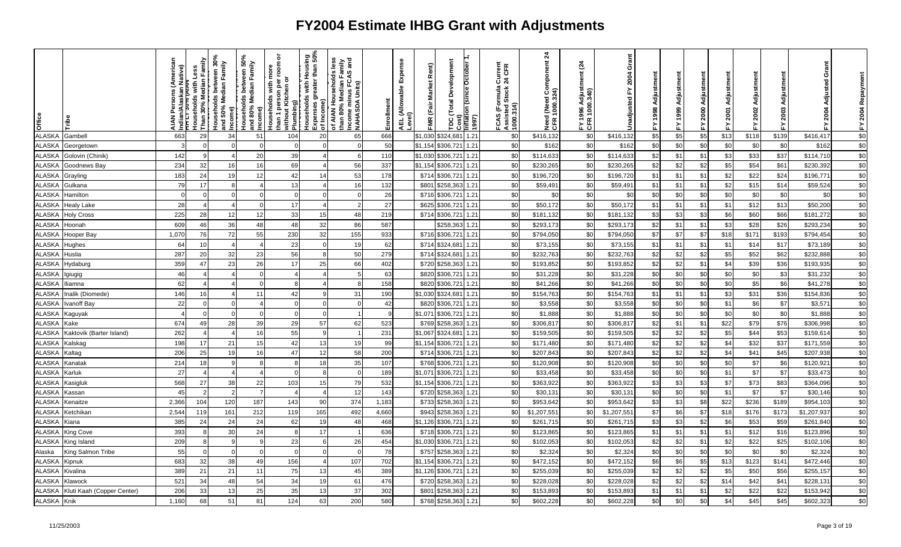| Office        |                            | ns (Americ<br>lative)<br>hdian/<br>ד <del>ו בד</del><br><b>AIAN</b> | Households with Less<br>Than 30% Median Family | Households between 30%<br>and 50% Median Family<br>Income)<br>Households between 50%<br>Households between 50%<br>and 80% Median Family | Income)      | ō<br>room<br><b>Households with mone</b><br>than 1 person per ı<br>without Kitchen or<br>Plumbing) | Him Source Source<br>  Households with Housing<br>  Expenses greater than 50%<br>  of Income) | is less<br>Tamily<br>Sand<br>of AIAN Households le<br>than 80% Median Fami<br>Income minus FCAS a<br> NAHASDA Units) | Enrollment | Expense<br>AEL (Allowable I<br>Level) | Rent)<br>FMR (Fair Market | <b>Total Development</b><br>TDC (Total Development<br>Cost)<br><mark>Tinflation (since October 1</mark><br>1997) |      | FCAS (Formula Current<br>Assisted Stock 24 CFR<br>1000.314) | $\overline{24}$<br>Need (Need Component<br>CFR 1000.324) | <u>રૂ</u><br>FY 1996 Adjusti<br>CFR 1000.340) | Grant<br>2004<br>놊<br>Unadjusted | Adjustment<br>1998<br>없 |     | ã<br>Adjustm<br>2000<br>≿. | Adjustment<br>2001<br>십 | FY 2002 Adjustment | Adjust<br>2003<br>놊 | Grant<br>Adjusted<br>2004<br>≿. | FY 2004 Repayment |
|---------------|----------------------------|---------------------------------------------------------------------|------------------------------------------------|-----------------------------------------------------------------------------------------------------------------------------------------|--------------|----------------------------------------------------------------------------------------------------|-----------------------------------------------------------------------------------------------|----------------------------------------------------------------------------------------------------------------------|------------|---------------------------------------|---------------------------|------------------------------------------------------------------------------------------------------------------|------|-------------------------------------------------------------|----------------------------------------------------------|-----------------------------------------------|----------------------------------|-------------------------|-----|----------------------------|-------------------------|--------------------|---------------------|---------------------------------|-------------------|
| <b>ALASKA</b> | Gambell                    | 663                                                                 | 29                                             | 34                                                                                                                                      | 51           | 104                                                                                                | 20                                                                                            | 65                                                                                                                   | 666        |                                       | \$1,030                   | \$324,68                                                                                                         | 1.21 | \$0                                                         | \$416,132                                                | \$0                                           | \$416,132                        | \$5                     | \$5 | \$5                        | \$13                    | \$118              | \$139               | \$416,417                       | \$0               |
| <b>ALASKA</b> | Georgetown                 |                                                                     |                                                |                                                                                                                                         |              |                                                                                                    |                                                                                               |                                                                                                                      | 50         |                                       | \$1,154                   | \$306,721                                                                                                        | 1.21 | \$0                                                         | \$162                                                    | \$0                                           | \$162                            | \$0                     | \$0 | \$0                        | \$0                     | \$0                | \$0                 | \$162                           | \$0               |
| <b>ALASKA</b> | Golovin (Chinik)           | 142                                                                 | 9                                              |                                                                                                                                         | 20           | 39                                                                                                 |                                                                                               | 6                                                                                                                    | 110        |                                       | \$1,030                   | \$306,721                                                                                                        | 1.21 | \$0                                                         | \$114,633                                                | \$0                                           | \$114,633                        | \$2                     | \$1 | \$1                        | \$3                     | \$33               | \$37                | \$114,710                       | \$0               |
| ALASKA        | Goodnews Bay               | 234                                                                 | 32                                             | 16                                                                                                                                      | 16           | 69                                                                                                 |                                                                                               | 56                                                                                                                   | 337        |                                       | \$1,154                   | \$306,721                                                                                                        | 1.21 | \$0                                                         | \$230,265                                                | \$0                                           | \$230,265                        | \$2                     | \$2 | \$2                        | \$5                     | \$54               | \$61                | \$230,392                       | \$0               |
| <b>ALASKA</b> | Grayling                   | 183                                                                 | 24                                             | 19                                                                                                                                      | 12           | 42                                                                                                 | 14                                                                                            | 53                                                                                                                   | 178        |                                       | \$714                     | \$306,721                                                                                                        | 1.21 | \$0                                                         | \$196,720                                                | \$0                                           | \$196,720                        | \$1                     | \$1 | \$1                        | \$2                     | \$22               | \$24                | \$196,77'                       | $\sqrt{6}$        |
| <b>ALASKA</b> | Gulkana                    | 79                                                                  | 17                                             |                                                                                                                                         |              | 13                                                                                                 |                                                                                               | 16                                                                                                                   | 132        |                                       | \$801                     | \$258,363                                                                                                        | 1.21 | \$0                                                         | \$59,49                                                  | \$0                                           | \$59,491                         | \$1                     | \$1 | \$1                        | \$2                     | \$15               | \$14                | \$59,524                        | \$0               |
| ALASKA        | Hamilton                   |                                                                     | $\Omega$                                       |                                                                                                                                         |              |                                                                                                    |                                                                                               |                                                                                                                      | 26         |                                       | \$716                     | \$306,721                                                                                                        | 1.21 | \$0                                                         | \$0                                                      | \$0                                           | \$0                              | \$0                     | \$C | \$0                        | \$0                     | \$C                | \$0                 | \$0                             | \$0               |
| <b>ALASKA</b> | <b>Healy Lake</b>          | 28                                                                  | $\overline{4}$                                 |                                                                                                                                         | $\Omega$     | 17                                                                                                 |                                                                                               | 2                                                                                                                    | 27         |                                       | \$625                     | \$306,721                                                                                                        | 1.21 | \$0                                                         | \$50,172                                                 | \$0                                           | \$50,172                         | \$1                     | \$1 | \$1                        | \$1                     | \$12               | \$13                | \$50,200                        | \$0               |
| <b>ALASKA</b> | <b>Holy Cross</b>          | 225                                                                 | 28                                             | 12                                                                                                                                      | 12           | 33                                                                                                 | 15                                                                                            | 48                                                                                                                   | 219        |                                       | \$714                     | \$306,721                                                                                                        | 1.21 | \$0                                                         | \$181,132                                                | \$0                                           | \$181,132                        | \$3                     | \$3 | \$3                        | \$6                     | \$60               | \$66                | \$181,272                       | \$0               |
| <b>ALASKA</b> | Hoonah                     | 609                                                                 | 46                                             | 36                                                                                                                                      | 48           | 48                                                                                                 | 32                                                                                            | 86                                                                                                                   | 587        |                                       |                           | \$258,363                                                                                                        | 1.21 | \$0                                                         | \$293,173                                                | \$0                                           | \$293,173                        | \$2                     | \$1 | \$1                        | \$3                     | \$28               | \$26                | \$293,234                       | \$0               |
| <b>ALASKA</b> | Hooper Bay                 | 1,070                                                               | 76                                             | 72                                                                                                                                      | 55           | 230                                                                                                | 32                                                                                            | 155                                                                                                                  | 933        |                                       | \$716                     | \$306,72                                                                                                         | 1.21 | \$0                                                         | \$794,050                                                | \$0                                           | \$794,050                        | \$7                     | \$7 | \$7                        | \$18                    | \$171              | \$193               | \$794,454                       | \$0               |
| <b>ALASKA</b> | Hughes                     | 64                                                                  | 10                                             |                                                                                                                                         |              | 23                                                                                                 |                                                                                               | 19                                                                                                                   | 62         |                                       | \$714                     | \$324,68                                                                                                         | 1.21 | \$0                                                         | \$73,155                                                 | \$0                                           | \$73,155                         | \$1                     | \$1 | \$1                        | \$1                     | \$14               | \$17                | \$73,189                        | \$0               |
| <b>ALASKA</b> | Huslia                     | 287                                                                 | 20                                             | 32                                                                                                                                      | 23           | 56                                                                                                 |                                                                                               | 50                                                                                                                   | 279        |                                       | \$714                     | \$324,68                                                                                                         | 1.21 | \$0                                                         | \$232,763                                                | \$0                                           | \$232,763                        | \$2                     | \$2 | \$2                        | \$5                     | \$52               | \$62                | \$232,888                       | \$0               |
| <b>ALASKA</b> | Hydaburg                   | 359                                                                 | 47                                             | 23                                                                                                                                      | 26           | 17                                                                                                 | 25                                                                                            | 66                                                                                                                   | 402        |                                       | \$720                     | \$258,363                                                                                                        | 1.21 | \$0                                                         | \$193,852                                                | \$0                                           | \$193,852                        | \$2                     | \$2 | \$1                        | \$4                     | \$39               | \$36                | \$193,935                       | \$0               |
| <b>ALASKA</b> | giugig                     | 46                                                                  |                                                |                                                                                                                                         |              |                                                                                                    |                                                                                               |                                                                                                                      | 63         |                                       | \$820                     | \$306,721                                                                                                        | 1.21 | \$0                                                         | \$31,228                                                 | \$0                                           | \$31,228                         | \$0                     | \$0 | \$0                        | \$0                     | \$0                | \$3                 | \$31,232                        | $$0$              |
| <b>ALASKA</b> | liamna                     | 62                                                                  |                                                |                                                                                                                                         |              |                                                                                                    |                                                                                               |                                                                                                                      | 158        |                                       | \$820                     | \$306,721                                                                                                        | 1.21 | \$0                                                         | \$41,266                                                 | \$0                                           | \$41,266                         | \$0                     | \$C | \$0                        | \$0                     | \$5                | \$6                 | \$41,278                        | \$0               |
| <b>ALASKA</b> | nalik (Diomede)            | 146                                                                 | 16                                             |                                                                                                                                         | 11           | 42                                                                                                 |                                                                                               | 31                                                                                                                   | 190        |                                       | \$1,030                   | \$324,68                                                                                                         | 1.21 | \$0                                                         | \$154,763                                                | \$0                                           | \$154,763                        | \$1                     | \$1 | \$1                        | \$3                     | \$31               | \$36                | \$154,836                       | \$0               |
| <b>ALASKA</b> | Ivanoff Bay                | 22                                                                  | $\overline{O}$                                 | $\Omega$                                                                                                                                |              | $\mathbf 0$                                                                                        | $\Omega$                                                                                      | $\Omega$                                                                                                             | 42         |                                       | \$820                     | \$306,721                                                                                                        | 1.21 | \$0                                                         | \$3,558                                                  | \$0                                           | \$3,558                          | \$0                     | \$0 | \$0                        | \$1                     | \$6                | \$7                 | \$3,571                         | $$0$              |
| <b>ALASKA</b> | Kaguyak                    |                                                                     | $\Omega$                                       |                                                                                                                                         |              |                                                                                                    |                                                                                               |                                                                                                                      |            |                                       | \$1,071                   | \$306,721                                                                                                        | 1.21 | \$0                                                         | \$1,888                                                  | \$0                                           | \$1,888                          | \$0                     | \$0 | \$0                        | \$0                     | \$0                | \$0                 | \$1,888                         | \$0               |
| <b>ALASKA</b> | Kake                       | 674                                                                 | 49                                             | 28                                                                                                                                      | 39           | 29                                                                                                 | 57                                                                                            | 62                                                                                                                   | 523        |                                       | \$769                     | \$258,363                                                                                                        | 1.21 | \$0                                                         | \$306,81                                                 | \$0                                           | \$306,817                        | \$2                     | \$1 | \$1                        | \$22                    | \$79               | \$76                | \$306,998                       | $$0$              |
| <b>ALASKA</b> | Kaktovik (Barter Island)   | 262                                                                 |                                                |                                                                                                                                         | 16           | 55                                                                                                 |                                                                                               |                                                                                                                      | 231        |                                       | \$1,067                   | \$324,68                                                                                                         | 1.21 | \$0                                                         | \$159,505                                                | \$0                                           | \$159,505                        | \$2                     | \$2 | \$2                        | \$5                     | \$44               | \$53                | \$159,61                        | \$0               |
| <b>ALASKA</b> | Kalskag                    | 198                                                                 | 17                                             | 21                                                                                                                                      | 15           | 42                                                                                                 | 13                                                                                            | 19                                                                                                                   | 99         |                                       | \$1,154                   | \$306,721                                                                                                        | 1.21 | \$0                                                         | \$171,480                                                | \$0                                           | \$171,480                        | \$2                     | \$2 | \$2                        | \$4                     | \$32               | \$37                | \$171,559                       | \$0               |
| <b>ALASKA</b> | Kaltag                     | 206                                                                 | 25                                             | 19                                                                                                                                      | 16           | 47                                                                                                 | 12                                                                                            | 58                                                                                                                   | 200        |                                       | \$714                     | \$306,721                                                                                                        | 1.21 | \$0                                                         | \$207,843                                                | \$0                                           | \$207,843                        | \$2                     | \$2 | \$2                        | \$4                     | \$41               | \$45                | \$207,938                       | \$0               |
| <b>ALASKA</b> | Kanatak                    | 214                                                                 | 18                                             |                                                                                                                                         | $\mathbf{8}$ | $\mathbf{R}$                                                                                       | 18                                                                                            | 35                                                                                                                   | 107        |                                       | \$768                     | \$306,721                                                                                                        | 1.21 | \$0                                                         | \$120,908                                                | \$0                                           | \$120,908                        | \$0                     | \$0 | \$0                        | \$0                     | \$7                | \$6                 | \$120,92                        | \$0               |
| <b>ALASKA</b> | Karluk                     | 27                                                                  |                                                |                                                                                                                                         |              |                                                                                                    |                                                                                               |                                                                                                                      | 189        |                                       | \$1,071                   | \$306,721<br>1.21                                                                                                |      | \$0                                                         | \$33,458                                                 | \$0                                           | \$33,458                         | \$0                     | \$0 | \$0                        | \$1                     | \$7                | \$7                 | \$33,473                        | \$0               |
| <b>ALASKA</b> | Kasigluk                   | 568                                                                 | 27                                             | 38                                                                                                                                      | 22           | 103                                                                                                | 15                                                                                            | 79                                                                                                                   | 532        |                                       | \$1,154                   | \$306,721                                                                                                        | 1.21 | \$0                                                         | \$363,922                                                | \$0                                           | \$363,922                        | \$3                     | \$3 | \$3                        | \$7                     | \$73               | \$83                | \$364,096                       | \$0               |
| <b>ALASKA</b> | Kassan                     | 45                                                                  | -2                                             |                                                                                                                                         | 7            |                                                                                                    |                                                                                               | 12                                                                                                                   | 143        |                                       | \$720                     | \$258,36                                                                                                         | 1.21 | \$0                                                         | \$30,131                                                 | \$0                                           | \$30,131                         | \$0                     | \$0 | \$0                        | \$1                     | \$7                | \$7                 | \$30,146                        | $$0$              |
| <b>ALASKA</b> | Kenaitze                   | 2,366                                                               | 104                                            | 120                                                                                                                                     | 187          | 143                                                                                                | 90                                                                                            | 374                                                                                                                  | 1,183      |                                       | \$733                     | \$258,363                                                                                                        | 1.21 | \$0                                                         | \$953,642                                                | \$0                                           | \$953,642                        | \$3                     | \$3 | \$8                        | \$22                    | \$236              | \$189               | \$954,103                       | \$0               |
| <b>ALASKA</b> | Ketchikan                  | 2,544                                                               | 119                                            | 161                                                                                                                                     | 212          | 119                                                                                                | 165                                                                                           | 492                                                                                                                  | 4,660      |                                       | \$943                     | \$258,36                                                                                                         | 1.21 | \$0                                                         | \$1,207,55                                               | \$0                                           | \$1,207,55                       | \$7                     | \$6 | \$7                        | \$18                    | \$176              | \$173               | \$1,207,937                     | \$0               |
| <b>ALASKA</b> | Kiana                      | 385                                                                 | 24                                             | 24                                                                                                                                      | 24           | 62                                                                                                 | 19                                                                                            | 48                                                                                                                   | 468        |                                       | \$1,126                   | \$306,721                                                                                                        | 1.21 | \$0                                                         | \$261,715                                                | \$0                                           | \$261,715                        | \$3                     | \$3 | \$2                        | \$6                     | \$53               | \$59                | \$261,840                       | \$0               |
| <b>ALASKA</b> | King Cove                  | 393                                                                 | 8                                              | 30                                                                                                                                      | 24           | 8                                                                                                  | 17                                                                                            |                                                                                                                      | 636        |                                       | \$718                     | \$306,721                                                                                                        | 1.21 | \$0                                                         | \$123,865                                                | \$0                                           | \$123,865                        | \$1                     | \$1 | \$1                        | \$1                     | \$12               | \$16                | \$123,896                       | \$0               |
| <b>ALASKA</b> | King Island                | 209                                                                 | 8                                              |                                                                                                                                         | 9            | 23                                                                                                 | 6                                                                                             | 26                                                                                                                   | 454        |                                       | \$1,030                   | \$306,721                                                                                                        | 1.21 | \$0                                                         | \$102,053                                                | \$0                                           | \$102,053                        | \$2                     | \$2 | \$1                        | \$2                     | \$22               | \$25                | \$102,106                       | \$0               |
| Alaska        | King Salmon Tribe          | 55                                                                  | $\Omega$                                       |                                                                                                                                         | $\Omega$     | $\Omega$                                                                                           |                                                                                               | $\cap$                                                                                                               | 78         |                                       | \$757                     | \$258,363                                                                                                        | 1.21 | \$0                                                         | \$2,324                                                  | \$0                                           | \$2,324                          | \$0                     | \$0 | \$0                        | \$0                     | \$0                | \$0                 | \$2,324                         | $$0$              |
| ALASK/        | Kipnuk                     | 683                                                                 | 32                                             | 38                                                                                                                                      | 49           | 156                                                                                                |                                                                                               | 107                                                                                                                  | 702        |                                       | \$1,154                   | \$306,721                                                                                                        | 1.21 | \$0                                                         | \$472,152                                                | \$0                                           | \$472,152                        | \$6                     | \$6 | \$5                        | \$13                    | \$123              | \$141               | \$472,446                       | \$0               |
| <b>ALASKA</b> | Kivalina                   | 389                                                                 | 21                                             | 21                                                                                                                                      | 11           | 75                                                                                                 | 13                                                                                            | 45                                                                                                                   | 389        |                                       | \$1,126                   | \$306,721                                                                                                        | 1.21 | \$0                                                         | \$255,039                                                | \$0                                           | \$255,039                        | \$2                     | \$2 | \$2                        | \$5                     | \$50               | \$56                | \$255,157                       | \$0               |
| <b>ALASKA</b> | Klawock                    | 521                                                                 | 34                                             | 48                                                                                                                                      | 54           | 34                                                                                                 | 19                                                                                            | 61                                                                                                                   | 476        |                                       | \$720                     | \$258,363                                                                                                        | 1.21 | \$0                                                         | \$228,028                                                | \$0                                           | \$228,028                        | \$2                     | \$2 | \$2                        | \$14                    | \$42               | \$41                | \$228,13'                       | \$0               |
| ALASKA        | Kluti Kaah (Copper Center) | 206                                                                 | 33                                             | 13                                                                                                                                      | 25           | 35                                                                                                 | 13                                                                                            | 37                                                                                                                   | 302        |                                       | \$801                     | \$258,36                                                                                                         | 1.21 | \$0                                                         | \$153,893                                                | \$0                                           | \$153,893                        | \$1                     | \$1 | \$1                        | \$2                     | \$22               | \$22                | \$153,942                       | $$0$              |
| <b>ALASKA</b> | Knik                       | 1,160                                                               | 68                                             | 51                                                                                                                                      | 81           | 124                                                                                                | 63                                                                                            | 200                                                                                                                  | 580        |                                       | \$768                     | \$258,363                                                                                                        | 1.21 | \$0                                                         | \$602,228                                                | \$0                                           | \$602,228                        | \$0                     | \$0 | \$0                        | \$4                     | \$45               | \$45                | \$602,323                       | \$0               |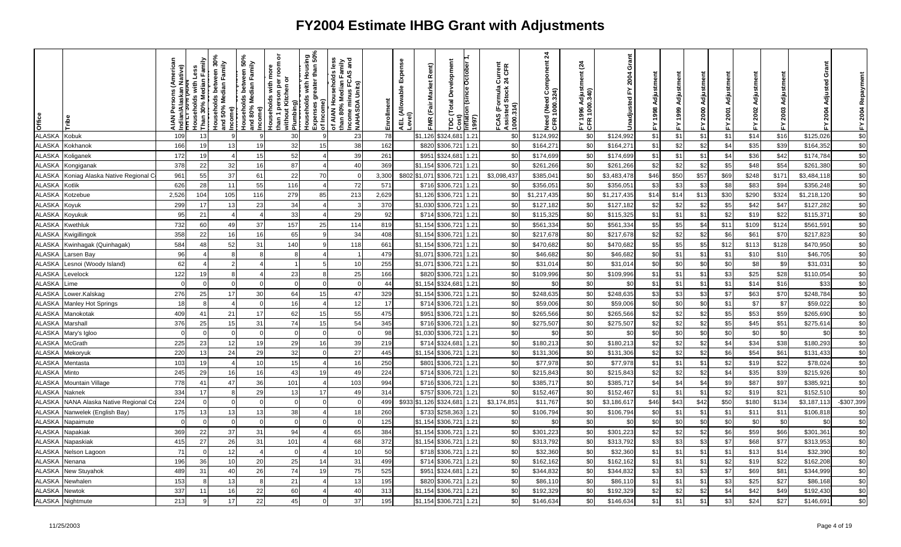| Office        |                                 | lative)<br>ndian/<br>TTTT:<br><b>NAIA</b> | Households with Less<br>Than 30% Median Family |     | Income)<br>Households between 50%<br>and 80% Median Family<br>Income) | ō<br>room<br>ē<br>than 1 person per i<br>without Kitchen or<br>Households with<br>Plumbing) |    | is less<br>Tamily<br>Sand<br>of AIAN Households le<br>than 80% Median Fami<br>Income minus FCAS a<br> NAHASDA Units) | Enrollment | Expense<br>AEL (Allowable I<br>Level) | Rent)<br>FMR (Fair Market | Development<br>Total<br>ă | Cost)<br> inflation (since October 1<br>  1997) | ormula Current<br>1 Stock 24 CFR<br>FCAS (Formula (<br>Assisted Stock 2<br>1000.314) | $\mathbf{z}$<br>Need (Need Component<br>CFR 1000.324) | <u>રૂ</u><br>996 Adjust<br>1000.340)<br>FY 1996<br>CFR 100 | Grant<br>2004<br>놊<br>Unadjusted | Adjustment<br>1998<br>놊 |      | ã<br>Adjustm<br>2000<br>≿. | Adjustment<br>2001<br>置 | Adjustment<br>2002<br>置 | Adjust<br>2003<br>놊 | Grant<br>Adjusted<br><b>2004</b> | 2004 Repaym<br>ᇫ |
|---------------|---------------------------------|-------------------------------------------|------------------------------------------------|-----|-----------------------------------------------------------------------|---------------------------------------------------------------------------------------------|----|----------------------------------------------------------------------------------------------------------------------|------------|---------------------------------------|---------------------------|---------------------------|-------------------------------------------------|--------------------------------------------------------------------------------------|-------------------------------------------------------|------------------------------------------------------------|----------------------------------|-------------------------|------|----------------------------|-------------------------|-------------------------|---------------------|----------------------------------|------------------|
| <b>ALASKA</b> | Kobuk                           | 109                                       | 13                                             |     |                                                                       | 30                                                                                          |    | 23                                                                                                                   | 78         |                                       | \$1,126                   | \$324,68                  | 1.21                                            | \$0                                                                                  | \$124,992                                             | \$0                                                        | \$124,992                        | \$1                     | \$1  | \$1                        | \$1                     | \$14                    | \$16                | \$125,026                        | \$0              |
| <b>ALASKA</b> | Kokhanok                        | 166                                       | 19                                             | 13  | 19                                                                    | 32                                                                                          | 15 | 38                                                                                                                   | 162        |                                       | \$820                     | \$306,72                  | 1.21                                            | \$0                                                                                  | \$164,271                                             | \$0                                                        | \$164,271                        | \$1                     | \$2  | \$2                        | \$4                     | \$35                    | \$39                | \$164,352                        | \$0              |
| <b>ALASKA</b> | Koliganek                       | 172                                       | 19                                             |     | 15                                                                    | 52                                                                                          |    | 39                                                                                                                   | 261        |                                       | \$951                     | \$324,68                  | 1.21                                            | \$0                                                                                  | \$174,699                                             | \$0                                                        | \$174,699                        | \$1                     | \$1  | \$1                        | \$4                     | \$36                    | \$42                | \$174,784                        | $$0$             |
| ALASKA        | Kongiganak                      | 378                                       | 22                                             | 32  | 16                                                                    | 87                                                                                          |    | 40                                                                                                                   | 369        |                                       | \$1,154                   | \$306,721                 | 1.21                                            | \$0                                                                                  | \$261,266                                             | \$0                                                        | \$261,266                        | \$2                     | \$2  | \$2                        | \$5                     | \$48                    | \$54                | \$261,380                        | \$0              |
| ALASKA        | Koniag Alaska Native Regional C | 961                                       | 55                                             | 37  | 61                                                                    | 22                                                                                          | 70 |                                                                                                                      | 3,300      |                                       | \$802 \$1,071             | \$306,721                 | 1.21                                            | \$3,098,437                                                                          | \$385,04                                              | \$0                                                        | \$3,483,478                      | \$46                    | \$50 | \$57                       | \$69                    | \$248                   | \$171               | \$3,484,118                      | $\sqrt{6}$       |
| <b>ALASKA</b> | Kotlik                          | 626                                       | 28                                             | 11  | 55                                                                    | 116                                                                                         |    | 72                                                                                                                   | 571        |                                       | \$716                     | \$306,721                 | 1.21                                            | \$0                                                                                  | \$356,05                                              | \$0                                                        | \$356,05                         | \$3                     | \$3  | \$3                        | \$8                     | \$83                    | \$94                | \$356,248                        | \$0              |
| ALASKA        | Kotzebue                        | 2,526                                     | 104                                            | 105 | 116                                                                   | 279                                                                                         | 85 | 213                                                                                                                  | 2,629      |                                       | \$1,126                   | \$306,721                 | 1.21                                            | \$0                                                                                  | \$1,217,435                                           | \$0                                                        | \$1,217,435                      | \$14                    | \$14 | \$13                       | \$30                    | \$290                   | \$324               | \$1,218,120                      | \$0              |
| <b>ALASKA</b> | Koyuk                           | 299                                       | 17                                             | 13  | 23                                                                    | 34                                                                                          |    |                                                                                                                      | 370        |                                       | \$1.030                   | \$306,721                 | 1.21                                            | \$0                                                                                  | \$127,182                                             | \$0                                                        | \$127,182                        | \$2                     | \$2  | \$2                        | \$5                     | \$42                    | \$47                | \$127,282                        | \$0              |
| <b>ALASKA</b> | Koyukuk                         | 95                                        | 21                                             |     |                                                                       | 33                                                                                          |    | 29                                                                                                                   | 92         |                                       | \$714                     | \$306,721                 | 1.21                                            | \$0                                                                                  | \$115,325                                             | \$0                                                        | \$115,325                        | \$1                     | \$1  | \$1                        | \$2                     | \$19                    | \$22                | \$115,37                         | \$0              |
| <b>ALASKA</b> | Kwethluk                        | 732                                       | 60                                             | 49  | 37                                                                    | 157                                                                                         | 25 | 114                                                                                                                  | 819        |                                       | \$1,154                   | \$306,721                 | 1.21                                            | \$0                                                                                  | \$561,334                                             | \$0                                                        | \$561,334                        | \$5                     | \$5  | \$4                        | \$11                    | \$109                   | \$124               | \$561,59                         | \$0              |
| <b>ALASKA</b> | Kwigillingok                    | 358                                       | 22                                             |     | 16                                                                    | 65                                                                                          |    | 34                                                                                                                   | 408        |                                       | \$1,154                   | \$306,721                 | 1.21                                            | \$0                                                                                  | \$217,678                                             | \$0                                                        | \$217,678                        | \$2                     | \$2  | \$2                        | \$6                     | \$61                    | \$70                | \$217,823                        | \$0              |
| ALASKA        | Kwinhagak (Quinhagak)           | 584                                       | 48                                             | 52  | 31                                                                    | 140                                                                                         |    | 118                                                                                                                  | 661        |                                       | \$1.154                   | \$306,721                 | 1.21                                            | \$0                                                                                  | \$470,682                                             | \$0                                                        | \$470,682                        | \$5                     | \$5  | \$5                        | \$12                    | \$113                   | \$128               | \$470,950                        | $\sqrt{6}$       |
| <b>ALASKA</b> | Larsen Bay                      | 96                                        | $\overline{4}$                                 | 8   | 8                                                                     | -8                                                                                          |    |                                                                                                                      | 479        |                                       | \$1,071                   | \$306,721                 | 1.21                                            | \$0                                                                                  | \$46,682                                              | \$0                                                        | \$46,682                         | \$0                     | \$1  | \$1                        | \$1                     | \$10                    | \$10                | \$46,705                         | \$0              |
| <b>ALASKA</b> | Lesnoi (Woody Island)           | 62                                        |                                                |     |                                                                       |                                                                                             |    | 10                                                                                                                   | 255        |                                       | \$1,071                   | \$306,721                 | 1.21                                            | \$0                                                                                  | \$31,01                                               | \$0                                                        | \$31,014                         | \$0                     | \$0  | \$0                        | \$0                     | \$8                     | \$9                 | \$31,031                         | \$0              |
| <b>ALASKA</b> | Levelock                        | 122                                       | 19                                             |     |                                                                       | 23                                                                                          |    | 25                                                                                                                   | 166        |                                       | \$820                     | \$306,721                 | 1.21                                            | \$0                                                                                  | \$109,996                                             | \$0                                                        | \$109,996                        | \$1                     | \$1  | \$1                        | \$3                     | \$25                    | \$28                | \$110,054                        | \$0              |
| <b>ALASKA</b> | .ime                            |                                           |                                                |     |                                                                       |                                                                                             |    |                                                                                                                      | 44         |                                       | \$1,154                   | \$324,68                  | 1.21                                            | \$0                                                                                  | \$0                                                   | \$0                                                        | \$0                              | \$1                     | \$1  | \$1                        | \$1                     | \$14                    | \$16                | \$33                             | \$0              |
| <b>ALASKA</b> | Lower.Kalskag                   | 276                                       | 25                                             | 17  | 30                                                                    | 64                                                                                          | 15 | 47                                                                                                                   | 329        |                                       | \$1.154                   | \$306,721                 | 1.21                                            | \$0                                                                                  | \$248,635                                             | \$0                                                        | \$248,635                        | \$3                     | \$3  | \$3                        | \$7                     | \$63                    | \$70                | \$248,784                        | \$0              |
| <b>ALASKA</b> | <b>Manley Hot Springs</b>       | 18                                        | -8                                             |     | $\Omega$                                                              | 16                                                                                          |    | 12                                                                                                                   | 17         |                                       | \$714                     | \$306,721                 | 1.21                                            | \$0                                                                                  | \$59,006                                              | \$0                                                        | \$59,006                         | \$0                     | \$0  | \$0                        | \$1                     | \$7                     | \$7                 | \$59,022                         | \$0              |
| <b>ALASKA</b> | Manokotak                       | 409                                       | 41                                             | 21  | 17                                                                    | 62                                                                                          | 15 | 55                                                                                                                   | 475        |                                       | \$951                     | \$306,721                 | 1.21                                            | \$0                                                                                  | \$265,566                                             | \$0                                                        | \$265,566                        | \$2                     | \$2  | \$2                        | \$5                     | \$53                    | \$59                | \$265,690                        | $\sqrt{6}$       |
| <b>ALASKA</b> | Marshall                        | 376                                       | 25                                             | 15  | 31                                                                    | 74                                                                                          | 15 | 54                                                                                                                   | 345        |                                       | \$716                     | \$306,721                 | 1.21                                            | \$0                                                                                  | \$275,507                                             | \$0                                                        | \$275,507                        | \$2                     | \$2  | \$2                        | \$5                     | \$45                    | \$51                | \$275,61                         | \$0              |
| <b>ALASKA</b> | Mary's Igloo                    |                                           | $\Omega$                                       |     | $\Omega$                                                              |                                                                                             |    | $\Omega$                                                                                                             | 98         |                                       | \$1,030                   | \$306,721                 | 1.21                                            | \$0                                                                                  | \$0                                                   | \$0                                                        | \$0                              | \$0                     | \$0  | \$0                        | \$0                     | \$0                     | \$0                 | \$0                              | \$0              |
| <b>ALASKA</b> | McGrath                         | 225                                       | 23                                             | 12  | 19                                                                    | 29                                                                                          | 16 | 39                                                                                                                   | 219        |                                       | \$714                     | \$324,68                  | 1.21                                            | \$0                                                                                  | \$180,213                                             | \$0                                                        | \$180,213                        | \$2                     | \$2  | \$2                        | \$4                     | \$34                    | \$38                | \$180,293                        | \$0              |
| <b>ALASKA</b> | Mekoryuk                        | 220                                       | 13                                             | 24  | 29                                                                    | 32                                                                                          |    | 27                                                                                                                   | 445        |                                       | \$1,154                   | \$306,721                 | 1.21                                            | \$0                                                                                  | \$131,306                                             | \$0                                                        | \$131,306                        | \$2                     | \$2  | \$2                        | \$6                     | \$54                    | \$61                | \$131,433                        | \$0              |
| <b>ALASKA</b> | Mentasta                        | 103                                       | 19                                             |     | 10                                                                    | 15                                                                                          |    | 16                                                                                                                   | 250        |                                       | \$801                     | \$306,721                 | 1.21                                            | \$0                                                                                  | \$77,978                                              | \$0                                                        | \$77,978                         | \$1                     | \$1  | \$1                        | \$2                     | \$1S                    | \$22                | \$78,024                         | $\sqrt{6}$       |
| <b>ALASKA</b> | Minto                           | 245                                       | 29                                             |     | 16                                                                    | 43                                                                                          | 19 | 49                                                                                                                   | 224        |                                       | \$714                     | \$306,721                 | 1.21                                            | \$0                                                                                  | \$215,843                                             | \$0                                                        | \$215,843                        | \$2                     | \$2  | \$2                        | \$4                     | \$35                    | \$39                | \$215,926                        | \$0              |
| <b>ALASKA</b> | Mountain Village                | 778                                       | 41                                             | 47  | 36                                                                    | 101                                                                                         |    | 103                                                                                                                  | 994        |                                       | \$716                     | \$306,721                 | 1.21                                            | \$0                                                                                  | \$385,717                                             | \$0                                                        | \$385,717                        | \$4                     | \$4  | \$4                        | \$9                     | \$87                    | \$97                | \$385,92                         | \$0              |
| <b>ALASKA</b> | Naknek                          | 334                                       | 17                                             | 8   | 29                                                                    | 13                                                                                          | 17 | 49                                                                                                                   | 314        |                                       | \$757                     | \$306,721                 | 1.21                                            | \$0                                                                                  | \$152,467                                             | \$0                                                        | \$152,467                        | \$1                     | \$1  | \$1                        | \$2                     | \$19                    | \$21                | \$152,510                        | \$0              |
| <b>ALASKA</b> | NANA Alaska Native Regional C   | 224                                       | $\Omega$                                       |     | $\Omega$                                                              | $\Omega$                                                                                    |    | $\Omega$                                                                                                             | 499        |                                       | \$933 \$1,126             | \$324,68                  | 1.21                                            | \$3,174,851                                                                          | \$11,767                                              | \$0                                                        | \$3,186,617                      | \$46                    | \$43 | \$42                       | \$50                    | \$180                   | \$134               | \$3,187,113                      | $-$307,399$      |
| ALASKA        | Nanwelek (English Bay)          | 175                                       | 13                                             | 13  | 13                                                                    | 38                                                                                          |    | 18                                                                                                                   | 260        |                                       | \$733                     | \$258,36                  | 1.21                                            | \$0                                                                                  | \$106,794                                             | \$0                                                        | \$106,794                        | \$0                     | \$1  | \$1                        | \$1                     | \$11                    | \$11                | \$106,81                         | \$0              |
| <b>ALASKA</b> | Napaimute                       |                                           |                                                |     |                                                                       |                                                                                             |    |                                                                                                                      | 125        |                                       | \$1,154                   | \$306,721                 | 1.21                                            | \$0                                                                                  | \$0                                                   | \$0                                                        | \$0                              | \$0                     | \$0  | \$0                        | \$0                     | \$0                     | \$0                 | \$0                              | \$0              |
| <b>ALASKA</b> | Napakiak                        | 369                                       | 22                                             | 37  | 31                                                                    | 94                                                                                          |    | 65                                                                                                                   | 384        |                                       | \$1,154                   | \$306,721                 | 1.21                                            | \$0                                                                                  | \$301,223                                             | \$0                                                        | \$301,223                        | \$2                     | \$2  | \$2                        | \$6                     | \$59                    | \$66                | \$301,361                        | \$0              |
| <b>ALASKA</b> | Napaskiak                       | 415                                       | 27                                             | 26  | 31                                                                    | 101                                                                                         |    | 68                                                                                                                   | 372        |                                       | \$1,154                   | \$306,721                 | 1.21                                            | \$0                                                                                  | \$313,792                                             | \$0                                                        | \$313,792                        | \$3                     | \$3  | \$3                        | \$7                     | \$68                    | \$77                | \$313,953                        | \$0              |
| <b>ALASKA</b> | Nelson Lagoon                   | 71                                        | $\Omega$                                       | 12  |                                                                       | $\Omega$                                                                                    |    | 10                                                                                                                   | 50         |                                       | \$718                     | \$306,721                 | 1.21                                            | \$0                                                                                  | \$32,360                                              | \$0                                                        | \$32,360                         | \$1                     | \$1  | \$1                        | \$1                     | \$13                    | \$14                | \$32,390                         | \$0              |
| <b>ALASKA</b> | Nenana                          | 196                                       | 36                                             | 10  | 20                                                                    | 25                                                                                          | 14 | 31                                                                                                                   | 499        |                                       | \$714                     | \$306,721                 | 1.21                                            | \$0                                                                                  | \$162,162                                             | \$0                                                        | \$162,162                        | \$1                     | \$1  | \$1                        | \$2                     | \$19                    | \$22                | \$162,208                        | \$0              |
| <b>ALASKA</b> | New Stuyahok                    | 489                                       | 31                                             | 4(  | 26                                                                    | 74                                                                                          |    | 75                                                                                                                   | 525        |                                       | \$951                     | \$324,68                  | 1.21                                            | \$0                                                                                  | \$344,832                                             | \$0                                                        | \$344,832                        | \$3                     | \$3  | \$3                        | \$7                     | \$69                    | \$81                | \$344,999                        | \$0              |
| <b>ALASKA</b> | Newhalen                        | 153                                       | - 8                                            | 13  | 8                                                                     | 21                                                                                          |    | 13                                                                                                                   | 195        |                                       | \$820                     | \$306,721                 | 1.21                                            | \$0                                                                                  | \$86,110                                              | \$0                                                        | \$86,110                         | \$1                     | \$1  | \$1                        | \$3                     | \$25                    | \$27                | \$86,168                         | $$0$             |
| <b>ALASKA</b> | Newtok                          | 337                                       | 11                                             | 16  | 22                                                                    | 60                                                                                          |    | 40                                                                                                                   | 313        |                                       | \$1,154                   | \$306,72                  | 1.21                                            | \$0                                                                                  | \$192,32                                              | \$0                                                        | \$192,329                        | \$2                     | \$2  | \$2                        | \$4                     | \$42                    | \$49                | \$192,430                        | \$0              |
| <b>ALASKA</b> | Nightmute                       | 213                                       | <b>q</b>                                       | 17  | 22                                                                    | 45                                                                                          |    | 37                                                                                                                   | 195        |                                       | \$1,154                   | \$306,721                 | 1.21                                            | \$0                                                                                  | \$146,634                                             | \$0                                                        | \$146,634                        | \$1                     | \$1  | \$1                        | \$3                     | \$24                    | \$27                | \$146,691                        | \$0              |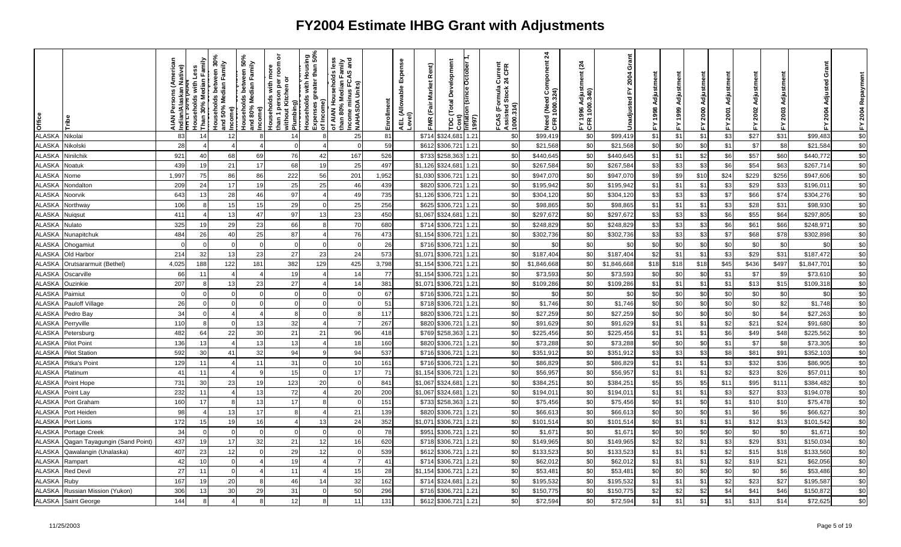| Office        |                               | lative)<br>ndian/<br>TTT -<br><b>NNIX</b> | Households with Less<br>Than 30% Median Family | Households between 30%<br>and 50% Median Family | Income)<br>Households between 50%<br>and 80% Median Family<br>Income) | ō<br>room<br>ē<br>than 1 person per ı<br>without Kitchen or<br>Households with | . Plumbing)<br>Households with Housing<br>Expenses greater than 50%<br>, of Income) | is less<br>Tamily<br>Sand<br>of AIAN Households le<br>than 80% Median Fam<br>Income minus FCAS a<br> NAHASDA Units) | Enrollment | Expense<br>AEL (Allowable I<br>Level) | Rent)<br>FMR (Fair Market | Development<br>Cost)<br>mflation (since October<br>Total<br>ă | (1997) | ormula Current<br>1 Stock 24 CFR<br>FCAS (Formula (<br>Assisted Stock 2<br>1000.314) | $\frac{4}{3}$<br>Need (Need Component<br>CFR 1000.324) | <u>રૂ</u><br>FY 1996 Adjusti<br>CFR 1000.340) | Grant<br>2004<br>놊<br>Unadjusted | Adjustment<br>1998<br>놊 |      | ã<br>Adjustm<br>2000<br>≿. | ā<br>Adiustm<br>2001<br>计 | Adjustment<br>2002<br>置 | Adju<br>2003<br>십 | Grant<br>Adjusted<br>2004 | FY 2004 Repaym |
|---------------|-------------------------------|-------------------------------------------|------------------------------------------------|-------------------------------------------------|-----------------------------------------------------------------------|--------------------------------------------------------------------------------|-------------------------------------------------------------------------------------|---------------------------------------------------------------------------------------------------------------------|------------|---------------------------------------|---------------------------|---------------------------------------------------------------|--------|--------------------------------------------------------------------------------------|--------------------------------------------------------|-----------------------------------------------|----------------------------------|-------------------------|------|----------------------------|---------------------------|-------------------------|-------------------|---------------------------|----------------|
| <b>ALASKA</b> | Nikolai                       | 83                                        | 14                                             | 12                                              |                                                                       | 14                                                                             |                                                                                     | 25                                                                                                                  | 81         |                                       | \$714                     | \$324,68                                                      | 1.21   | \$0                                                                                  | \$99,419                                               | \$0                                           | \$99,419                         | \$1                     | \$1  | \$1                        | \$3                       | \$27                    | \$31              | \$99,483                  | \$0            |
| <b>ALASKA</b> | Nikolski                      | 28                                        |                                                |                                                 |                                                                       |                                                                                |                                                                                     |                                                                                                                     | 59         |                                       | \$612                     | \$306,72                                                      | 1.21   | \$0                                                                                  | \$21,568                                               | \$0                                           | \$21,568                         | \$0                     | \$0  | \$0                        | \$1                       | \$7                     | \$8               | \$21,584                  | \$0            |
| <b>ALASKA</b> | Ninilchik                     | 921                                       | 40                                             | 68                                              | 69                                                                    | 76                                                                             | 42                                                                                  | 167                                                                                                                 | 526        |                                       | \$733                     | \$258,36                                                      | 1.21   | \$0                                                                                  | \$440,645                                              | \$0                                           | \$440,645                        | \$1                     | \$1  | \$2                        | \$6                       | \$57                    | \$60              | \$440,772                 | $$0$           |
| ALASKA        | Noatuk                        | 439                                       | 19                                             | 21                                              | 17                                                                    | 68                                                                             | 19                                                                                  | 25                                                                                                                  | 497        |                                       | \$1,126                   | \$324,68                                                      | 1.21   | \$0                                                                                  | \$267,584                                              | \$0                                           | \$267,584                        | \$3                     | \$3  | \$3                        | \$6                       | \$54                    | \$63              | \$267,714                 | \$0            |
| <b>ALASKA</b> | Nome                          | 1,997                                     | 75                                             | 86                                              | 86                                                                    | 222                                                                            | 56                                                                                  | 201                                                                                                                 | 1,952      |                                       | \$1,030                   | \$306,721                                                     | 1.21   | \$0                                                                                  | \$947,070                                              | \$0                                           | \$947,070                        | \$9                     | \$9  | \$10                       | \$24                      | \$229                   | \$256             | \$947,606                 | $\sqrt{6}$     |
| <b>ALASKA</b> | Nondalton                     | 209                                       | 24                                             | 17                                              | 19                                                                    | 25                                                                             | 25                                                                                  | 46                                                                                                                  | 439        |                                       | \$820                     | \$306,721                                                     | 1.21   | \$0                                                                                  | \$195,942                                              | \$0                                           | \$195,942                        | \$1                     | \$1  | \$1                        | \$3                       | \$29                    | \$33              | \$196,01                  | \$0            |
| ALASKA        | Noorvik                       | 643                                       | 13                                             | 28                                              | 46                                                                    | 97                                                                             |                                                                                     | 49                                                                                                                  | 735        |                                       | \$1,126                   | \$306,721                                                     | 1.21   | \$0                                                                                  | \$304,120                                              | \$0                                           | \$304,120                        | \$3                     | \$3  | \$3                        | \$7                       | \$66                    | \$74              | \$304,276                 | \$0            |
| <b>ALASKA</b> | Northway                      | 106                                       | -8                                             | 15                                              | 15                                                                    | 29                                                                             |                                                                                     | 25                                                                                                                  | 256        |                                       | \$625                     | \$306,721                                                     | 1.21   | \$0                                                                                  | \$98,865                                               | \$0                                           | \$98,865                         | \$1                     | \$1  | \$1                        | \$3                       | \$28                    | \$31              | \$98,930                  | \$0            |
| <b>ALASKA</b> | Nuigsut                       | 411                                       |                                                | 13                                              | 47                                                                    | 97                                                                             | 13                                                                                  | 23                                                                                                                  | 450        |                                       | \$1,067                   | \$324,68                                                      | 1.21   | \$0                                                                                  | \$297,672                                              | \$0                                           | \$297,672                        | \$3                     | \$3  | \$3                        | \$6                       | \$55                    | \$64              | \$297,805                 | $$0$           |
| <b>ALASKA</b> | Nulato                        | 325                                       | 19                                             | 29                                              | 23                                                                    | 66                                                                             |                                                                                     | 70                                                                                                                  | 680        |                                       | \$714                     | \$306,721                                                     | 1.21   | \$0                                                                                  | \$248,829                                              | \$0                                           | \$248,829                        | \$3                     | \$3  | \$3                        | \$6                       | \$61                    | \$66              | \$248,97                  | \$0            |
| <b>ALASKA</b> | Nunapitchuk                   | 484                                       | 26                                             | 40                                              | 25                                                                    | 87                                                                             |                                                                                     | 76                                                                                                                  | 473        |                                       | \$1,154                   | \$306,721                                                     | 1.21   | \$0                                                                                  | \$302,736                                              | \$0                                           | \$302,736                        | \$3                     | \$3  | \$3                        | \$7                       | \$68                    | \$78              | \$302,898                 | \$0            |
| <b>ALASKA</b> | Ohogamiut                     |                                           | - 0                                            |                                                 | $\Omega$                                                              |                                                                                |                                                                                     | $\Omega$                                                                                                            | 26         |                                       |                           | \$716 \$306,721                                               | 1.21   | \$0                                                                                  | -\$0                                                   | \$0                                           | \$0                              | \$0                     | \$0  | \$0                        | \$0                       | \$0                     | \$0               | \$0                       | $\sqrt{6}$     |
| <b>ALASKA</b> | Old Harbor                    | 214                                       | 32                                             | 13                                              | 23                                                                    | 27                                                                             | 23                                                                                  | 24                                                                                                                  | 573        |                                       | \$1,071                   | \$306,721                                                     | 1.21   | \$0                                                                                  | \$187,404                                              | \$0                                           | \$187,404                        | \$2                     | \$1  | \$1                        | \$3                       | \$29                    | \$31              | \$187,472                 | \$0            |
| <b>ALASKA</b> | Orutsararmuit (Bethel)        | 4,025                                     | 188                                            | 122                                             | 181                                                                   | 382                                                                            | 129                                                                                 | 425                                                                                                                 | 3,798      |                                       | \$1,154                   | \$306,721                                                     | 1.21   | \$0                                                                                  | \$1,846,668                                            | \$0                                           | \$1,846,668                      | \$18                    | \$18 | \$18                       | \$45                      | \$436                   | \$497             | \$1,847,701               | \$0            |
| <b>ALASKA</b> | Oscarville                    | 66                                        | 11                                             |                                                 |                                                                       | 19                                                                             |                                                                                     | 14                                                                                                                  | 77         |                                       | \$1,154                   | \$306,721                                                     | 1.21   | \$0                                                                                  | \$73,593                                               | \$0                                           | \$73,593                         | \$0                     | \$0  | \$0                        | \$1                       | \$7                     | \$9               | \$73,61                   | \$0            |
| <b>ALASKA</b> | Ouzinkie                      | 207                                       |                                                |                                                 | 23                                                                    | 27                                                                             |                                                                                     | 14                                                                                                                  | 381        |                                       | \$1,071                   | \$306,721                                                     | 1.21   | \$0                                                                                  | \$109,286                                              | \$0                                           | \$109,286                        | \$1                     | \$1  | \$1                        | \$1                       | \$13                    | \$15              | \$109,318                 | \$0            |
| <b>ALASKA</b> | Paimiut                       | <sup>n</sup>                              | $\Omega$                                       |                                                 |                                                                       |                                                                                |                                                                                     |                                                                                                                     | 67         |                                       | \$716                     | \$306,721                                                     | 1.21   | \$0                                                                                  | \$C                                                    | \$0                                           | \$0                              | \$0                     | \$0  | \$0                        | \$0                       | \$0                     | \$0               | \$0                       | $\sqrt{6}$     |
| <b>ALASKA</b> | <b>Pauloff Village</b>        | 26                                        | $\overline{0}$                                 | $\Omega$                                        | $\Omega$                                                              | $\mathbf 0$                                                                    | $\Omega$                                                                            | $\Omega$                                                                                                            | 51         |                                       | \$718                     | \$306,721                                                     | 1.21   | \$0                                                                                  | \$1,746                                                | \$0                                           | \$1,746                          | \$0                     | \$0  | \$0                        | \$0                       | \$0                     | \$2               | \$1,748                   | \$0            |
| <b>ALASKA</b> | Pedro Bay                     | 34                                        | $\Omega$                                       |                                                 |                                                                       |                                                                                |                                                                                     | Я.                                                                                                                  | 117        |                                       | \$820                     | \$306,721                                                     | 1.21   | \$0                                                                                  | \$27,259                                               | \$0                                           | \$27,259                         | \$0                     | \$0  | \$0                        | \$0                       | \$0                     | \$4               | \$27,263                  | \$0            |
| <b>ALASKA</b> | Perryville                    | 110                                       | $\mathsf{R}$                                   |                                                 | 13                                                                    | 32                                                                             |                                                                                     |                                                                                                                     | 267        |                                       | \$820                     | \$306,721                                                     | 1.21   | \$0                                                                                  | \$91,629                                               | \$0                                           | \$91,629                         | \$1                     | \$1  | \$1                        | \$2                       | \$21                    | \$24              | \$91,680                  | \$0            |
| <b>ALASKA</b> | Petersburg                    | 482                                       | 64                                             | 22                                              | 30                                                                    | 21                                                                             | 21                                                                                  | 96                                                                                                                  | 418        |                                       | \$769                     | \$258,363                                                     | 1.21   | \$0                                                                                  | \$225,456                                              | \$0                                           | \$225,456                        | \$1                     | \$1  | \$1                        | \$6                       | \$49                    | \$48              | \$225,562                 | \$0            |
| <b>ALASKA</b> | <b>Pilot Point</b>            | 136                                       | 13                                             |                                                 | 13                                                                    | 13                                                                             |                                                                                     | 18                                                                                                                  | 160        |                                       | \$820                     | \$306,721                                                     | 1.21   | \$0                                                                                  | \$73,288                                               | \$0                                           | \$73,288                         | \$0                     | \$0  | \$0                        | \$1                       | \$7                     | \$8               | \$73,305                  | \$0            |
| <b>ALASKA</b> | <b>Pilot Station</b>          | 592                                       | 30                                             | 41                                              | 32                                                                    | 94                                                                             |                                                                                     | 94                                                                                                                  | 537        |                                       | \$716                     | \$306,721                                                     | 1.21   | \$0                                                                                  | \$351,912                                              | \$0                                           | \$351,912                        | \$3                     | \$3  | \$3                        | \$8                       | \$81                    | \$91              | \$352,10                  | \$0            |
| <b>ALASKA</b> | Pitka's Point                 | 129                                       | 11                                             |                                                 | 11                                                                    | 31                                                                             |                                                                                     | 10                                                                                                                  | 161        |                                       | \$716                     | \$306,721                                                     | 1.21   | \$0                                                                                  | \$86,829                                               | \$0                                           | \$86,829                         | \$1                     | \$1  | \$1                        | \$3                       | \$32                    | \$36              | \$86,905                  | \$0            |
| <b>ALASKA</b> | Platinum                      | 41                                        | 11                                             |                                                 |                                                                       | 15                                                                             |                                                                                     | 17                                                                                                                  | 71         |                                       | \$1,154                   | \$306,721                                                     | 1.21   | \$0                                                                                  | \$56,957                                               | \$0                                           | \$56,957                         | \$1                     | \$1  | \$1                        | \$2                       | \$23                    | \$26              | \$57,01                   | $$0$           |
| <b>ALASKA</b> | Point Hope                    | 731                                       | 30                                             | 23                                              | 19                                                                    | 123                                                                            | 20                                                                                  | $\Omega$                                                                                                            | 841        |                                       | \$1,067                   | \$324,681                                                     | 1.21   | \$0                                                                                  | \$384,251                                              | \$0                                           | \$384,251                        | \$5                     | \$5  | \$5                        | \$11                      | \$95                    | \$111             | \$384,482                 | \$0            |
| <b>ALASKA</b> | Point Lay                     | 232                                       | 11                                             |                                                 | 13                                                                    | 72                                                                             |                                                                                     | 20                                                                                                                  | 200        |                                       | \$1,067                   | \$324,68                                                      | 1.21   | \$0                                                                                  | \$194,01                                               | \$0                                           | \$194,011                        | \$1                     | \$1  | \$1                        | \$3                       | \$27                    | \$33              | \$194,078                 | $$0$           |
| <b>ALASKA</b> | Port Graham                   | 160                                       | 17                                             |                                                 | 13                                                                    | 17                                                                             |                                                                                     | $\Omega$                                                                                                            | 151        |                                       | \$733                     | \$258,363                                                     | 1.21   | \$0                                                                                  | \$75,456                                               | \$0                                           | \$75,456                         | \$0                     | \$1  | \$0                        | \$1                       | \$1C                    | \$10              | \$75,478                  | \$0            |
| <b>ALASKA</b> | Port Heiden                   | 98                                        |                                                | 13                                              | 17                                                                    | $\mathbf{8}$                                                                   |                                                                                     | 21                                                                                                                  | 139        |                                       | \$820                     | \$306,72                                                      | 1.21   | \$0                                                                                  | \$66,61                                                | \$0                                           | \$66,613                         | \$0                     | \$0  | \$0                        | \$1                       | \$6                     | \$6               | \$66,627                  | $$0$           |
| <b>ALASKA</b> | Port Lions                    | 172                                       | 15                                             | 19                                              | 16                                                                    |                                                                                | 13                                                                                  | 24                                                                                                                  | 352        |                                       | \$1,071                   | \$306,721                                                     | 1.21   | \$0                                                                                  | \$101,514                                              | \$0                                           | \$101,514                        | \$0                     | \$1  | \$1                        | \$1                       | \$12                    | \$13              | \$101,542                 | \$0            |
| <b>ALASKA</b> | Portage Creek                 | 34                                        | $\Omega$                                       |                                                 | $\Omega$                                                              |                                                                                |                                                                                     | $\Omega$                                                                                                            | 78         |                                       | \$951                     | \$306,721                                                     | 1.21   | \$0                                                                                  | \$1,671                                                | \$0                                           | \$1,67'                          | \$0                     | \$0  | \$0                        | \$0                       | \$0                     | \$0               | \$1,67'                   | \$0            |
| ALASKA        | Qagan Tayagungin (Sand Point) | 437                                       | 19                                             | 17                                              | 32                                                                    | 21                                                                             | 12                                                                                  | 16                                                                                                                  | 620        |                                       | \$718                     | \$306,721                                                     | 1.21   | \$0                                                                                  | \$149,965                                              | \$0                                           | \$149,965                        | \$2                     | \$2  | \$1                        | \$3                       | \$29                    | \$31              | \$150,034                 | $$0$           |
| <b>ALASKA</b> | Qawalangin (Unalaska)         | 407                                       | 23                                             | 12                                              |                                                                       | 29                                                                             | 12                                                                                  |                                                                                                                     | 539        |                                       | \$612                     | \$306,721                                                     | 1.21   | \$0                                                                                  | \$133,523                                              | \$0                                           | \$133,523                        | \$1                     | \$1  | \$1                        | \$2                       | \$15                    | \$18              | \$133,560                 | \$0            |
| <b>ALASKA</b> | Rampart                       | 42                                        | 10                                             |                                                 |                                                                       | 19                                                                             |                                                                                     |                                                                                                                     | 41         |                                       | \$714                     | \$306,721                                                     | 1.21   | \$0                                                                                  | \$62,012                                               | \$0                                           | \$62,012                         | \$1                     | \$1  | \$1                        | \$2                       | \$19                    | \$21              | \$62,056                  | \$0            |
| ALASKA        | Red Devil                     | 27                                        | 11                                             |                                                 |                                                                       | 11                                                                             |                                                                                     | 15                                                                                                                  | 28         |                                       | \$1,154                   | \$306,721                                                     | 1.21   | \$0                                                                                  | \$53,48                                                | \$0                                           | \$53,48'                         | \$0                     | \$C  | \$0                        | \$0                       | \$C                     | \$6               | \$53,486                  | \$0            |
| <b>ALASKA</b> | Ruby                          | 167                                       | 19                                             | 20                                              | 8                                                                     | 46                                                                             | 14                                                                                  | 32                                                                                                                  | 162        |                                       | \$714                     | \$324,68                                                      | 1.21   | \$0                                                                                  | \$195,532                                              | \$0                                           | \$195,532                        | \$1                     | \$1  | \$1                        | \$2                       | \$23                    | \$27              | \$195,587                 | \$0            |
| <b>ALASKA</b> | Russian Mission (Yukon)       | 306                                       | 13                                             | 30                                              | 29                                                                    | 31                                                                             |                                                                                     | 50                                                                                                                  | 296        |                                       | \$716                     | \$306,72                                                      | 1.21   | \$0                                                                                  | \$150,775                                              | \$0                                           | \$150,775                        | \$2                     | \$2  | \$2                        | \$4                       | \$41                    | \$46              | \$150,872                 | \$0            |
| <b>ALASKA</b> | Saint George                  | 144                                       |                                                |                                                 | $\mathsf{R}$                                                          | 12                                                                             |                                                                                     | 11                                                                                                                  | 131        |                                       | \$612                     | \$306,721                                                     | 1.21   | \$0                                                                                  | \$72,594                                               | \$0                                           | \$72,594                         | \$1                     | \$1  | \$1                        | $$^{\circ}$               | \$13                    | \$14              | \$72,625                  | \$0            |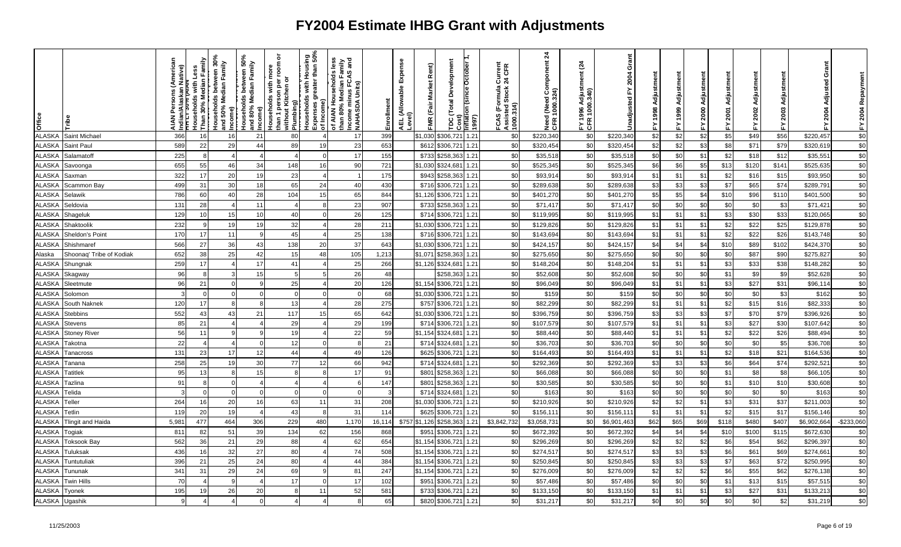| Office        |                          | ns (Americ<br>lative)<br>ndian/<br>TTTT:<br><b>NAIA</b> | Households with Less<br>Than 30% Median Family |          | Households between 30%<br>and 50% Median Family<br>Income)<br>Households between 50%<br>and 80% Median Family<br>Income) | ৯<br>room<br>Households with mo<br>than 1 person per i<br>without Kitchen or | │ Plumbing)<br>│ Households with Housing<br>│ Households with Housing<br>│ of Income)<br>│ of Income) | is less<br>Tamily<br>Sand<br>of AIAN Households le<br>than 80% Median Fami<br>Income minus FCAS a<br> NAHASDA Units) | Enrollment | Expense<br>AEL (Allowable I<br>Level) | Rent)<br>FMR (Fair Market | <b>Total Development</b><br>TDC (Total Development<br>Cost)<br>Inflation (since October 1 | (1997) | FCAS (Formula Current<br>Assisted Stock 24 CFR<br>1000.314) | $\overline{24}$<br>Need (Need Component<br>CFR 1000.324) | <u>રૂ</u><br>FY 1996 Adjusti<br>CFR 1000.340) | Grant<br>2004<br>놊<br>Unadjusted | Adjustment<br>1998<br>겂 |      | ā<br>Adjustm<br>2000<br>≿. | Adjustment<br>2001<br>置 | FY 2002 Adjustment | Adjustm<br>2003<br>십 | Grant<br>Adjusted<br>2004<br>≿ | FY 2004 Repayment |
|---------------|--------------------------|---------------------------------------------------------|------------------------------------------------|----------|--------------------------------------------------------------------------------------------------------------------------|------------------------------------------------------------------------------|-------------------------------------------------------------------------------------------------------|----------------------------------------------------------------------------------------------------------------------|------------|---------------------------------------|---------------------------|-------------------------------------------------------------------------------------------|--------|-------------------------------------------------------------|----------------------------------------------------------|-----------------------------------------------|----------------------------------|-------------------------|------|----------------------------|-------------------------|--------------------|----------------------|--------------------------------|-------------------|
| <b>ALASKA</b> | Saint Michael            | 366                                                     | 16                                             | 16       | 21                                                                                                                       | 80                                                                           |                                                                                                       | 17                                                                                                                   | 399        |                                       | \$1,030                   | \$306,72                                                                                  | 1.21   | \$0                                                         | \$220,340                                                | \$0                                           | \$220,340                        | \$2                     | \$2  | \$2                        | \$5                     | \$49               | \$56                 | \$220,457                      | \$0               |
| <b>ALASKA</b> | Saint Paul               | 589                                                     | 22                                             | 29       | 44                                                                                                                       | 89                                                                           | 19                                                                                                    | 23                                                                                                                   | 653        |                                       | \$612                     | \$306,721                                                                                 | 1.21   | \$0                                                         | \$320,454                                                | \$0                                           | \$320,454                        | \$2                     | \$2  | \$3                        | \$8                     | \$71               | \$79                 | \$320,61                       | \$0               |
| <b>ALASKA</b> | Salamatoff               | 225                                                     | 8                                              |          | 4                                                                                                                        |                                                                              | $\Omega$                                                                                              | 17                                                                                                                   | 155        |                                       | \$733                     | \$258,36                                                                                  | 1.21   | \$0                                                         | \$35,518                                                 | \$0                                           | \$35,518                         | \$0                     | \$0  | \$1                        | \$2                     | \$18               | \$12                 | \$35,55'                       | \$0               |
| <b>ALASKA</b> | Savoonga                 | 655                                                     | 55                                             | 46       | 34                                                                                                                       | 148                                                                          | 16                                                                                                    | 90                                                                                                                   | 721        |                                       | \$1,030                   | \$324,68                                                                                  | 1.21   | \$0                                                         | \$525,345                                                | \$0                                           | \$525,345                        | \$6                     | \$6  | \$5                        | \$13                    | \$120              | \$141                | \$525,635                      | \$0               |
| <b>ALASKA</b> | Saxman                   | 322                                                     | 17                                             | 20       | 19                                                                                                                       | 23                                                                           |                                                                                                       |                                                                                                                      | 175        |                                       | \$943                     | \$258,363                                                                                 | 1.21   | \$0                                                         | \$93,91                                                  | \$0                                           | \$93,914                         | \$1                     | \$1  | \$1                        | \$2                     | \$16               | \$15                 | \$93,950                       | $\sqrt{6}$        |
| <b>ALASKA</b> | Scammon Bay              | 499                                                     | 31                                             | 30       | 18                                                                                                                       | 65                                                                           | 24                                                                                                    | 40                                                                                                                   | 430        |                                       | \$716                     | \$306,72                                                                                  | 1.21   | \$0                                                         | \$289,638                                                | \$0                                           | \$289,638                        | \$3                     | \$3  | \$3                        | \$7                     | \$65               | \$74                 | \$289,79                       | \$0               |
| ALASKA        | Selawik                  | 786                                                     | 60                                             | 4(       | 28                                                                                                                       | 104                                                                          | 15                                                                                                    | 65                                                                                                                   | 844        |                                       | \$1,126                   | \$306,721                                                                                 | 1.21   | \$0                                                         | \$401,270                                                | \$0                                           | \$401,270                        | \$5                     | \$5  | \$4                        | \$10                    | \$96               | \$110                | \$401,500                      | \$0               |
| <b>ALASKA</b> | Seldovia                 | 131                                                     | 28                                             |          | 11                                                                                                                       |                                                                              |                                                                                                       | 23                                                                                                                   | 907        |                                       | \$733                     | \$258,36                                                                                  | 1.21   | \$0                                                         | \$71,41                                                  | \$0                                           | \$71,417                         | \$0                     | \$0  | \$0                        | \$0                     | \$C                | \$3                  | \$71,42'                       | \$0               |
| <b>ALASKA</b> | Shageluk                 | 129                                                     | 10                                             | 15       | 10                                                                                                                       | 40                                                                           |                                                                                                       | 26                                                                                                                   | 125        |                                       | \$714                     | \$306,721                                                                                 | 1.21   | \$0                                                         | \$119,995                                                | \$0                                           | \$119,995                        | \$1                     | \$1  | \$1                        | \$3                     | <b>\$30</b>        | \$33                 | \$120,065                      | $$0$              |
| <b>ALASKA</b> | Shaktoolik               | 232                                                     | -9                                             | 19       | 19                                                                                                                       | 32                                                                           |                                                                                                       | 28                                                                                                                   | 211        |                                       | \$1,030                   | \$306,721                                                                                 | 1.21   | \$0                                                         | \$129,826                                                | \$0                                           | \$129,826                        | \$1                     | \$1  | \$1                        | \$2                     | \$22               | \$25                 | \$129,878                      | \$0               |
| <b>ALASKA</b> | Sheldon's Point          | 170                                                     | 17                                             | 11       | Q                                                                                                                        | 45                                                                           |                                                                                                       | 25                                                                                                                   | 138        |                                       | \$716                     | \$306,72                                                                                  | 1.21   | \$0                                                         | \$143,694                                                | \$0                                           | \$143,694                        | \$1                     | \$1  | \$1                        | \$2                     | \$22               | \$26                 | \$143,748                      | \$0               |
| <b>ALASKA</b> | Shishmaref               | 566                                                     | 27                                             | 36       | 43                                                                                                                       | 138                                                                          | 20                                                                                                    | 37                                                                                                                   | 643        |                                       | \$1,030                   | \$306,721                                                                                 | 1.21   | \$0                                                         | \$424,157                                                | \$0                                           | \$424,157                        | \$4                     | \$4  | \$4                        | \$10                    | \$89               | \$102                | \$424,370                      | \$0               |
| Alaska        | Shoonaq' Tribe of Kodiak | 652                                                     | 38                                             | 25       | 42                                                                                                                       | 15                                                                           | 48                                                                                                    | 105                                                                                                                  | 1,213      |                                       | \$1,071                   | \$258,36                                                                                  | 1.21   | \$0                                                         | \$275,650                                                | \$0                                           | \$275,650                        | \$0                     | \$0  | \$0                        | \$0                     | \$87               | \$90                 | \$275,82                       | \$0               |
| <b>ALASKA</b> | Shungnak                 | 259                                                     | 17                                             |          | 17                                                                                                                       | 41                                                                           |                                                                                                       | 25                                                                                                                   | 266        |                                       |                           | \$1,126 \$324,68                                                                          | 1.21   | \$0                                                         | \$148,204                                                | \$0                                           | \$148,204                        | \$1                     | \$1  | \$1                        | \$3                     | \$33               | \$38                 | \$148,282                      | \$0               |
| <b>ALASKA</b> | Skagway                  | 96                                                      | $\mathsf{R}$                                   |          | 15                                                                                                                       | 5                                                                            |                                                                                                       | 26                                                                                                                   | 48         |                                       |                           | \$258,36                                                                                  | 1.21   | \$0                                                         | \$52,60                                                  | \$0                                           | \$52,608                         | \$0                     | \$0  | \$0                        | \$1                     | \$9                | \$9                  | \$52,628                       | \$0               |
| ALASK/        | Sleetmute                | 96                                                      | 21                                             |          |                                                                                                                          | 25                                                                           |                                                                                                       | 20                                                                                                                   | 126        |                                       | \$1.154                   | \$306,72                                                                                  | 1.21   | \$0                                                         | \$96,049                                                 | \$0                                           | \$96,049                         | \$1                     | \$1  | \$1                        | \$3                     | \$27               | \$31                 | \$96,114                       | \$0               |
| <b>ALASKA</b> | Solomon                  |                                                         | $\Omega$                                       |          |                                                                                                                          |                                                                              |                                                                                                       | $\Omega$                                                                                                             | 68         |                                       | \$1.030                   | \$306,721                                                                                 | 1.21   | \$0                                                         | \$159                                                    | \$0                                           | \$159                            | \$0                     | \$0  | \$0                        | \$0                     | \$0                | \$3                  | \$162                          | $\sqrt{6}$        |
| <b>ALASKA</b> | South Naknek             | 120                                                     | 17                                             | 8        | 8                                                                                                                        | 13                                                                           |                                                                                                       | 28                                                                                                                   | 275        |                                       | \$757                     | \$306,721                                                                                 | 1.21   | \$0                                                         | \$82,299                                                 | \$0                                           | \$82,299                         | \$1                     | \$1  | \$1                        | \$2                     | \$15               | \$16                 | \$82,333                       | \$0               |
| <b>ALASKA</b> | Stebbins                 | 552                                                     | 43                                             | 43       | 21                                                                                                                       | 117                                                                          | 15                                                                                                    | 65                                                                                                                   | 642        |                                       | \$1,030                   | \$306,721                                                                                 | 1.21   | \$0                                                         | \$396,759                                                | \$0                                           | \$396,759                        | \$3                     | \$3  | \$3                        | \$7                     | \$70               | \$79                 | \$396,926                      | \$0               |
| <b>ALASKA</b> | Stevens                  | 85                                                      | 21                                             |          |                                                                                                                          | 29                                                                           |                                                                                                       | 29                                                                                                                   | 199        |                                       | \$714                     | \$306,721                                                                                 | 1.21   | \$0                                                         | \$107,579                                                | \$0                                           | \$107,579                        | \$1                     | \$1  | \$1                        | \$3                     | \$27               | \$30                 | \$107,642                      | \$0               |
| <b>ALASKA</b> | <b>Stoney River</b>      | 56                                                      | 11                                             |          | 9                                                                                                                        | 19                                                                           |                                                                                                       | 22                                                                                                                   | 59         |                                       | \$1,154                   | \$324,68                                                                                  | 1.21   | \$0                                                         | \$88,440                                                 | \$0                                           | \$88,440                         | \$1                     | \$1  | \$1                        | \$2                     | \$22               | \$26                 | \$88,494                       | \$0               |
| <b>ALASKA</b> | Takotna                  | 22                                                      | $\overline{4}$                                 |          | $\Omega$                                                                                                                 | 12                                                                           |                                                                                                       | 8                                                                                                                    | 21         |                                       | \$714                     | \$324,68                                                                                  | 1.21   | \$0                                                         | \$36,703                                                 | \$0                                           | \$36,703                         | \$0                     | \$0  | \$0                        | \$0                     | \$0                | \$5                  | \$36,708                       | \$0               |
| ALASKA        | Tanacross                | 131                                                     | 23                                             | 17       | 12                                                                                                                       | 44                                                                           |                                                                                                       | 49                                                                                                                   | 126        |                                       | \$625                     | \$306,721                                                                                 | 1.21   | \$0                                                         | \$164,493                                                | \$0                                           | \$164,493                        | \$1                     | \$1  | \$1                        | \$2                     | \$18               | \$21                 | \$164,536                      | \$0               |
| <b>ALASKA</b> | Tanana                   | 258                                                     | 25                                             | 19       | 30                                                                                                                       | 77                                                                           | 12                                                                                                    | 66                                                                                                                   | 942        |                                       | \$714                     | \$324,68                                                                                  | 1.21   | \$0                                                         | \$292,369                                                | \$0                                           | \$292,369                        | \$3                     | \$3  | \$3                        | \$6                     | \$64               | \$74                 | \$292,52                       | \$0               |
| <b>ALASKA</b> | <b>Tatitlek</b>          | 95                                                      | 13                                             |          | 15                                                                                                                       |                                                                              |                                                                                                       | 17                                                                                                                   | 91         |                                       | \$801                     | \$258,363                                                                                 | 1.21   | \$0                                                         | \$66,088                                                 | \$0                                           | \$66,088                         | \$0                     | \$0  | \$0                        | \$1                     | \$8                | \$8                  | \$66,105                       | $$0$              |
| <b>ALASKA</b> | Tazlina                  | 91                                                      | 8                                              |          |                                                                                                                          |                                                                              |                                                                                                       | 6                                                                                                                    | 147        |                                       | \$801                     | \$258,363                                                                                 | 1.21   | \$0                                                         | \$30,585                                                 | \$0                                           | \$30,585                         | \$0                     | \$0  | \$0                        | \$1                     | \$1C               | \$10                 | \$30,608                       | \$0               |
| <b>ALASKA</b> | Telida                   | 3                                                       | $\Omega$                                       | $\Omega$ | $\Omega$                                                                                                                 |                                                                              |                                                                                                       | $\Omega$                                                                                                             | 3          |                                       | \$714                     | \$324,68                                                                                  | 1.21   | \$0                                                         | \$163                                                    | \$0                                           | \$163                            | \$0                     | \$0  | \$0                        | \$0                     | \$0                | \$0                  | \$163                          | $$0$              |
| <b>ALASKA</b> | Teller                   | 264                                                     | 16                                             | 20       | 16                                                                                                                       | 63                                                                           | 11                                                                                                    | 31                                                                                                                   | 208        |                                       | \$1,030                   | \$306,721                                                                                 | 1.21   | \$0                                                         | \$210,926                                                | \$0                                           | \$210,926                        | \$2                     | \$2  | \$1                        | \$3                     | \$31               | \$37                 | \$211,003                      | \$0               |
| <b>ALASKA</b> | Tetlin                   | 119                                                     | 20                                             | 19       | $\overline{4}$                                                                                                           | 43                                                                           |                                                                                                       | 31                                                                                                                   | 114        |                                       | \$625                     | \$306,72                                                                                  | 1.21   | \$0                                                         | \$156,11                                                 | \$0                                           | \$156,111                        | \$1                     | \$1  | \$1                        | \$2                     | \$15               | \$17                 | \$156,146                      | \$0               |
| <b>ALASKA</b> | <b>Tlingit and Haida</b> | 5,98'                                                   | 477                                            | 464      | 306                                                                                                                      | 229                                                                          | 480                                                                                                   | 1,170                                                                                                                | 16,114     | \$757                                 | \$1,126                   | \$258,363                                                                                 | 1.21   | \$3,842,732                                                 | \$3,058,731                                              | \$0                                           | \$6,901,463                      | \$62                    | \$65 | \$69                       | \$118                   | \$480              | \$407                | \$6,902,664                    | $-$ \$233,060     |
| <b>ALASKA</b> | Togiak                   | 811                                                     | 82                                             | 51       | 39                                                                                                                       | 134                                                                          | 62                                                                                                    | 156                                                                                                                  | 868        |                                       | \$951                     | \$306,721                                                                                 | 1.21   | \$0                                                         | \$672,392                                                | \$0                                           | \$672,392                        | \$4                     | \$4  | \$4                        | \$10                    | \$100              | \$115                | \$672,630                      | \$0               |
| <b>ALASKA</b> | Toksook Bay              | 562                                                     | 36                                             | 21       | 29                                                                                                                       | 88                                                                           |                                                                                                       | 62                                                                                                                   | 654        |                                       | \$1,154                   | \$306,721                                                                                 | 1.21   | \$0                                                         | \$296,269                                                | \$0                                           | \$296,269                        | \$2                     | \$2  | \$2                        | \$6                     | \$54               | \$62                 | \$296,397                      | \$0               |
| <b>ALASKA</b> | Tuluksak                 | 436                                                     | 16                                             | 32       | 27                                                                                                                       | 80                                                                           |                                                                                                       | 74                                                                                                                   | 508        |                                       | \$1,154                   | \$306,721                                                                                 | 1.21   | \$0                                                         | \$274,51                                                 | \$0                                           | \$274,517                        | \$3                     | \$3  | \$3                        | \$6                     | \$61               | \$69                 | \$274,66'                      | \$0               |
| ALASK/        | <b>Tuntutuliak</b>       | 396                                                     | 21                                             | 25       | 24                                                                                                                       | 80                                                                           |                                                                                                       | 44                                                                                                                   | 384        |                                       | \$1,154                   | \$306,721                                                                                 | 1.21   | \$0                                                         | \$250,845                                                | \$0                                           | \$250,845                        | \$3                     | \$3  | \$3                        | \$7                     | \$63               | \$72                 | \$250,995                      | \$0               |
| <b>ALASKA</b> | Tununak                  | 341                                                     | 31                                             | 29       | 24                                                                                                                       | 69                                                                           |                                                                                                       | 81                                                                                                                   | 247        |                                       | \$1,154                   | \$306,721                                                                                 | 1.21   | \$0                                                         | \$276,009                                                | \$0                                           | \$276,009                        | \$2                     | \$2  | \$2                        | \$6                     | \$55               | \$62                 | \$276,138                      | \$0               |
| <b>ALASKA</b> | Twin Hills               | 70                                                      |                                                |          | 4                                                                                                                        | 17                                                                           |                                                                                                       | 17                                                                                                                   | 102        |                                       | \$951                     | \$306,721                                                                                 | 1.21   | \$0                                                         | \$57,486                                                 | \$0                                           | \$57,486                         | \$0                     | \$0  | \$0                        | \$1                     | \$13               | \$15                 | \$57,51                        | \$0               |
| ALASKA        | Tyonek                   | 195                                                     | 19                                             | 26       | 20                                                                                                                       |                                                                              | 11                                                                                                    | 52                                                                                                                   | 581        |                                       | \$733                     | \$306,72                                                                                  | 1.21   | \$0                                                         | \$133,150                                                | \$0                                           | \$133,150                        | \$1                     | \$1  | \$1                        | \$3                     | \$27               | \$31                 | \$133,213                      | \$0               |
| <b>ALASKA</b> | Ugashik                  |                                                         |                                                |          | $\Omega$                                                                                                                 |                                                                              |                                                                                                       | $\mathbf{R}$                                                                                                         | 65         |                                       | \$820                     | \$306,721                                                                                 | 1.21   | $\sqrt{6}$                                                  | \$31,217                                                 | \$0                                           | \$31,217                         | \$0                     | \$0  | \$0                        | \$0                     | \$0                | \$2                  | \$31,219                       | \$0               |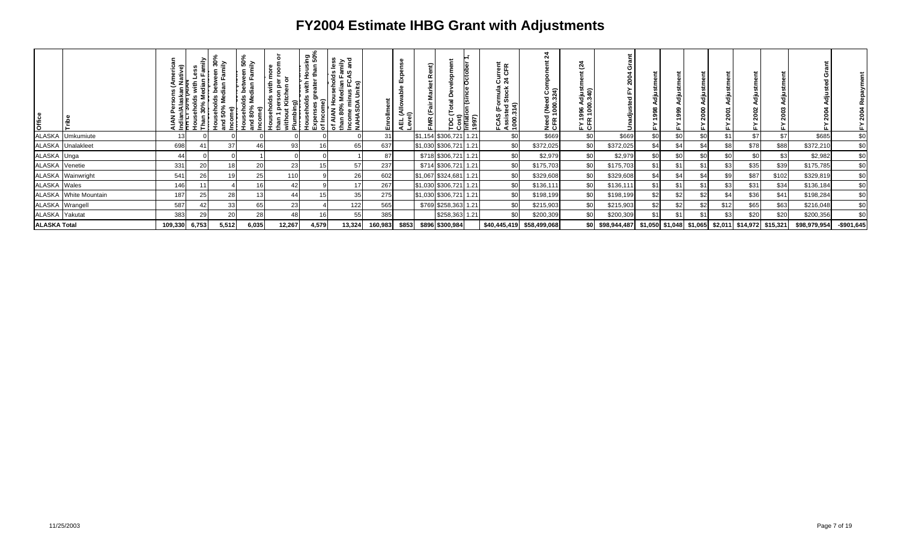| <b>Office</b>       |                       | š       |                 | ≅<br>동<br>និ | 0<br>ី ≲ិ<br>betv<br>dian<br>ო —<br>≊ ≥<br>န္တ<br>몯 | 둠<br>ၟ<br>€<br>ᅕ<br>Š<br>than<br>់ ៖ គ្ន | ខិត្តិ<br><u>ა</u><br>∌ ڢ<br>€ ₽<br>of le | siess<br>vli™<br>amd<br><u>ഗ</u> ത<br>호<br>홈 표 없<br>ัด<br>Income minus F<br>NAHASDA Units<br>ੌਰ<br>AIAN<br>an 80%<br>동품 |         | ш<br>।<br>बुँ<br>⊣<br>ᇦᅘ | œ |                        | Cost)<br>Inflati<br>1997) | ē<br>CFR<br>రె న<br>nua<br>tock<br>Ò.<br>, ਦੂੰ ਦੇ<br>ະ<br>نب<br>ທ<br>FCAS<br>Assis<br>1000. | Ñ<br>Need (Need Cor<br>CFR 1000.324) | Ñ<br>न हैं<br>. ပ |                  |                  |     |     |      |                                                   |       |              |             |
|---------------------|-----------------------|---------|-----------------|--------------|-----------------------------------------------------|------------------------------------------|-------------------------------------------|-------------------------------------------------------------------------------------------------------------------------|---------|--------------------------|---|------------------------|---------------------------|---------------------------------------------------------------------------------------------|--------------------------------------|-------------------|------------------|------------------|-----|-----|------|---------------------------------------------------|-------|--------------|-------------|
|                     | ALASKA Umkumiute      |         |                 |              |                                                     |                                          |                                           |                                                                                                                         | 31      |                          |   | \$1,154 \$306,721      | 1.21                      | \$ <sub>6</sub>                                                                             | \$669                                | \$0               | \$669            | \$0              | \$ı | \$0 | \$1  | \$7                                               | \$7   | \$685        | \$0         |
|                     | ALASKA Unalakleet     | 698     | 41              |              |                                                     | 93                                       |                                           | 65                                                                                                                      | 637     |                          |   | \$1,030 \$306,721 1.21 |                           | \$0                                                                                         | \$372,025                            | \$0               | \$372,025        | \$4 <sub>1</sub> | \$  |     | \$8  | \$78                                              | \$88  | \$372,210    | \$0         |
| ALASKA Unga         |                       | 44      |                 |              |                                                     |                                          |                                           |                                                                                                                         | 87      |                          |   | \$718 \$306,721 1.21   |                           | \$0                                                                                         | \$2,979                              | <b>SOI</b>        | \$2,979          | \$0              |     | \$0 | \$0  | \$0                                               | \$3   | \$2,982      | \$0         |
| ALASKA Venetie      |                       | 331     | 20              |              | 2(                                                  | 23                                       |                                           | 57                                                                                                                      | 237     |                          |   | \$714 \$306,721 1.21   |                           | \$0                                                                                         | \$175,703                            | \$0               | \$175,703        | \$1              | \$1 | \$1 | \$3  | \$35                                              | \$39  | \$175,785    | \$0         |
|                     | ALASKA Wainwright     | 541     | 26 <sub>1</sub> |              | 25                                                  | 110                                      |                                           | 26                                                                                                                      | 602     |                          |   | \$1,067 \$324,681 1.21 |                           | \$0                                                                                         | \$329,608                            | \$0               | \$329,608        | \$4              | \$  | \$4 | \$9  | \$87                                              | \$102 | \$329,819    | \$0         |
| <b>ALASKA</b> Wales |                       | 146     |                 |              |                                                     |                                          |                                           | 17                                                                                                                      | 267     |                          |   | \$1,030 \$306,721 1.21 |                           | \$0                                                                                         | \$136,111                            | \$01              | \$136,111        | \$1              | \$1 | \$1 | \$3  | \$31                                              | \$34  | \$136,184    | \$0         |
|                     | ALASKA White Mountain | 187     | 25              | 28           |                                                     |                                          |                                           | 35                                                                                                                      | 275     |                          |   | \$1,030 \$306,721 1.21 |                           | \$0                                                                                         | \$198,199                            | \$0               | \$198,199        | \$2              | \$ź | \$2 | \$4  | \$36                                              | \$41  | \$198,284    | \$0         |
| ALASKA Wrangell     |                       | 587     | 42              | 33           |                                                     | 23                                       |                                           | 122                                                                                                                     | 565     |                          |   | \$769 \$258,363 1.21   |                           | \$0                                                                                         | \$215,903                            | \$0               | \$215,903        | \$2              | \$  | \$2 | \$12 | \$65                                              | \$63  | \$216,048    | \$0         |
| ALASKA Yakutat      |                       | 383     | 29              | 20           | 28                                                  |                                          |                                           | 55                                                                                                                      | 385     |                          |   | \$258,363 1.21         |                           | \$ <sub>0</sub>                                                                             | \$200,309                            | \$0.              | \$200,309        | \$1              |     | \$1 | \$3  | \$20                                              | \$20  | \$200,356    | \$0         |
| <b>ALASKA Total</b> |                       | 109,330 | 6,753           | 5,512        | 6,035                                               | 12,267                                   | 4,579                                     | 13,324                                                                                                                  | 160,983 | \$853                    |   | \$896 \$300,984        |                           | \$40,445,419                                                                                | \$58,499,068                         |                   | \$0 \$98,944,487 |                  |     |     |      | \$1,050 \$1,048 \$1,065 \$2,011 \$14,972 \$15,321 |       | \$98,979,954 | $-$901,645$ |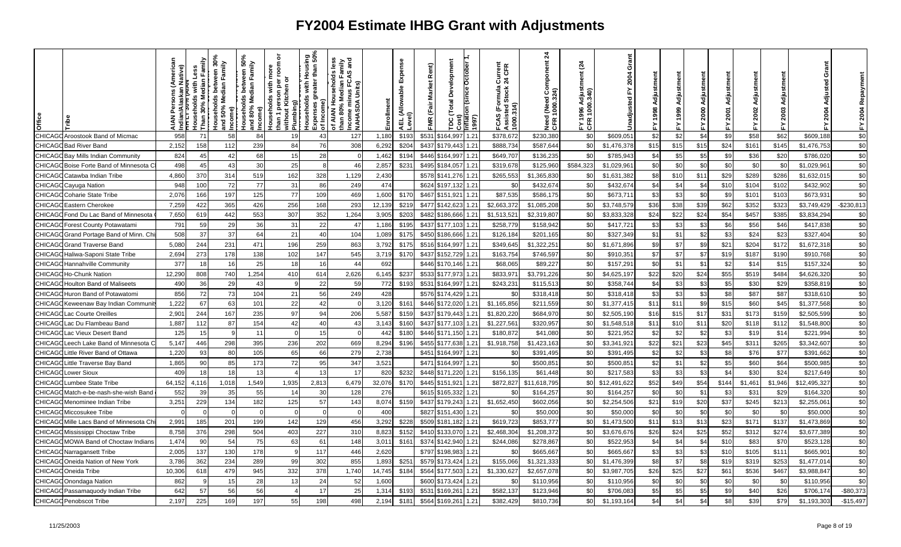| Office        |                                   | ative) | '''<br>-Iouseholds with ∟<br>- . ~ ?^% Median <u>F</u><br>Than | veen 30°<br>Family<br>Median<br>louseholds<br>ind 50% Med<br>Income)<br>힡 | ween 50°,<br>Family<br><b>Median</b><br>ğ<br>Households I<br>and 80% Med | ō<br>room<br>Households with mor<br>han 1 person per roc<br>১<br>person p <del>e</del><br>ut Kitchen<br>Plumbing)<br>than 1 p<br>without | Housing<br>r than 50%<br>£<br>eater<br>with<br>touseholds<br>ಕಾ<br>Expenses g<br>of Income) | and<br>≦ š<br>FCAS<br><u>ds</u><br>$\bar{\mathbf{a}}$<br>Househo<br>ត្ត<br>Units)<br>Income min<br>NAHASDA I<br>of AIAN H<br>than 80% ا | Enrollment | Expense<br> AEL (Allowable I<br> <br> Level) | Rent)<br><b>Market</b><br><b>-MR</b> (Fair | Development<br><b>Octobel</b><br>Total<br>997)<br>$\overline{\text{min}}$<br>ă | Current<br>24 CFR<br>FCAS (Formula (<br>Assisted Stock 2<br>1000.314) | 24<br>(Need Component<br>1000.324)<br>Need<br>CFR <sub>1</sub> | $\tilde{q}$<br>g<br>996<br>진도 | Grant<br>2004<br>lnadju | Adiustm |              | 름    | 2001<br>盖 | ã<br>Adjustm<br>2002<br>놊 | ≿.      | ò<br>g<br>ᇹ  | Repay<br>2004<br>눏 |
|---------------|-----------------------------------|--------|----------------------------------------------------------------|---------------------------------------------------------------------------|--------------------------------------------------------------------------|------------------------------------------------------------------------------------------------------------------------------------------|---------------------------------------------------------------------------------------------|-----------------------------------------------------------------------------------------------------------------------------------------|------------|----------------------------------------------|--------------------------------------------|--------------------------------------------------------------------------------|-----------------------------------------------------------------------|----------------------------------------------------------------|-------------------------------|-------------------------|---------|--------------|------|-----------|---------------------------|---------|--------------|--------------------|
| <b>CHICAG</b> | <b>Aroostook Band of Micmac</b>   | 958    | 71                                                             | 58                                                                        | 84                                                                       | 19                                                                                                                                       | 43                                                                                          | 127                                                                                                                                     | 1,180      | \$193                                        | \$531                                      | 1.21<br>164,997                                                                | \$378,67                                                              | \$230,380                                                      | \$0                           | \$609,05                | \$2     | \$2          | \$4  | \$9       | \$58                      | \$62    | \$609,188    | \$0                |
| <b>CHICAG</b> | <b>B</b> ad River Band            | 2,152  | 158                                                            | 112                                                                       | 239                                                                      | 84                                                                                                                                       | 76                                                                                          | 308                                                                                                                                     | 6,292      | \$204                                        | \$437                                      | 1.21<br>\$179,443                                                              | \$888,734                                                             | \$587,644                                                      | \$0                           | \$1,476,378             | \$15    | \$15         | \$15 | \$24      | \$161                     | \$145   | \$1,476,753  | \$0                |
| CHICAG        | <b>Bay Mills Indian Community</b> | 824    | 45                                                             | 42                                                                        | 68                                                                       | 15                                                                                                                                       | 28                                                                                          |                                                                                                                                         | 1,462      | \$194                                        | \$446                                      | 1.21<br>\$164,997                                                              | \$649,707                                                             | \$136,235                                                      | \$0                           | \$785,943               | \$4     | \$5          | \$5  | \$9       | \$36                      | \$20    | \$786,020    | \$0                |
| <b>CHICAG</b> | Boise Forte Band of Minnesota C   | 498    | 45                                                             | 43                                                                        | 30                                                                       | 25                                                                                                                                       |                                                                                             | 46                                                                                                                                      | 2,857      | \$23'                                        | \$495                                      | \$184,057<br>1.21                                                              | \$319,678                                                             | \$125,960                                                      | \$584,32                      | \$1,029,961             | \$0     | \$0          | \$0  | \$0       | \$0                       | \$0     | \$1,029,96   | \$0                |
| CHICAG        | Catawba Indian Tribe              | 4,860  | 370                                                            | 314                                                                       | 519                                                                      | 162                                                                                                                                      | 328                                                                                         | 1,129                                                                                                                                   | 2,430      |                                              | \$578                                      | 1.21<br>\$141,276                                                              | \$265,55                                                              | \$1,365,83                                                     | \$C                           | \$1,631,382             | \$8     | \$10         | \$11 | \$29      | \$289                     | \$286   | \$1,632,01   | \$0                |
| CHICAG        | Cayuga Nation                     | 948    | 100                                                            | 72                                                                        | 77                                                                       | 31                                                                                                                                       | 86                                                                                          | 249                                                                                                                                     | 474        |                                              | \$624                                      | 1.21<br>6197.132                                                               | ا\$.                                                                  | \$432,674                                                      | \$0                           | \$432,67                | \$4     | \$4          | \$4  | \$10      | \$104                     | \$102   | \$432,902    | \$0                |
| <b>CHICAG</b> | Coharie State Tribe               | 2,076  | 166                                                            | 197                                                                       | 125                                                                      | 77                                                                                                                                       | 109                                                                                         | 469                                                                                                                                     | 1,600      | \$170                                        | \$467                                      | 1.21<br>\$151,921                                                              | \$87,535                                                              | \$586,175                                                      | \$0                           | \$673,711               | \$3     | \$3          | \$0  | \$9       | \$101                     | \$103   | \$673,931    | \$0                |
| CHICAG        | Eastern Cherokee                  | 7,259  | 422                                                            | 365                                                                       | 426                                                                      | 256                                                                                                                                      | 168                                                                                         | 293                                                                                                                                     | 12,139     | \$219                                        | \$477                                      | 1.21<br>\$142,623                                                              | \$2,663,37                                                            | \$1,085,208                                                    | \$0                           | \$3,748,579             | \$36    | \$38         | \$39 | \$62      | \$352                     | \$323   | \$3,749,429  | $-$230,813$        |
| CHICAG        | Fond Du Lac Band of Minnesota     | 7,650  | 619                                                            | 442                                                                       | 553                                                                      | 307                                                                                                                                      | 352                                                                                         | 1,264                                                                                                                                   | 3,905      | \$203                                        | \$482                                      | 1.21<br>\$186,666                                                              | \$1,513,52                                                            | \$2,319,807                                                    | \$C                           | \$3,833,328             | \$24    | \$22         | \$24 | \$54      | \$457                     | \$385   | \$3,834,294  | \$0                |
| CHICAG        | <b>Forest County Potawatami</b>   | 791    | 59                                                             | 29                                                                        | 36                                                                       | 31                                                                                                                                       | 22                                                                                          | 47                                                                                                                                      | 1,186      | \$195                                        | \$437                                      | \$177.103<br>1.21                                                              | \$258.77                                                              | \$158.942                                                      | \$0                           | \$417,72                | \$3     | \$3          | \$3  | \$6       | \$56                      | \$46    | \$417,838    | \$0                |
| CHICAG        | Grand Portage Band of Minn. Ch    | 508    | 37                                                             | 37                                                                        | 64                                                                       | 21                                                                                                                                       | 40                                                                                          | 104                                                                                                                                     | 1,089      | \$175                                        | \$450                                      | \$186,666<br>$1.2^{\circ}$                                                     | \$126,18                                                              | \$201,16                                                       | \$0                           | \$327,349               | \$1     | $\mathbb{S}$ | \$2  | \$3       | \$24                      | \$23    | \$327,404    | \$0                |
| CHICAG        | <b>Grand Traverse Band</b>        | 5,080  | 244                                                            | 231                                                                       | 471                                                                      | 196                                                                                                                                      | 259                                                                                         | 863                                                                                                                                     | 3,792      | \$175                                        | \$516                                      | 1.21<br>\$164,997                                                              | \$349,64                                                              | \$1,322,251                                                    | \$0                           | \$1,671,896             | \$9     | \$7          | \$9  | \$21      | \$204                     | \$172   | \$1,672,31   | \$0                |
| CHICAG        | Haliwa-Saponi State Tribe         | 2,694  | 273                                                            | 178                                                                       | 138                                                                      | 102                                                                                                                                      | 147                                                                                         | 545                                                                                                                                     | 3,719      | \$170                                        | \$437                                      | 1.21<br>\$152,729                                                              | \$163,754                                                             | \$746,597                                                      | \$0                           | \$910,35'               | \$7     | \$7          | \$7  | \$19      | \$187                     | \$190   | \$910,768    | \$0                |
| <b>CHICAG</b> | <b>Hannahville Community</b>      | 377    | 18                                                             | -16                                                                       | 25                                                                       | 18                                                                                                                                       | 16                                                                                          | 44                                                                                                                                      | 692        |                                              | \$446                                      | \$170,146<br>1.21                                                              | \$68,065                                                              | \$89,227                                                       | \$0                           | \$157,291               | \$0     | \$1          | \$1  | \$2       | \$14                      | \$15    | \$157,324    | \$0                |
| CHICAG        | <b>Ho-Chunk Nation</b>            | 12,290 | 808                                                            | 740                                                                       | 1,254                                                                    | 410                                                                                                                                      | 614                                                                                         | 2,626                                                                                                                                   | 6,145      | \$237                                        | \$533                                      | \$177,973<br>1.21                                                              | \$833,97                                                              | \$3,791,226                                                    | \$0                           | \$4,625,197             | \$22    | \$20         | \$24 | \$55      | \$519                     | \$484   | \$4,626,320  | \$0                |
| CHICAG        | <b>Houlton Band of Maliseets</b>  | 490    | 36                                                             | 29                                                                        | 43                                                                       |                                                                                                                                          | 22                                                                                          | 59                                                                                                                                      | 772        | \$193                                        | \$531                                      | \$164,997<br>1.21                                                              | \$243,23                                                              | \$115,51                                                       | \$0                           | \$358,744               | \$4     | <b>S:</b>    | \$3  | \$5       | \$30                      | \$29    | \$358,81     | \$0                |
| CHICAG        | Huron Band of Potawatomi          | 856    | 72                                                             | -73                                                                       | 104                                                                      | 21                                                                                                                                       | 56                                                                                          | 249                                                                                                                                     | 428        |                                              | \$576                                      | 1.21<br>\$174,429                                                              | \$0                                                                   | \$318,418                                                      | \$0                           | \$318,418               | \$3     | \$3          | \$3  | \$8       | \$87                      | \$87    | \$318,61     | \$0                |
| CHICAG        | Keweenaw Bay Indian Communit      | 1,222  | 67                                                             | 63                                                                        | 101                                                                      | 22                                                                                                                                       | 42                                                                                          |                                                                                                                                         | 3,120      | \$161                                        | \$446                                      | 1.21<br>\$172,020                                                              | \$1,165,856                                                           | \$211,559                                                      | \$0                           | \$1,377,415             | \$11    | \$11         | \$9  | \$15      | \$60                      | \$45    | \$1,377,568  | \$0                |
| CHICAG        | Lac Courte Oreilles               | 2,901  | 244                                                            | 167                                                                       | 235                                                                      | 97                                                                                                                                       | 94                                                                                          | 206                                                                                                                                     | 5,587      | \$159                                        | \$437                                      | \$179,443<br>1.21                                                              | \$1,820,22                                                            | \$684,970                                                      | \$0                           | \$2,505,190             | \$16    | \$15         | \$17 | \$31      | \$173                     | \$159   | \$2,505,599  | \$0                |
| CHICAG        | Lac Du Flambeau Band              | 1,887  | 112                                                            | 87                                                                        | 154                                                                      | 42                                                                                                                                       | 40                                                                                          | 43                                                                                                                                      | 3,143      | \$160                                        | \$437                                      | \$177,103<br>1.21                                                              | \$1,227,56                                                            | \$320,957                                                      | \$C                           | \$1,548,518             | \$11    | \$1          | \$11 | \$20      | \$118                     | \$112   | \$1,548,800  | \$0                |
| CHICAG        | Lac Vieux Desert Band             | 125    | 15                                                             |                                                                           | 11                                                                       |                                                                                                                                          | 15                                                                                          |                                                                                                                                         | 442        | \$180                                        | \$446                                      | 1.21<br>\$171,150                                                              | \$180,87                                                              | \$41,080                                                       | \$0                           | \$221,952               | \$2     | \$2          | \$2  | \$3       | \$19                      | \$14    | \$221,994    | \$0                |
| CHICAG        | Leech Lake Band of Minnesota C    | 5,147  | 446                                                            | 298                                                                       | 395                                                                      | 236                                                                                                                                      | 202                                                                                         | 669                                                                                                                                     | 8,294      | \$196                                        | \$455                                      | 1.21<br>\$177,638                                                              | \$1,918,758                                                           | \$1,423,163                                                    | \$0                           | \$3,341,921             | \$22    | \$21         | \$23 | \$45      | \$311                     | \$265   | \$3,342,607  | \$0                |
| CHICAG        | Little River Band of Ottawa       | 1,220  | 93                                                             | 80                                                                        | 105                                                                      | 65                                                                                                                                       | 66                                                                                          | 279                                                                                                                                     | 2,738      |                                              | \$451                                      | \$164,997<br>1.21                                                              | \$0                                                                   | \$391,495                                                      | \$0                           | \$391,495               | \$2     | \$2          | \$3  | \$8       | \$76                      | \$77    | \$391,662    | \$0                |
| CHICAG        | Little Traverse Bay Band          | 1,865  | 90                                                             | 85                                                                        | 173                                                                      | 72                                                                                                                                       | 95                                                                                          | 347                                                                                                                                     | 3,521      |                                              | \$471                                      | 1.21<br>\$164,997                                                              | \$0                                                                   | \$500,851                                                      | \$0                           | \$500,85                | \$2     | \$1          | \$2  | \$5       | \$60                      | \$64    | \$500,985    | \$0                |
| CHICAG        | Lower Sioux                       | 409    | 18                                                             |                                                                           | 13                                                                       |                                                                                                                                          |                                                                                             | 17                                                                                                                                      | 820        | \$232                                        | \$448                                      | \$171,220<br>1.21                                                              | \$156,135                                                             | \$61,448                                                       | \$0                           | \$217,583               | \$3     | \$3          | \$3  | \$4       | \$30                      | \$24    | \$217,649    | \$0                |
| CHICAG        | Lumbee State Tribe                | 64,152 | 4,116                                                          | 1,018                                                                     | 1,549                                                                    | 1,935                                                                                                                                    | 2,813                                                                                       | 6,479                                                                                                                                   | 32,076     | \$170                                        | \$445                                      | 1.21<br>\$151,921                                                              | \$872,827                                                             | \$11,618,795                                                   | \$0                           | \$12,491,622            | \$52    | \$49         | \$54 | \$144     | \$1,461                   | \$1,946 | \$12,495,327 | \$0                |
| CHICAG        | J Match-e-be-nash-she-wish Band   | 552    | 39                                                             | 35                                                                        | 55                                                                       | 14                                                                                                                                       | -30                                                                                         | 128                                                                                                                                     | 276        |                                              | \$615                                      | 1.21<br>\$165,332                                                              | \$0                                                                   | \$164,257                                                      | \$0                           | \$164,257               | \$0     | \$0          | \$1  | \$3       | \$31                      | \$29    | \$164,320    | \$0                |
| CHICAG        | Menominee Indian Tribe            | 3,251  | 229                                                            | 134                                                                       | 182                                                                      | 125                                                                                                                                      | 57                                                                                          | 143                                                                                                                                     | 8,074      | \$159                                        | \$437                                      | 1.21<br>\$179,243                                                              | \$1,652,450                                                           | \$602,056                                                      | \$C                           | \$2,254,506             | \$21    | \$15         | \$20 | \$37      | \$245                     | \$213   | \$2,255,06   | \$0                |
| CHICAG        | Miccosukee Tribe                  |        |                                                                |                                                                           | $\Omega$                                                                 |                                                                                                                                          |                                                                                             |                                                                                                                                         | 400        |                                              | \$827                                      | \$151,430<br>1.21                                                              | \$0                                                                   | \$50,000                                                       | \$0                           | \$50,00                 | \$0     | <b>SC</b>    | \$0  | \$0       | \$0                       | \$0     | \$50,000     | \$0                |
| CHICAG        | Mille Lacs Band of Minnesota Ch   | 2,991  | 185                                                            | 201                                                                       | 199                                                                      | 142                                                                                                                                      | 129                                                                                         | 456                                                                                                                                     | 3,292      | \$228                                        | \$509                                      | 1.21<br>\$181,182                                                              | \$619,723                                                             | \$853,777                                                      | \$C                           | \$1,473,500             | \$11    | \$1.         | \$13 | \$23      | \$171                     | \$137   | \$1,473,869  | \$0                |
| CHICAG        | Mississippi Choctaw Tribe         | 8.758  | 376                                                            | 298                                                                       | 504                                                                      | 403                                                                                                                                      | 227                                                                                         | 310                                                                                                                                     | 8,823      | \$152                                        | \$410                                      | 1.21<br>\$133.070                                                              | \$2,468,304                                                           | \$1,208,372                                                    | \$0                           | \$3,676,676             | \$26    | \$24         | \$25 | \$52      | \$312                     | \$274   | \$3,677,389  | \$0                |
| <b>CHICAG</b> | MOWA Band of Choctaw Indians      | 1,474  | 90                                                             | 54                                                                        | 75                                                                       | 63                                                                                                                                       | 61                                                                                          | 148                                                                                                                                     | 3,011      | \$161                                        | \$374                                      | 1.21<br>\$142,940                                                              | \$244,086                                                             | \$278,867                                                      | \$0                           | \$522,953               | \$4     | \$4          | \$4  | \$10      | \$83                      | \$70    | \$523,128    | $\$0$              |
| CHICAG        | Narragansett Tribe                | 2,005  | 137                                                            | 130                                                                       | 178                                                                      |                                                                                                                                          | 117                                                                                         | 446                                                                                                                                     | 2,620      |                                              | \$797                                      | 1.21<br>\$198,983                                                              | \$0                                                                   | \$665,667                                                      | \$0                           | \$665,667               | \$3     | \$3          | \$3  | \$10      | \$105                     | \$111   | \$665,90     | $\sqrt{6}$         |
| CHICAG        | Oneida Nation of New York         | 3,786  | 362                                                            | 234                                                                       | 289                                                                      | 99                                                                                                                                       | 302                                                                                         | 855                                                                                                                                     | 1,893      | \$25'                                        | \$579                                      | \$173,424<br>1.21                                                              | \$155,066                                                             | \$1,321,333                                                    | \$0                           | \$1,476,399             | \$8     | \$7          | \$8  | \$19      | \$319                     | \$253   | \$1,477,01   | \$0                |
| CHICAG        | Oneida Tribe                      | 10,306 | 618                                                            | 479                                                                       | 945                                                                      | 332                                                                                                                                      | 378                                                                                         | 1,740                                                                                                                                   | 14,745     | \$184                                        | \$564                                      | \$177,503<br>1.21                                                              | \$1,330,62                                                            | \$2,657,078                                                    | \$0                           | \$3,987,705             | \$26    | \$25         | \$27 | \$61      | \$536                     | \$467   | \$3,988,847  | \$0                |
| CHICAG        | <b>Onondaga Nation</b>            | 862    |                                                                | 15                                                                        | 28                                                                       | 13                                                                                                                                       | 24                                                                                          | 52                                                                                                                                      | 1,600      |                                              | \$600                                      | \$173,424<br>1.21                                                              | \$0                                                                   | \$110,956                                                      | \$0                           | \$110,956               | \$0     | \$0          | \$0  | \$0       | \$C                       | \$0     | \$110,956    | \$0                |
|               | CHICAGO Passamaquody Indian Tribe | 642    | 57                                                             | 56                                                                        | 56                                                                       |                                                                                                                                          | 17                                                                                          | 25                                                                                                                                      | 1,314      | \$193                                        | \$531                                      | 1.21<br>\$169,261                                                              | \$582,137                                                             | \$123,946                                                      | \$C                           | \$706,083               | \$5     | \$5          | \$5  | \$9       | \$40                      | \$26    | \$706,17     | $-$80,373$         |
|               | <b>CHICAGO Penobscot Tribe</b>    | 2,197  | 225                                                            | 169                                                                       | 197                                                                      | 55                                                                                                                                       | 198                                                                                         | 498                                                                                                                                     | 2,194      | \$181                                        | \$564                                      | \$169,261<br>1.21                                                              | \$382,429                                                             | \$810,736                                                      | \$0                           | \$1,193,164             | \$4     | \$4          | \$4  | \$8       | \$39                      | \$79    | \$1,193,303  | $-$15,497$         |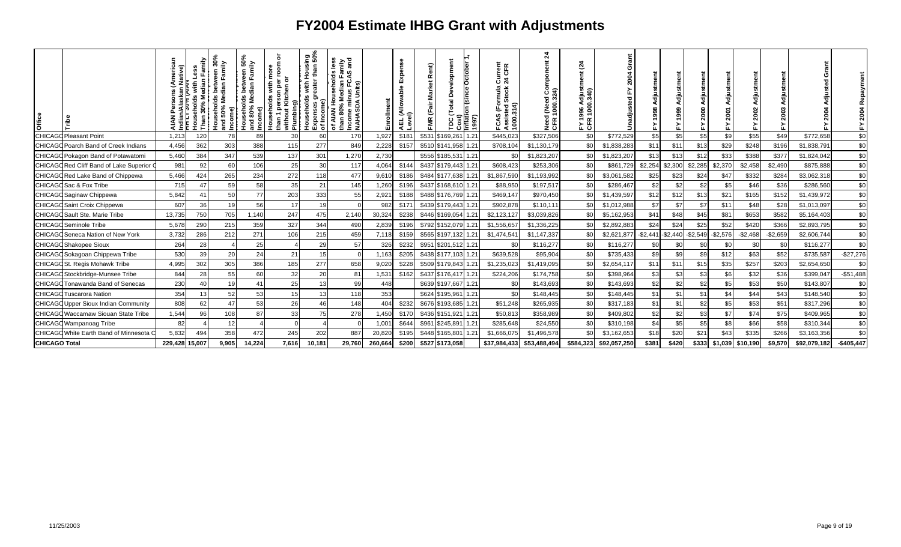| <b>Office</b>        |                                             |                | ត្នា ក្ន<br>Median<br>eholds<br>30% M<br>£ | veen 30<br>Family<br>Median<br>50%<br>me)<br>$rac{8}{2}$<br>$\overline{g}$ | 50%<br>veen 50<br>Family<br>Ids betw<br>Median<br>Households<br>and 80% Me | ō<br>room<br>with<br>1 person pe<br>out Kitchen<br>S<br>income)<br>Households<br>Plumbing)<br>than 1<br>withol | sing<br>n 50%<br>tha<br>훈<br>with<br>ē<br>Households<br>Expenses gre<br>of Income)<br>j<br>Sasır<br>Sasır | and<br>viin<br>Mil<br>ু<br><u>ʻs</u><br>ω<br>usehol<br><b>IIAN Househol</b><br>n 80% Median<br>ome minus FC.<br>1ASDA Units)<br><b>AIAN</b><br>than 80°<br><b>NAHA</b><br>ৢ৾ | 틐       | ō<br>ш<br>able<br>L (Allowa<br>/el)<br>학 회 | Rent)<br><b>FMR</b> | velopmen<br>Total<br>ω | Cost)<br>nflation (since October<br>1997) | Current<br>24 CFR<br>¦≣<br>Stock<br>Ē<br><b>FCAS (For<br/>Assisted S</b><br>1000.314) | ম<br>onent<br>ă<br><b>9</b><br>324)<br>1000:<br>1000:<br>Need<br>CFR 1 | $\tilde{c}$<br>'ਚ ਨ<br>98<br>: 5 |              | 릉<br>998<br>$\overline{ }$ |           |           | $\bar{\mathbf{c}}$ | ã<br>Adjustm<br>2002 |           |              | $\frac{8}{2}$ |
|----------------------|---------------------------------------------|----------------|--------------------------------------------|----------------------------------------------------------------------------|----------------------------------------------------------------------------|----------------------------------------------------------------------------------------------------------------|-----------------------------------------------------------------------------------------------------------|------------------------------------------------------------------------------------------------------------------------------------------------------------------------------|---------|--------------------------------------------|---------------------|------------------------|-------------------------------------------|---------------------------------------------------------------------------------------|------------------------------------------------------------------------|----------------------------------|--------------|----------------------------|-----------|-----------|--------------------|----------------------|-----------|--------------|---------------|
|                      | <b>CHICAGO Pleasant Point</b>               | 1,213          | 120                                        | 78                                                                         | 89                                                                         | 30                                                                                                             | 60                                                                                                        | 170                                                                                                                                                                          | 1,927   | \$181                                      |                     | \$531 \$169,261        | 1.21                                      | \$445,023                                                                             | \$327,506                                                              | \$0                              | \$772,529    | \$5                        | \$5       | \$5       | \$9                | \$55                 | \$49      | \$772,658    | \$0           |
|                      | <b>CHICAGO Poarch Band of Creek Indians</b> | 4,456          | 362                                        | 303                                                                        | 388                                                                        | 115                                                                                                            | 277                                                                                                       | 849                                                                                                                                                                          | 2,228   | \$157                                      |                     | \$510 \$141,958        | 1.21                                      | \$708,104                                                                             | \$1,130,179                                                            | <b>SC</b>                        | \$1,838,283  | \$11                       | \$11      | \$13      | \$29               | \$248                | \$196     | \$1,838,791  | \$0           |
|                      | CHICAGO Pokagon Band of Potawatomi          | 5,460          | 384                                        | 347                                                                        | 539                                                                        | 137                                                                                                            | 301                                                                                                       | 1,270                                                                                                                                                                        | 2,730   |                                            |                     | \$556 \$185,531 1.21   |                                           | \$0                                                                                   | \$1,823,207                                                            | <b>SC</b>                        | \$1,823,207  | \$13                       | \$13      | \$12      | \$33               | \$388                | \$377     | \$1,824,042  | \$0           |
|                      | CHICAGO Red Cliff Band of Lake Superior (   | 981            | 92                                         | 60                                                                         | 106                                                                        | 25                                                                                                             | 30                                                                                                        | 117                                                                                                                                                                          | 4,064   | \$144                                      |                     | \$437 \$179,443        | 1.21                                      | \$608,423                                                                             | \$253,306                                                              | -\$C                             | \$861,729    | \$2,254                    | \$2,300   | \$2,285   | \$2,370            | \$2,458              | \$2,490   | \$875,888    | \$0           |
|                      | CHICAGO Red Lake Band of Chippewa           | 5,466          | 424                                        | 265                                                                        | 234                                                                        | 272                                                                                                            | 118                                                                                                       | 477                                                                                                                                                                          | 9,610   | \$186                                      |                     | \$484 \$177,638        | 1.21                                      | \$1,867,590                                                                           | \$1,193,992                                                            | \$                               | \$3,061,582  | \$25                       | \$23      | \$24      | \$47               | \$332                | \$284     | \$3,062,318  | \$0           |
|                      | CHICAGO Sac & Fox Tribe                     | 715            | 47                                         | 59                                                                         | 58                                                                         | 35                                                                                                             | 21                                                                                                        | 145                                                                                                                                                                          | 1,260   | \$196                                      |                     | \$437 \$168,610        | 1.21                                      | \$88,950                                                                              | \$197,517                                                              | <b>\$C</b>                       | \$286,467    | \$2                        | \$2       | \$2       | \$5                | \$46                 | \$36      | \$286,560    | \$0           |
|                      | CHICAGO Saginaw Chippewa                    | 5,842          | 41                                         | 50                                                                         | 77                                                                         | 203                                                                                                            | 333                                                                                                       | 55                                                                                                                                                                           | 2,921   | \$188                                      |                     | \$488 \$176,769        | 1.21                                      | \$469,147                                                                             | \$970,450                                                              | \$0                              | \$1,439,597  | \$12                       | \$12      | \$13      | \$21               | \$165                | \$152     | \$1,439,972  | \$0           |
|                      | <b>CHICAGO</b> Saint Croix Chippewa         | 607            | 36                                         | 19                                                                         | 56                                                                         | 17                                                                                                             | 19                                                                                                        |                                                                                                                                                                              | 982     | \$171                                      |                     | \$439 \$179,443        | 1.21                                      | \$902,878                                                                             | \$110,111                                                              | -\$1                             | \$1,012,988  | \$7                        | \$7       | \$7       | \$11               | \$48                 | \$28      | \$1,013,097  | \$0           |
|                      | CHICAGO Sault Ste. Marie Tribe              | 13,735         | 750                                        | 705                                                                        | 1,140                                                                      | 247                                                                                                            | 475                                                                                                       | 2,140                                                                                                                                                                        | 30,324  | \$238                                      |                     | \$446 \$169,054        | 1.21                                      | \$2,123,127                                                                           | \$3,039,826                                                            | \$0                              | \$5,162,953  | \$41                       | \$48      | \$45      | \$81               | \$653                | \$582     | \$5,164,403  | \$0           |
|                      | <b>CHICAGO</b> Seminole Tribe               | 5,678          | 290                                        | 215                                                                        | 359                                                                        | 327                                                                                                            | 344                                                                                                       | 490                                                                                                                                                                          | 2,839   | \$196                                      |                     | \$792 \$152,079        | 1.21                                      | \$1,556,65                                                                            | \$1,336,225                                                            | -\$1                             | \$2,892,883  | \$24                       | \$24      | \$25      | \$52               | \$420                | \$366     | \$2,893,795  | \$0           |
|                      | <b>CHICAGO</b> Seneca Nation of New York    | 3,732          | 286                                        | 212                                                                        | 271                                                                        | 106                                                                                                            | 215                                                                                                       | 459                                                                                                                                                                          | 7,118   | \$159                                      |                     | \$565 \$197,132        | 1.21                                      | \$1,474,54                                                                            | \$1,147,337                                                            | \$0                              | \$2,621,877  | $-$2,441$                  | $-$2,440$ | $-$2,549$ | $-$2,576$          | $-$2,468$            | $-$2,659$ | \$2,606,744  | \$0           |
|                      | <b>CHICAGO</b> Shakopee Sioux               | 264            | 28                                         |                                                                            | 25                                                                         |                                                                                                                | 29                                                                                                        | 57                                                                                                                                                                           | 326     | \$232                                      |                     | \$951 \$201,512        | 1.21                                      | \$0                                                                                   | \$116,277                                                              | \$0                              | \$116,277    | \$0                        | \$0       | \$C       | \$0                | \$0                  | \$0       | \$116,277    | \$0           |
|                      | CHICAGO Sokagoan Chippewa Tribe             | 530            | 39                                         | 20                                                                         | 24                                                                         | 21                                                                                                             | 15                                                                                                        |                                                                                                                                                                              | 1,163   | \$205                                      |                     | \$438 \$177,103        | 1.21                                      | \$639,528                                                                             | \$95,904                                                               | <b>SC</b>                        | \$735,433    | \$9                        | \$9       | \$9       | \$12               | \$63                 | \$52      | \$735,587    | $-$27,276$    |
|                      | CHICAGOSt. Regis Mohawk Tribe               | 4,995          | 302                                        | 305                                                                        | 386                                                                        | 185                                                                                                            | 277                                                                                                       | 658                                                                                                                                                                          | 9,020   | \$228                                      |                     | \$509 \$179,843        | 1.21                                      | \$1,235,023                                                                           | \$1,419,095                                                            | -\$1                             | \$2,654,117  | \$11                       | \$11      | \$15      | \$35               | \$257                | \$203     | \$2,654,650  | \$0           |
|                      | CHICAGO Stockbridge-Munsee Tribe            | 844            | 28                                         | 55                                                                         | 60                                                                         | 32                                                                                                             | 20                                                                                                        | 81                                                                                                                                                                           | 1,531   | \$162                                      |                     | \$437 \$176,417        | 1.21                                      | \$224,206                                                                             | \$174,758                                                              | \$0                              | \$398,964    | \$3                        | \$3       | \$3       | \$6                | \$32                 | \$36      | \$399,047    | $-$51,488$    |
|                      | CHICAGO Tonawanda Band of Senecas           | 230            | 40                                         | 19                                                                         | 41                                                                         | 25                                                                                                             | 13                                                                                                        | 99                                                                                                                                                                           | 448     |                                            |                     | \$639 \$197,667        | 1.21                                      | \$0                                                                                   | \$143,693                                                              | \$0                              | \$143,693    | \$2                        | \$2       | \$2       | \$5                | \$53                 | \$50      | \$143,807    | \$0           |
|                      | <b>CHICAGO</b> Tuscarora Nation             | 354            | 13                                         | 52                                                                         | 53                                                                         | 15                                                                                                             | 13                                                                                                        | 118                                                                                                                                                                          | 353     |                                            |                     | \$624 \$195,961        | 1.21                                      | \$0                                                                                   | \$148,445                                                              | \$0                              | \$148,445    | \$1                        | \$1       | \$1       | \$4                | \$44                 | \$43      | \$148,540    | \$0           |
|                      | <b>CHICAGO Upper Sioux Indian Community</b> | 808            | 62                                         | 47                                                                         | 53                                                                         | 26                                                                                                             | 46                                                                                                        | 148                                                                                                                                                                          | 404     | \$232                                      |                     | \$676 \$193,685        | 1.21                                      | \$51,248                                                                              | \$265,935                                                              | \$0                              | \$317,183    | \$1                        | \$1       | \$2       | \$5                | \$53                 | \$51      | \$317,296    | \$0           |
|                      | CHICAGO Waccamaw Siouan State Tribe         | 1,544          | 96                                         | 108                                                                        | 87                                                                         | 33                                                                                                             | 75                                                                                                        | 278                                                                                                                                                                          | 1,450   | \$170                                      |                     | \$436 \$151,921        | 1.21                                      | \$50,813                                                                              | \$358,989                                                              | \$0                              | \$409,802    | \$2                        | \$2       | \$3       | \$7                | \$74                 | \$75      | \$409,965    | \$0           |
|                      | CHICAGO Wampanoag Tribe                     | 82             |                                            | 12                                                                         |                                                                            |                                                                                                                |                                                                                                           |                                                                                                                                                                              | 1,001   | \$644                                      |                     | \$961 \$245,891        | 1.21                                      | \$285,648                                                                             | \$24,550                                                               | <b>SC</b>                        | \$310,198    | \$4                        | \$5       | \$5       | \$8                | \$66                 | \$58      | \$310,344    | \$0           |
|                      | CHICAGO White Earth Band of Minnesota C     | 5,832          | 494                                        | 358                                                                        | 472                                                                        | 245                                                                                                            | 202                                                                                                       | 887                                                                                                                                                                          | 20,820  | \$195                                      |                     | \$448 \$165,80         | 1.21                                      | \$1,666,07                                                                            | \$1,496,578                                                            |                                  | \$3,162,653  | \$18                       | \$20      | \$21      | \$43               | \$335                | \$266     | \$3,163,356  | \$0           |
| <b>CHICAGO Total</b> |                                             | 229,428 15,007 |                                            | 9,905                                                                      | 14,224                                                                     | 7,616                                                                                                          | 10,181                                                                                                    | 29,760                                                                                                                                                                       | 260,664 | \$200                                      |                     | \$527 \$173,058        |                                           | \$37,984,433                                                                          | \$53,488,494                                                           | \$584,323                        | \$92,057,250 | \$381                      | \$420     | \$333     | \$1,039            | \$10,190             | \$9,570   | \$92,079,182 | $-$405,447$   |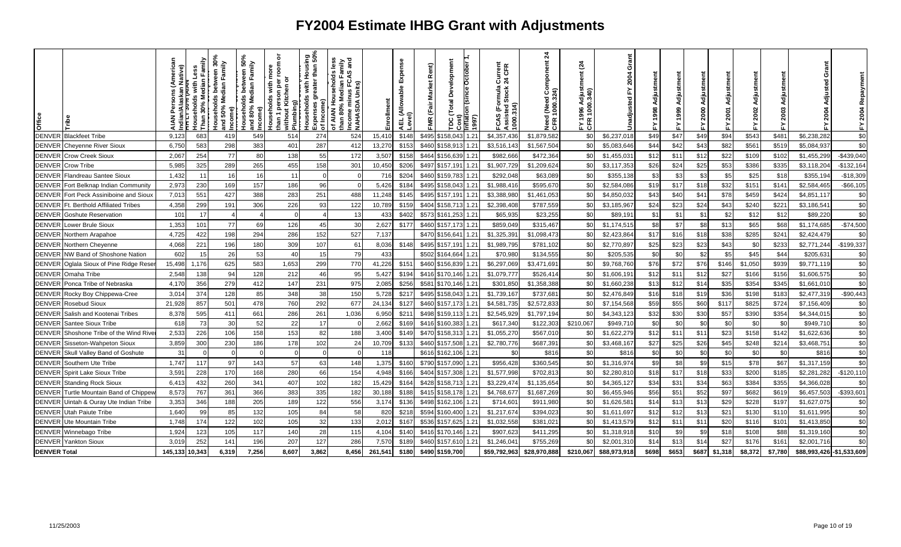| Office              |                                       | lative)        | Median<br>š<br><b>Tousehold</b><br>30% | క<br>Family<br>ო<br>Median<br>sehold<br>50%<br>จ<br>g | 50%<br>Family<br>dian<br>≗<br>sehold<br>80%<br>휴 줄 | ō<br>room<br>ē<br>ŏ<br>with<br>စ္တ<br>han 1 person pe<br>without Kitchen<br><b>douseholds</b><br>මූ<br>Plumbii | ទី ១<br>than<br>울<br>৳<br>with<br>ā<br>ouseholds<br>ㅎ<br>Expenses g<br>of Income) | vil.<br>Mil.<br>and<br>$\frac{9}{2}$<br>៤ ៩<br>usehol<br>Median<br>Inus FC.<br>Units)<br>Medi<br>훈<br>Income min<br>NAHASDA I<br>of AIAN<br>than 80% | ollment | Expense<br> AEL (Allowable I<br> <br> Level) | Rent)<br><b>Market</b><br>FMR (Fair | Development<br>Total | nflation (since October<br>1997) | Current<br>24 CFR<br>(Formula<br>Stock<br>Assisted<br>1000.314)<br>CAS | $\overline{a}$<br>l (Need Component<br>1000.324)<br>Need<br>CFR 1 | $\tilde{c}$<br>진주 | 듧<br>ō       | Adjustment<br>998 |       |       | 2001    | ã<br>Adjustm<br>2002 |         | ō<br>ส                     | 2004<br>놊     |
|---------------------|---------------------------------------|----------------|----------------------------------------|-------------------------------------------------------|----------------------------------------------------|----------------------------------------------------------------------------------------------------------------|-----------------------------------------------------------------------------------|------------------------------------------------------------------------------------------------------------------------------------------------------|---------|----------------------------------------------|-------------------------------------|----------------------|----------------------------------|------------------------------------------------------------------------|-------------------------------------------------------------------|-------------------|--------------|-------------------|-------|-------|---------|----------------------|---------|----------------------------|---------------|
| <b>DENVER</b>       | <b>Blackfeet Tribe</b>                | 9,123          | 683                                    | 419                                                   | 549                                                | 514                                                                                                            | 274                                                                               | 524                                                                                                                                                  | 15,41   | \$148                                        | \$495                               | \$158,043            | 1.21                             | \$4,357,436                                                            | \$1,879,582                                                       | <b>\$C</b>        | \$6,237,018  | \$49              | \$47  | \$49  | \$94    | \$543                | \$481   | \$6,238,282                | \$0           |
| <b>DENVER</b>       | <b>Cheyenne River Sioux</b>           | 6,750          | 583                                    | 298                                                   | 383                                                | 401                                                                                                            | 287                                                                               | 412                                                                                                                                                  | 13,270  | \$153                                        | \$460                               | \$158,91             | 1.21                             | \$3,516,14                                                             | \$1,567,504                                                       | \$0               | \$5,083,646  | \$44              | \$42  | \$43  | \$82    | \$561                | \$519   | \$5,084,937                | \$0           |
| <b>DENVER</b>       | <b>Crow Creek Sioux</b>               | 2,067          | 254                                    | 77                                                    | 80                                                 | 138                                                                                                            | 55                                                                                | 172                                                                                                                                                  | 3,507   | \$158                                        |                                     | \$464 \$156,639      | 1.21                             | \$982,66                                                               | \$472,364                                                         | \$0               | \$1,455,03   | \$12              | \$11  | \$12  | \$22    | \$109                | \$102   | \$1,455,299                | $-$439,040$   |
| <b>DENVER</b>       | Crow Tribe                            | 5,985          | 325                                    | 289                                                   | 265                                                | 455                                                                                                            | 158                                                                               | 301                                                                                                                                                  | 10,450  | \$206                                        |                                     | \$497 \$157,19       | 1.21                             | \$1,907,729                                                            | \$1,209,624                                                       | \$0               | \$3,117,353  | \$26              | \$24  | \$25  | \$53    | \$386                | \$335   | \$3,118,20                 | $-$132,164$   |
| <b>DENVER</b>       | Flandreau Santee Sioux                | 1,432          | 11                                     | -16                                                   | 16                                                 | 11                                                                                                             |                                                                                   |                                                                                                                                                      | 716     | \$204                                        | \$460                               | \$159,783            | 1.21                             | \$292.048                                                              | \$63,089                                                          | \$0               | \$355,138    | \$3               | \$3   | \$3   | \$5     | \$25                 | \$18    | \$355,19                   | $-$18,309$    |
| <b>DENVER</b>       | Fort Belknap Indian Community         | 2,973          | 230                                    | 169                                                   | 157                                                | 186                                                                                                            | 96                                                                                |                                                                                                                                                      | 5,426   | \$184                                        | \$495                               | \$158,043            | 1.21                             | \$1,988,416                                                            | \$595,670                                                         | \$C               | \$2,584,086  | \$19              | \$17  | \$18  | \$32    | \$151                | \$141   | \$2,584,465                | $-$66,105$    |
| <b>DENVER</b>       | Fort Peck Assiniboine and Sioux       | 7,013          | 551                                    | 427                                                   | 388                                                | 283                                                                                                            | 251                                                                               | 488                                                                                                                                                  | 11,248  | \$145                                        | \$495                               | \$157,191            | 1.21                             | \$3,388,980                                                            | \$1,461,053                                                       | <b>SC</b>         | \$4,850,032  | \$43              | \$40  | \$41  | \$78    | \$459                | \$424   | \$4,851,117                | \$0           |
| <b>DENVER</b>       | <b>Ft. Berthold Affiliated Tribes</b> | 4,358          | 299                                    | 19'                                                   | 306                                                | 226                                                                                                            | 93                                                                                | 122                                                                                                                                                  | 10,789  | \$159                                        | \$404                               | \$158,713            | 1.21                             | \$2,398,408                                                            | \$787,559                                                         | <b>\$C</b>        | \$3,185,967  | \$24              | \$23  | \$24  | \$43    | \$240                | \$221   | \$3,186,541                | \$0           |
| <b>DENVER</b>       | <b>Goshute Reservation</b>            | 101            | 17                                     |                                                       |                                                    | $\cap$                                                                                                         |                                                                                   | 13                                                                                                                                                   | 433     | \$402                                        |                                     | \$573 \$161,253      | 1.21                             | \$65,935                                                               | \$23,255                                                          | \$0               | \$89,191     | \$1               | \$1   | \$1   | \$2     | \$12                 | \$12    | \$89,220                   | \$0           |
| <b>DENVER</b>       | Lower Brule Sioux                     | 1,353          | 101                                    | 77                                                    | 69                                                 | 126                                                                                                            | 45                                                                                | 30                                                                                                                                                   | 2,627   | \$177                                        | \$460                               | \$157,173            | 1.21                             | \$859,049                                                              | \$315,467                                                         | \$0               | \$1,174,51   | \$8               | \$7   | \$8   | \$13    | \$65                 | \$68    | \$1,174,685                | $-$74,500$    |
| <b>DENVER</b>       | Northern Arapahoe                     | 4,725          | 422                                    | 198                                                   | 294                                                | 286                                                                                                            | 152                                                                               | 527                                                                                                                                                  | 7,137   |                                              | \$470                               | \$156,64             | 1.21                             | \$1,325,39                                                             | \$1,098,473                                                       | \$0               | \$2,423,864  | \$17              | \$16  | \$18  | \$38    | \$285                | \$241   | \$2,424,479                | \$0           |
| <b>DENVER</b>       | Northern Cheyenne                     | 4,068          | 221                                    | 196                                                   | 180                                                | 309                                                                                                            | 107                                                                               | 61                                                                                                                                                   | 8,036   | \$148                                        | \$495                               | \$157,19'            | 1.21                             | \$1,989,795                                                            | \$781,102                                                         | \$0               | \$2,770,897  | \$25              | \$23  | \$23  | \$43    | \$0                  | \$233   | \$2,771,244                | $-$199,337$   |
| <b>DENVER</b>       | NW Band of Shoshone Nation            | 602            | 15                                     | 26                                                    | 53                                                 | 40                                                                                                             | 15                                                                                | 79                                                                                                                                                   | 433     |                                              |                                     | \$502 \$164,664      | 1.21                             | \$70,98                                                                | \$134,555                                                         | \$C               | \$205,535    | \$0               | \$C   | \$2   | \$5     | \$45                 | \$44    | \$205,63                   | \$0           |
| <b>DENVER</b>       | Oglala Sioux of Pine Ridge Rese       | 15,498         | 1,176                                  | 625                                                   | 583                                                | 1,653                                                                                                          | 299                                                                               | 770                                                                                                                                                  | 41,226  | \$151                                        |                                     | \$460 \$156,839      | 1.21                             | \$6,297,069                                                            | \$3,471,691                                                       | <b>SC</b>         | \$9,768,760  | \$76              | \$72  | \$76  | \$146   | \$1,050              | \$939   | \$9,771,119                | \$0           |
| <b>DENVER</b>       | Omaha Tribe                           | 2,548          | 138                                    | -94                                                   | 128                                                | 212                                                                                                            | 46                                                                                | 95                                                                                                                                                   | 5,427   | \$194                                        | \$416                               | \$170,146            | 1.21                             | \$1,079,77                                                             | \$526,41                                                          | <b>SC</b>         | \$1,606,191  | \$12              | \$11  | \$12  | \$27    | \$166                | \$156   | \$1,606,575                | \$0           |
| <b>DENVER</b>       | Ponca Tribe of Nebraska               | 4,170          | 356                                    | 279                                                   | 412                                                | 147                                                                                                            | 231                                                                               | 975                                                                                                                                                  | 2,085   | \$256                                        | \$581                               | \$170,146            | 1.21                             | \$301,850                                                              | \$1,358,388                                                       | \$0               | \$1,660,238  | \$13              | \$12  | \$14  | \$35    | \$354                | \$345   | \$1,661,010                | \$0           |
| <b>DENVER</b>       | Rocky Boy Chippewa-Cree               | 3,014          | 374                                    | 128                                                   | 85                                                 | 348                                                                                                            | 38                                                                                | 150                                                                                                                                                  | 5,728   | \$217                                        |                                     | \$495 \$158,043      | 1.21                             | \$1,739,167                                                            | \$737,681                                                         | \$0               | \$2,476,849  | \$16              | \$18  | \$19  | \$36    | \$198                | \$183   | \$2,477,319                | $-$90,443$    |
| <b>DENVER</b>       | Rosebud Sioux                         | 21,928         | 857                                    | 501                                                   | 478                                                | 760                                                                                                            | 292                                                                               | 677                                                                                                                                                  | 24,134  | \$127                                        | \$460                               | \$157,173            | 1.21                             | \$4,581,73                                                             | \$2,572,833                                                       | \$0               | \$7,154,568  | \$59              | \$55  | \$60  | \$117   | \$825                | \$724   | \$7,156,409                | \$0           |
| <b>DENVER</b>       | Salish and Kootenai Tribes            | 8,378          | 595                                    | 411                                                   | 661                                                | 286                                                                                                            | 261                                                                               | 1,036                                                                                                                                                | 6,950   | \$211                                        |                                     | \$498 \$159,113      | 1.21                             | \$2,545,929                                                            | \$1,797,194                                                       | <b>SC</b>         | \$4,343,123  | \$32              | \$30  | \$30  | \$57    | \$390                | \$354   | \$4,344,01                 | \$0           |
| <b>DENVER</b>       | Santee Sioux Tribe                    | 618            | 73                                     | 30                                                    | 52                                                 | 22                                                                                                             | 17                                                                                |                                                                                                                                                      | 2,662   | \$169                                        | \$416                               | \$160,38             | 1.21                             | \$617,340                                                              | \$122,303                                                         | \$210,067         | \$949,710    | \$0               | \$C   | \$0   | \$0     | <b>\$C</b>           | \$0     | \$949,71                   | \$0           |
| <b>DENVER</b>       | Shoshone Tribe of the Wind Rive       | 2,533          | 226                                    | 106                                                   | 158                                                | 153                                                                                                            | 82                                                                                | 188                                                                                                                                                  | 3,400   | \$149                                        | \$470                               | \$158,31             | 1.21                             | \$1,055,270                                                            | \$567,010                                                         | \$0               | \$1,622,279  | \$12              | \$11  | \$11  | \$23    | \$158                | \$142   | \$1,622,636                | \$0           |
| <b>DENVER</b>       | Sisseton-Wahpeton Sioux               | 3,859          | 300                                    | 230                                                   | 186                                                | 178                                                                                                            | 102                                                                               | 24                                                                                                                                                   | 10,709  | \$133                                        | \$460                               | \$157,508            | 1.21                             | \$2,780,776                                                            | \$687,391                                                         | \$0               | \$3,468,167  | \$27              | \$25  | \$26  | \$45    | \$248                | \$214   | \$3,468,751                | \$0           |
| <b>DENVER</b>       | Skull Valley Band of Goshute          | 31             |                                        |                                                       |                                                    |                                                                                                                |                                                                                   |                                                                                                                                                      | 118     |                                              |                                     | \$616 \$162,106      | 1.21                             | \$0                                                                    | \$816                                                             | \$0               | \$816        | \$0               | \$0   | \$0   | \$0     | \$0                  | \$0     | \$816                      | \$0           |
| <b>DENVER</b>       | Southern Ute Tribe                    | 1,747          | 117                                    | 97                                                    | 143                                                | 57                                                                                                             | 63                                                                                | 148                                                                                                                                                  | 1,375   | \$160                                        |                                     | \$790 \$157,090      | 1.21                             | \$956,428                                                              | \$360,545                                                         | \$0               | \$1,316,974  | \$9               | \$8   | \$9   | \$15    | \$78                 | \$67    | \$1,317,159                | \$0           |
| <b>DENVER</b>       | Spirit Lake Sioux Tribe               | 3,591          | 228                                    | 170                                                   | 168                                                | 280                                                                                                            | 66                                                                                | 154                                                                                                                                                  | 4,948   | \$166                                        | \$404                               | \$157,308            | 1.21                             | \$1,577,998                                                            | \$702,813                                                         | \$0               | \$2,280,810  | \$18              | \$17  | \$18  | \$33    | \$200                | \$185   | \$2,281,282                | $-$120,110$   |
| <b>DENVER</b>       | <b>Standing Rock Sioux</b>            | 6,413          | 432                                    | 260                                                   | 341                                                | 407                                                                                                            | 102                                                                               | 182                                                                                                                                                  | 15,429  | \$164                                        | \$428                               | \$158,71             |                                  | \$3,229,47                                                             | \$1,135,654                                                       | \$0               | \$4,365,127  | \$34              | \$31  | \$34  | \$63    | \$384                | \$355   | \$4,366,028                | \$0           |
| <b>DENVER</b>       | Turtle Mountain Band of Chippew       | 8,573          | 767                                    | 361                                                   | 366                                                | 383                                                                                                            | 335                                                                               | 182                                                                                                                                                  | 30,188  | \$188                                        |                                     | \$415 \$158,178      | 1.21                             | \$4,768,67                                                             | \$1,687,269                                                       | \$0               | \$6,455,946  | \$56              | \$51  | \$52  | \$97    | \$682                | \$619   | \$6,457,503                | $-$ \$393,601 |
| <b>DENVER</b>       | Uintah & Ouray Ute Indian Tribe       | 3,353          | 346                                    | 188                                                   | 205                                                | 189                                                                                                            | 122                                                                               | 556                                                                                                                                                  | 3,174   | \$136                                        | \$498                               | \$162,106            | 1.21                             | \$714,60                                                               | \$911,980                                                         | <b>SC</b>         | \$1,626,58   | \$14              | \$13  | \$13  | \$29    | \$228                | \$197   | \$1,627,07                 | \$0           |
| <b>DENVER</b>       | <b>Utah Paiute Tribe</b>              | 1,640          | 99                                     | 85                                                    | 132                                                | 105                                                                                                            | 84                                                                                | 58                                                                                                                                                   | 820     | \$218                                        | \$594                               | \$160,400            | 1.21                             | \$1,217,67                                                             | \$394,023                                                         | \$0               | \$1,611,697  | \$12              | \$12  | \$13  | \$21    | \$130                | \$110   | \$1,611,995                | \$0           |
| <b>DENVER</b>       | Ute Mountain Tribe                    | 1,748          | 174                                    | 122                                                   | 102                                                | 105                                                                                                            | 32                                                                                | 133                                                                                                                                                  | 2,012   | \$167                                        | \$536                               | \$157,625            | 1.21                             | \$1,032,558                                                            | \$381,021                                                         | \$0               | \$1,413,579  | \$12              | \$11  | \$1   | \$20    | \$116                | \$101   | \$1,413,850                | \$0           |
| <b>DENVER</b>       | Winnebago Tribe                       | 1,924          | 123                                    | 105                                                   | 117                                                | 140                                                                                                            | 28                                                                                | 115                                                                                                                                                  | 4,104   | \$140                                        | \$416                               | \$170,146            | 1.21                             | \$907,62                                                               | \$411,295                                                         | \$                | \$1,318,918  | \$1C              | \$9   | \$9   | \$18    | \$108                | \$88    | \$1,319,160                | \$0           |
| <b>DENVER</b>       | <b>Yankton Sioux</b>                  | 3,019          | 252                                    | 141                                                   | 196                                                | 207                                                                                                            | 127                                                                               | 286                                                                                                                                                  | 7,570   | \$189                                        | \$460                               | \$157,61             | 1.21                             | \$1,246,04                                                             | \$755,269                                                         | \$0               | \$2,001,310  | \$14              | \$13  | \$14  | \$27    | \$176                | \$161   | \$2,001,716                | \$0           |
| <b>DENVER Total</b> |                                       | 145.133 10.343 |                                        | 6.319                                                 | 7.256                                              | 8.607                                                                                                          | 3.862                                                                             | 8.456                                                                                                                                                | 261.541 | \$180                                        | \$490                               | \$159,700            |                                  | \$59.792.963                                                           | \$28,970,888                                                      | \$210,067         | \$88,973,918 | \$698             | \$653 | \$687 | \$1,318 | \$8,372              | \$7.780 | \$88,993,426 - \$1,533,609 |               |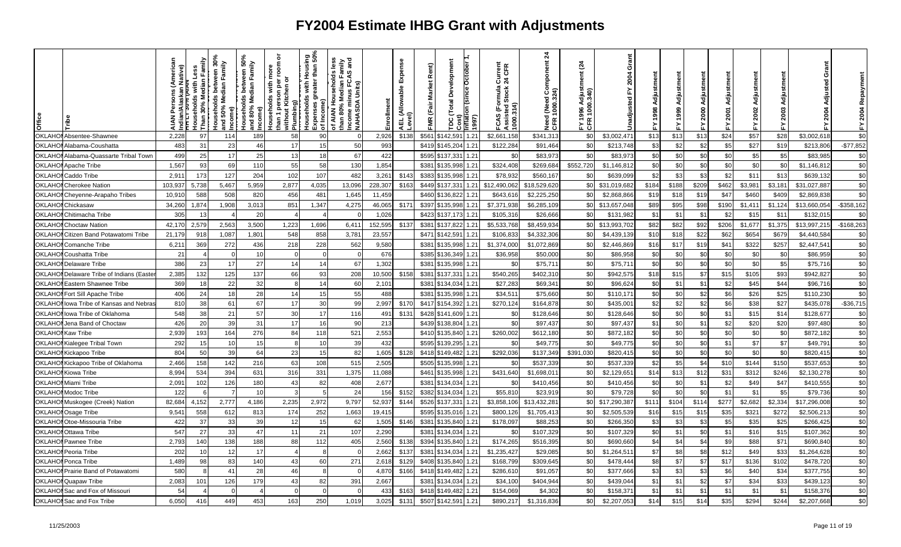| <b>OKLAHO</b><br>2,228<br>58<br>90<br>2,926<br>\$138<br>\$561<br>142.591<br>1.21<br>\$2,661,158<br>\$341,313<br>\$13<br>\$57<br>97<br>189<br>\$0<br>\$3,002,471<br>\$13<br>\$13<br>\$24<br>\$28<br>Absentee-Shawnee<br>114<br>\$3,002,618<br>\$27<br>483<br>17<br>50<br>993<br>\$419<br>1.21<br>\$122,284<br>\$C<br>\$3<br>\$2<br>\$2<br>\$5<br>\$19<br>OKLAHC<br>31<br>23<br>46<br>\$145,204<br>\$91,464<br>\$213,748<br>Alabama-Coushatta<br>15<br>\$213,80<br>25<br>25<br>67<br>\$0<br>\$0<br>\$0<br>\$5<br>\$5<br><b>OKLAH</b><br>499<br>17<br>13<br>422<br>\$595<br>\$137,331<br>1.21<br>\$0<br>\$83,973<br>\$0<br>\$83,973<br>\$0<br>\$83,985<br>Alabama-Quassarte Tribal Town<br>18<br>1,567<br>\$0<br>\$0<br>OKLAHO<br>55<br>58<br>130<br>1.21<br>\$324,408<br>\$269,684<br>\$552,720<br>\$0<br>\$0<br>\$0<br>\$0<br>93<br>69<br>110<br>1,854<br>\$381<br>\$135,998<br>\$1,146,812<br>\$1,146,81<br>Apache Tribe<br>OKLAHO<br>2,911<br>173<br>102<br>482<br>1.21<br>\$78,932<br>\$560,16<br>\$2<br>\$3<br>\$2<br>\$11<br>127<br>204<br>107<br>3,261<br>\$143<br>\$383<br>\$135,998<br>\$0<br>\$639,099<br>\$3<br>\$13<br>Caddo Tribe<br>\$639,132<br>OKLAHC<br>\$12,490,06<br>\$18,529,620<br>\$0<br>\$209<br>103,93<br>5,738<br>5,467<br>5,959<br>2,877<br>13,096<br>228,307<br>\$163<br>\$449<br>\$137,33<br>1.21<br>\$188<br>\$462<br>\$3,981<br>\$3,181<br>4,035<br>\$31,019,682<br>\$184<br>\$31,027,887<br><b>Cherokee Nation</b><br>OKLAHO<br>588<br>456<br>1.21<br>\$643,61<br>\$2,225,250<br>\$0<br>\$15<br>\$18<br>\$19<br>\$409<br>10,91<br>508<br>820<br>481<br>1,645<br>11,459<br>\$460<br>\$136,822<br>\$2,868,866<br>\$47<br>\$460<br>\$2,869,83<br>Cheyenne-Arapaho Tribes<br>OKLAHC<br>1,874<br>1,347<br>4,275<br>\$171<br>\$397<br>\$7,371,93<br>\$6,285,10<br>\$89<br>\$95<br>\$98<br>\$1,124<br>34,260<br>1,908<br>3,013<br>851<br>46,065<br>\$135,998<br>1.21<br>-\$0<br>\$13,657,048<br>\$190<br>\$1,41<br>\$13,660,054<br>Chickasaw<br><b>OKLAHO</b><br>305<br>\$423<br>\$0<br>\$1<br>13<br>20<br>1,026<br>\$137,173<br>1.21<br>\$105,316<br>\$26,666<br>\$131,982<br>$$^{\circ}$<br>\$1<br>\$2<br>\$15<br>\$11<br>\$132,01<br>Chitimacha Tribe<br>OKLAHC<br>42,170<br>2,579<br>2,563<br>3,500<br>1,223<br>152,595<br>\$137<br>\$137,822<br>1.21<br>\$5,533,76<br>\$8,459,934<br>\$82<br>\$82<br>\$206<br>\$1,677<br>\$1,375<br>1,696<br>6,411<br>\$381<br>\$0<br>\$13,993,702<br>\$92<br>\$13,997,215<br><b>Choctaw Nation</b><br>OKLAHO<br>548<br>\$471<br>\$22<br>1,801<br>858<br>3,781<br>23,557<br>\$142,591<br>1.21<br>\$106,83<br>\$4,332,306<br>\$ <sub>6</sub><br>\$10<br>\$18<br>\$654<br>\$679<br>Citizen Band Potawatomi Tribe<br>21,179<br>918<br>1,087<br>\$4,439,139<br>\$62<br>\$4,440,584<br>6,211<br>369<br>272<br>436<br>218<br>228<br>1.21<br>\$1,374,00<br>\$16<br>\$17<br>\$322<br>\$257<br>OKLAHO<br>562<br>9,580<br>\$381<br>\$135,998<br>\$1,072,869<br>-\$0<br>\$2,446,869<br>\$19<br>\$41<br>\$2,447,541<br>l Comanche Tribe<br>21<br>OKLAHO<br>\$36,958<br>\$0<br>\$0<br>\$0<br>\$0<br>\$0<br>\$0<br>10<br>676<br>\$385<br>\$136,349<br>1.21<br>\$50,000<br>\$86,958<br>\$0<br>\$86,959<br>Coushatta Tribe<br>$\overline{4}$<br>$\Omega$<br>$\Omega$<br>$\Omega$<br>386<br>27<br>\$0<br>\$0<br>\$5<br><b>OKLAHO</b><br>23<br>17<br>14<br>67<br>1,302<br>\$381<br>\$135,998<br>1.21<br>\$0<br>\$75,71<br>\$75,71<br>\$0<br>\$0<br>\$0<br>\$0<br>14<br>\$75,716<br>l Delaware Tribe<br>137<br>66<br>\$540,265<br>\$7<br>\$15<br>\$93<br>OKLAHC<br>2,385<br>132<br>125<br>93<br>208<br>\$158<br>\$381<br>\$137,331<br>1.21<br>\$402,31<br>\$0<br>\$942,57<br>\$18<br>\$15<br>\$105<br>\$942,827<br>Delaware Tribe of Indians (Easte<br>10,500<br>OKLAHC<br>32<br>369<br>22<br>\$381<br>\$134,034<br>1.21<br>\$27,28<br>\$0<br>\$0<br>\$1<br>\$1<br>\$2<br>\$45<br>\$44<br>Eastern Shawnee Tribe<br>18<br>60<br>2,10'<br>\$69,34<br>\$96,624<br>\$96,716<br>14<br>24<br>28<br>55<br>1.21<br>\$34,51'<br>\$75,660<br>\$0<br>\$0<br>\$0<br>\$2<br>\$6<br>\$25<br>OKLAHO<br>406<br>14<br>488<br>\$381<br>\$135,998<br>\$110,171<br>\$26<br>Fort Sill Apache Tribe<br>18<br>15<br>\$110,230<br>\$2<br>38<br>67<br>\$270,124<br>\$2<br>\$2<br>\$6<br>\$38<br>\$27<br>OKLAHC<br>810<br>61<br>17<br>30<br>99<br>2,997<br>\$417<br>\$154,392<br>1.21<br>\$164,87<br>\$0<br>\$435,001<br>\$435,07<br>Iowa Tribe of Kansas and Nebras<br>\$170<br>548<br><b>OKLAHO</b><br>38<br>21<br>57<br>30<br>17<br>116<br>491<br>\$131<br>\$428<br>\$141,609<br>1.21<br>\$0<br>\$128,646<br>\$0<br>\$128,646<br>\$0<br>\$0<br>\$0<br>\$1<br>\$14<br>lowa Tribe of Oklahoma<br>\$15<br>\$128,677<br>426<br>\$0<br>\$0<br>\$1<br>\$2<br>OKLAHC<br>20<br>39<br>31<br>17<br>90<br>213<br>1.21<br>$\mathcal{F}$<br>\$0<br>\$20<br>\$20<br>Jena Band of Choctaw<br>16<br>\$439<br>\$138,804<br>\$97,437<br>\$97,43<br>\$97,480<br>OKLAHC<br>2,939<br>276<br>2,553<br>\$410<br>1.21<br>\$260,002<br>\$0<br>\$0<br>\$0<br>\$0<br>\$0<br>193<br>164<br>84<br>521<br>\$135,840<br>\$612,180<br>\$872,182<br>\$0<br>\$0<br>\$872,182<br><b>Kaw Tribe</b><br>118<br>292<br>\$0<br>\$0<br>\$0<br>\$0<br>\$1<br>\$7<br>\$7<br>OKLAHO<br>15<br>15<br>39<br>432<br>\$595<br>\$139,295<br>1.21<br>\$0<br>\$49,775<br>\$49,775<br>\$49,791<br>10<br>Kialegee Tribal Town<br>8<br>10<br>\$0<br>804<br>50<br>\$0<br>\$0<br>\$0<br>\$0<br>OKLAHC<br>39<br>64<br>23<br>82<br>\$418<br>\$149,482<br>1.21<br>\$292,036<br>\$137,349<br>\$391,030<br>\$820,415<br>\$0<br>\$820,415<br>15<br>1,605<br>\$128<br>Kickapoo Tribe<br><b>OKLAHO</b><br>63<br>\$505<br>\$135,998<br>1.21<br>\$5<br>\$4<br>\$150<br>2,466<br>158<br>142<br>216<br>108<br>515<br>2,505<br>\$0<br>\$537,339<br>\$0<br>\$537,339<br>\$2<br>\$10<br>\$144<br>\$537,653<br>Kickapoo Tribe of Oklahoma<br>\$12<br>OKLAHC<br>8,994<br>534<br>394<br>631<br>316<br>331<br>1,375<br>1.21<br>\$431,640<br>\$14<br>\$1<br>\$31<br>\$312<br>\$246<br>11,088<br>\$461<br>\$135,998<br>\$1,698,01<br>\$0<br>\$2,129,65<br>\$2,130,27<br><b>Kiowa Tribe</b><br>OKLAHO<br>2,091<br>102<br>126<br>180<br>43<br>2,677<br>\$381<br>\$134,034<br>1.21<br>\$0<br>\$410,456<br>\$0<br>\$0<br>\$0<br>\$1<br>\$2<br>\$49<br>\$47<br>82<br>408<br>\$410,456<br>\$410,555<br>Miami Tribe<br>122<br>24<br>1.21<br>\$55,810<br>\$0<br>\$C<br>\$0<br>\$0<br>\$1<br>\$5<br>OKLAHO<br>10<br>156<br>\$152<br>\$382<br>\$134,034<br>\$23,91<br>\$79,728<br>\$1<br>\$79,736<br><b>Modoc Tribe</b><br>- 6<br>OKLAHO<br>4,152<br>4,186<br>2,235<br>52,937<br>\$526<br>\$137,331<br>1.21<br>\$3,858,10<br>\$13,432,28<br>\$17,290,387<br>\$11'<br>\$277<br>\$2,682<br>82,684<br>2,777<br>2,972<br>9,797<br>\$144<br>-\$0<br>\$104<br>\$114<br>\$2,334<br>\$17,296,008<br>Muskogee (Creek) Nation<br><b>OKLAHO</b><br>174<br>\$595<br>\$800,12<br>\$16<br>\$15<br>\$272<br>9,541<br>558<br>612<br>813<br>252<br>1,663<br>19,415<br>\$135,016<br>1.21<br>\$1,705,41<br>\$0<br>\$2,505,53<br>\$15<br>\$35<br>\$32<br>\$2,506,21<br>Osage Tribe<br>OKLAHO<br>422<br>37<br>39<br>1.21<br>\$178,09<br>\$3<br>\$3<br>\$5<br>\$25<br>33<br>12<br>1,505<br>\$146<br>\$381<br>\$135,840<br>\$88,253<br>\$C<br>\$266,350<br>-\$3<br>\$35<br>\$266,425<br><b>NOtoe-Missouria Tribe</b><br>62<br>OKLAHO<br>547<br>27<br>\$381<br>\$0<br>33<br>47<br>11<br>21<br>107<br>2,290<br>\$134,034<br>1.21<br>\$0<br>\$107,329<br>\$0<br>\$107,329<br>\$0<br>\$1<br>\$1<br>\$16<br>\$15<br>\$107,362<br><b>Ottawa Tribe</b><br>\$4<br>2,793<br>140<br>188<br>405<br>\$394 \$135,840<br>1.21<br>\$174,265<br>\$0<br>\$4<br>\$4<br>\$9<br>\$71<br>OKLAHO<br>138<br>88<br>112<br>2,560<br>\$138<br>\$516,395<br>\$690,660<br>\$88<br>\$690,840<br>l Pawnee Tribe<br>202<br>1.21<br>\$1,235,427<br>\$7<br>\$8<br>\$8<br>\$12<br><b>OKLAHO</b><br>10<br>12<br>17<br>2,662<br>\$137<br>\$381<br>\$134,034<br>\$29,085<br>\$0<br>\$1,264,51<br>\$49<br>\$33<br>\$1,264,628<br>Peoria Tribe<br>OKLAHC<br>1,489<br>140<br>43<br>271<br>\$0<br>\$8<br>\$7<br>98<br>83<br>60<br>2,618<br>\$129<br>\$408<br>\$135,840<br>1.21<br>\$168,79<br>\$309,645<br>\$478,444<br>\$7<br>\$17<br>\$136<br>\$102<br>\$478,720<br>Ponca Tribe<br>28<br>\$3<br>\$3<br>OKLAHO<br>580<br>46<br>4,870<br>1.21<br>\$286,61<br>\$C<br>\$:<br>\$6<br>\$40<br>\$34<br>Prairie Band of Potawatomi<br>\$166<br>\$418<br>\$149,482<br>\$91,057<br>\$377,666<br>\$377,755<br>$\mathbf{A}$ | <b>Office</b> | ative) | Family<br>Households with L<br>Than 30% Median | veen 30%<br>Family<br>useholds betw<br>  50% Median F<br>ncome)<br>$\overline{a}$ | ween 50%<br>Family<br>between<br>Income) | ৯<br>room<br>Ē<br>৯<br>ē<br>with<br>than 1 person pe<br> <br> without Kitchen c<br><b>touseholds</b><br>Plumbing) | using<br>an 50%<br>than<br>운<br>greater<br>with<br> <br>  Households<br> <br>Income)<br>Expenses<br>of Income) | s less<br>mily<br>and<br>ian Fan<br>FCAS<br>of AIAN Households<br>than 80% Median Faı<br>Income minus FC.<br>NAHASDA Units) | Enrollment | Expense<br> AEL (Allowable I<br> <br> Level) | Rent)<br><b>Market</b><br>FMR (Fair | Development<br>Total<br>g | October<br>ntlati<br>1997) | Current<br>24 CFR<br>FCAS (Formula (<br>Assisted Stock 2<br>1000.314) | 24<br>mponent<br>1 (Need Con<br>1000.324)<br>Need<br>CFR 1 | $\frac{3}{4}$<br>ã<br>grafp<br>Sag<br>E<br>E<br>E | ŏ<br>2004<br>ᇎ<br>Jnadjusted | 1998<br>λ. | ے<br>주<br>2000 | Adju<br><b>2001</b><br>놊 | ā<br>Adjustm<br>2002<br>≿ | 놊 | Grant<br>Adjusted<br>2004 | 2004<br>십   |
|----------------------------------------------------------------------------------------------------------------------------------------------------------------------------------------------------------------------------------------------------------------------------------------------------------------------------------------------------------------------------------------------------------------------------------------------------------------------------------------------------------------------------------------------------------------------------------------------------------------------------------------------------------------------------------------------------------------------------------------------------------------------------------------------------------------------------------------------------------------------------------------------------------------------------------------------------------------------------------------------------------------------------------------------------------------------------------------------------------------------------------------------------------------------------------------------------------------------------------------------------------------------------------------------------------------------------------------------------------------------------------------------------------------------------------------------------------------------------------------------------------------------------------------------------------------------------------------------------------------------------------------------------------------------------------------------------------------------------------------------------------------------------------------------------------------------------------------------------------------------------------------------------------------------------------------------------------------------------------------------------------------------------------------------------------------------------------------------------------------------------------------------------------------------------------------------------------------------------------------------------------------------------------------------------------------------------------------------------------------------------------------------------------------------------------------------------------------------------------------------------------------------------------------------------------------------------------------------------------------------------------------------------------------------------------------------------------------------------------------------------------------------------------------------------------------------------------------------------------------------------------------------------------------------------------------------------------------------------------------------------------------------------------------------------------------------------------------------------------------------------------------------------------------------------------------------------------------------------------------------------------------------------------------------------------------------------------------------------------------------------------------------------------------------------------------------------------------------------------------------------------------------------------------------------------------------------------------------------------------------------------------------------------------------------------------------------------------------------------------------------------------------------------------------------------------------------------------------------------------------------------------------------------------------------------------------------------------------------------------------------------------------------------------------------------------------------------------------------------------------------------------------------------------------------------------------------------------------------------------------------------------------------------------------------------------------------------------------------------------------------------------------------------------------------------------------------------------------------------------------------------------------------------------------------------------------------------------------------------------------------------------------------------------------------------------------------------------------------------------------------------------------------------------------------------------------------------------------------------------------------------------------------------------------------------------------------------------------------------------------------------------------------------------------------------------------------------------------------------------------------------------------------------------------------------------------------------------------------------------------------------------------------------------------------------------------------------------------------------------------------------------------------------------------------------------------------------------------------------------------------------------------------------------------------------------------------------------------------------------------------------------------------------------------------------------------------------------------------------------------------------------------------------------------------------------------------------------------------------------------------------------------------------------------------------------------------------------------------------------------------------------------------------------------------------------------------------------------------------------------------------------------------------------------------------------------------------------------------------------------------------------------------------------------------------------------------------------------------------------------------------------------------------------------------------------------------------------------------------------------------------------------------------------------------------------------------------------------------------------------------------------------------------------------------------------------------------------------------------------------------------------------------------------------------------------------------------------------------------------------------------------------------------------------------------------------------------------------------------------------------------------------------------------------------------------------------------------------------------------------------------------------------------------------------------------------------------------------------------------------------------------------------------------------------------------------------------------------------------------------------------------------------------------------------------------------------------------------------------------------------------------------------------------------------------------------------------------------------------------------------------------------------------------------------------------------------------------------------------------------------------------------------------------------------------------------------------------------------------------------------------------------------------------------------------------------------------------------------------------------------------------------------------------------------------------------------------------------------------------------------------------------------------------------------------------------------------------------------------------------------------------------------------------------------------------------------------------------------------------------------|---------------|--------|------------------------------------------------|-----------------------------------------------------------------------------------|------------------------------------------|-------------------------------------------------------------------------------------------------------------------|----------------------------------------------------------------------------------------------------------------|-----------------------------------------------------------------------------------------------------------------------------|------------|----------------------------------------------|-------------------------------------|---------------------------|----------------------------|-----------------------------------------------------------------------|------------------------------------------------------------|---------------------------------------------------|------------------------------|------------|----------------|--------------------------|---------------------------|---|---------------------------|-------------|
|                                                                                                                                                                                                                                                                                                                                                                                                                                                                                                                                                                                                                                                                                                                                                                                                                                                                                                                                                                                                                                                                                                                                                                                                                                                                                                                                                                                                                                                                                                                                                                                                                                                                                                                                                                                                                                                                                                                                                                                                                                                                                                                                                                                                                                                                                                                                                                                                                                                                                                                                                                                                                                                                                                                                                                                                                                                                                                                                                                                                                                                                                                                                                                                                                                                                                                                                                                                                                                                                                                                                                                                                                                                                                                                                                                                                                                                                                                                                                                                                                                                                                                                                                                                                                                                                                                                                                                                                                                                                                                                                                                                                                                                                                                                                                                                                                                                                                                                                                                                                                                                                                                                                                                                                                                                                                                                                                                                                                                                                                                                                                                                                                                                                                                                                                                                                                                                                                                                                                                                                                                                                                                                                                                                                                                                                                                                                                                                                                                                                                                                                                                                                                                                                                                                                                                                                                                                                                                                                                                                                                                                                                                                                                                                                                                                                                                                                                                                                                                                                                                                                                                                                                                                                                                                                                                                                                                                                                                                                                                                                                                                                                                                                                                                                                                                                                                                                                                            |               |        |                                                |                                                                                   |                                          |                                                                                                                   |                                                                                                                |                                                                                                                             |            |                                              |                                     |                           |                            |                                                                       |                                                            |                                                   |                              |            |                |                          |                           |   |                           | \$0         |
|                                                                                                                                                                                                                                                                                                                                                                                                                                                                                                                                                                                                                                                                                                                                                                                                                                                                                                                                                                                                                                                                                                                                                                                                                                                                                                                                                                                                                                                                                                                                                                                                                                                                                                                                                                                                                                                                                                                                                                                                                                                                                                                                                                                                                                                                                                                                                                                                                                                                                                                                                                                                                                                                                                                                                                                                                                                                                                                                                                                                                                                                                                                                                                                                                                                                                                                                                                                                                                                                                                                                                                                                                                                                                                                                                                                                                                                                                                                                                                                                                                                                                                                                                                                                                                                                                                                                                                                                                                                                                                                                                                                                                                                                                                                                                                                                                                                                                                                                                                                                                                                                                                                                                                                                                                                                                                                                                                                                                                                                                                                                                                                                                                                                                                                                                                                                                                                                                                                                                                                                                                                                                                                                                                                                                                                                                                                                                                                                                                                                                                                                                                                                                                                                                                                                                                                                                                                                                                                                                                                                                                                                                                                                                                                                                                                                                                                                                                                                                                                                                                                                                                                                                                                                                                                                                                                                                                                                                                                                                                                                                                                                                                                                                                                                                                                                                                                                                                            |               |        |                                                |                                                                                   |                                          |                                                                                                                   |                                                                                                                |                                                                                                                             |            |                                              |                                     |                           |                            |                                                                       |                                                            |                                                   |                              |            |                |                          |                           |   |                           | $-$77,852$  |
|                                                                                                                                                                                                                                                                                                                                                                                                                                                                                                                                                                                                                                                                                                                                                                                                                                                                                                                                                                                                                                                                                                                                                                                                                                                                                                                                                                                                                                                                                                                                                                                                                                                                                                                                                                                                                                                                                                                                                                                                                                                                                                                                                                                                                                                                                                                                                                                                                                                                                                                                                                                                                                                                                                                                                                                                                                                                                                                                                                                                                                                                                                                                                                                                                                                                                                                                                                                                                                                                                                                                                                                                                                                                                                                                                                                                                                                                                                                                                                                                                                                                                                                                                                                                                                                                                                                                                                                                                                                                                                                                                                                                                                                                                                                                                                                                                                                                                                                                                                                                                                                                                                                                                                                                                                                                                                                                                                                                                                                                                                                                                                                                                                                                                                                                                                                                                                                                                                                                                                                                                                                                                                                                                                                                                                                                                                                                                                                                                                                                                                                                                                                                                                                                                                                                                                                                                                                                                                                                                                                                                                                                                                                                                                                                                                                                                                                                                                                                                                                                                                                                                                                                                                                                                                                                                                                                                                                                                                                                                                                                                                                                                                                                                                                                                                                                                                                                                                            |               |        |                                                |                                                                                   |                                          |                                                                                                                   |                                                                                                                |                                                                                                                             |            |                                              |                                     |                           |                            |                                                                       |                                                            |                                                   |                              |            |                |                          |                           |   |                           | \$0         |
|                                                                                                                                                                                                                                                                                                                                                                                                                                                                                                                                                                                                                                                                                                                                                                                                                                                                                                                                                                                                                                                                                                                                                                                                                                                                                                                                                                                                                                                                                                                                                                                                                                                                                                                                                                                                                                                                                                                                                                                                                                                                                                                                                                                                                                                                                                                                                                                                                                                                                                                                                                                                                                                                                                                                                                                                                                                                                                                                                                                                                                                                                                                                                                                                                                                                                                                                                                                                                                                                                                                                                                                                                                                                                                                                                                                                                                                                                                                                                                                                                                                                                                                                                                                                                                                                                                                                                                                                                                                                                                                                                                                                                                                                                                                                                                                                                                                                                                                                                                                                                                                                                                                                                                                                                                                                                                                                                                                                                                                                                                                                                                                                                                                                                                                                                                                                                                                                                                                                                                                                                                                                                                                                                                                                                                                                                                                                                                                                                                                                                                                                                                                                                                                                                                                                                                                                                                                                                                                                                                                                                                                                                                                                                                                                                                                                                                                                                                                                                                                                                                                                                                                                                                                                                                                                                                                                                                                                                                                                                                                                                                                                                                                                                                                                                                                                                                                                                                            |               |        |                                                |                                                                                   |                                          |                                                                                                                   |                                                                                                                |                                                                                                                             |            |                                              |                                     |                           |                            |                                                                       |                                                            |                                                   |                              |            |                |                          |                           |   |                           | \$0         |
|                                                                                                                                                                                                                                                                                                                                                                                                                                                                                                                                                                                                                                                                                                                                                                                                                                                                                                                                                                                                                                                                                                                                                                                                                                                                                                                                                                                                                                                                                                                                                                                                                                                                                                                                                                                                                                                                                                                                                                                                                                                                                                                                                                                                                                                                                                                                                                                                                                                                                                                                                                                                                                                                                                                                                                                                                                                                                                                                                                                                                                                                                                                                                                                                                                                                                                                                                                                                                                                                                                                                                                                                                                                                                                                                                                                                                                                                                                                                                                                                                                                                                                                                                                                                                                                                                                                                                                                                                                                                                                                                                                                                                                                                                                                                                                                                                                                                                                                                                                                                                                                                                                                                                                                                                                                                                                                                                                                                                                                                                                                                                                                                                                                                                                                                                                                                                                                                                                                                                                                                                                                                                                                                                                                                                                                                                                                                                                                                                                                                                                                                                                                                                                                                                                                                                                                                                                                                                                                                                                                                                                                                                                                                                                                                                                                                                                                                                                                                                                                                                                                                                                                                                                                                                                                                                                                                                                                                                                                                                                                                                                                                                                                                                                                                                                                                                                                                                                            |               |        |                                                |                                                                                   |                                          |                                                                                                                   |                                                                                                                |                                                                                                                             |            |                                              |                                     |                           |                            |                                                                       |                                                            |                                                   |                              |            |                |                          |                           |   |                           | \$0         |
|                                                                                                                                                                                                                                                                                                                                                                                                                                                                                                                                                                                                                                                                                                                                                                                                                                                                                                                                                                                                                                                                                                                                                                                                                                                                                                                                                                                                                                                                                                                                                                                                                                                                                                                                                                                                                                                                                                                                                                                                                                                                                                                                                                                                                                                                                                                                                                                                                                                                                                                                                                                                                                                                                                                                                                                                                                                                                                                                                                                                                                                                                                                                                                                                                                                                                                                                                                                                                                                                                                                                                                                                                                                                                                                                                                                                                                                                                                                                                                                                                                                                                                                                                                                                                                                                                                                                                                                                                                                                                                                                                                                                                                                                                                                                                                                                                                                                                                                                                                                                                                                                                                                                                                                                                                                                                                                                                                                                                                                                                                                                                                                                                                                                                                                                                                                                                                                                                                                                                                                                                                                                                                                                                                                                                                                                                                                                                                                                                                                                                                                                                                                                                                                                                                                                                                                                                                                                                                                                                                                                                                                                                                                                                                                                                                                                                                                                                                                                                                                                                                                                                                                                                                                                                                                                                                                                                                                                                                                                                                                                                                                                                                                                                                                                                                                                                                                                                                            |               |        |                                                |                                                                                   |                                          |                                                                                                                   |                                                                                                                |                                                                                                                             |            |                                              |                                     |                           |                            |                                                                       |                                                            |                                                   |                              |            |                |                          |                           |   |                           | \$0         |
|                                                                                                                                                                                                                                                                                                                                                                                                                                                                                                                                                                                                                                                                                                                                                                                                                                                                                                                                                                                                                                                                                                                                                                                                                                                                                                                                                                                                                                                                                                                                                                                                                                                                                                                                                                                                                                                                                                                                                                                                                                                                                                                                                                                                                                                                                                                                                                                                                                                                                                                                                                                                                                                                                                                                                                                                                                                                                                                                                                                                                                                                                                                                                                                                                                                                                                                                                                                                                                                                                                                                                                                                                                                                                                                                                                                                                                                                                                                                                                                                                                                                                                                                                                                                                                                                                                                                                                                                                                                                                                                                                                                                                                                                                                                                                                                                                                                                                                                                                                                                                                                                                                                                                                                                                                                                                                                                                                                                                                                                                                                                                                                                                                                                                                                                                                                                                                                                                                                                                                                                                                                                                                                                                                                                                                                                                                                                                                                                                                                                                                                                                                                                                                                                                                                                                                                                                                                                                                                                                                                                                                                                                                                                                                                                                                                                                                                                                                                                                                                                                                                                                                                                                                                                                                                                                                                                                                                                                                                                                                                                                                                                                                                                                                                                                                                                                                                                                                            |               |        |                                                |                                                                                   |                                          |                                                                                                                   |                                                                                                                |                                                                                                                             |            |                                              |                                     |                           |                            |                                                                       |                                                            |                                                   |                              |            |                |                          |                           |   |                           | \$0         |
|                                                                                                                                                                                                                                                                                                                                                                                                                                                                                                                                                                                                                                                                                                                                                                                                                                                                                                                                                                                                                                                                                                                                                                                                                                                                                                                                                                                                                                                                                                                                                                                                                                                                                                                                                                                                                                                                                                                                                                                                                                                                                                                                                                                                                                                                                                                                                                                                                                                                                                                                                                                                                                                                                                                                                                                                                                                                                                                                                                                                                                                                                                                                                                                                                                                                                                                                                                                                                                                                                                                                                                                                                                                                                                                                                                                                                                                                                                                                                                                                                                                                                                                                                                                                                                                                                                                                                                                                                                                                                                                                                                                                                                                                                                                                                                                                                                                                                                                                                                                                                                                                                                                                                                                                                                                                                                                                                                                                                                                                                                                                                                                                                                                                                                                                                                                                                                                                                                                                                                                                                                                                                                                                                                                                                                                                                                                                                                                                                                                                                                                                                                                                                                                                                                                                                                                                                                                                                                                                                                                                                                                                                                                                                                                                                                                                                                                                                                                                                                                                                                                                                                                                                                                                                                                                                                                                                                                                                                                                                                                                                                                                                                                                                                                                                                                                                                                                                                            |               |        |                                                |                                                                                   |                                          |                                                                                                                   |                                                                                                                |                                                                                                                             |            |                                              |                                     |                           |                            |                                                                       |                                                            |                                                   |                              |            |                |                          |                           |   |                           | $-$358,162$ |
|                                                                                                                                                                                                                                                                                                                                                                                                                                                                                                                                                                                                                                                                                                                                                                                                                                                                                                                                                                                                                                                                                                                                                                                                                                                                                                                                                                                                                                                                                                                                                                                                                                                                                                                                                                                                                                                                                                                                                                                                                                                                                                                                                                                                                                                                                                                                                                                                                                                                                                                                                                                                                                                                                                                                                                                                                                                                                                                                                                                                                                                                                                                                                                                                                                                                                                                                                                                                                                                                                                                                                                                                                                                                                                                                                                                                                                                                                                                                                                                                                                                                                                                                                                                                                                                                                                                                                                                                                                                                                                                                                                                                                                                                                                                                                                                                                                                                                                                                                                                                                                                                                                                                                                                                                                                                                                                                                                                                                                                                                                                                                                                                                                                                                                                                                                                                                                                                                                                                                                                                                                                                                                                                                                                                                                                                                                                                                                                                                                                                                                                                                                                                                                                                                                                                                                                                                                                                                                                                                                                                                                                                                                                                                                                                                                                                                                                                                                                                                                                                                                                                                                                                                                                                                                                                                                                                                                                                                                                                                                                                                                                                                                                                                                                                                                                                                                                                                                            |               |        |                                                |                                                                                   |                                          |                                                                                                                   |                                                                                                                |                                                                                                                             |            |                                              |                                     |                           |                            |                                                                       |                                                            |                                                   |                              |            |                |                          |                           |   |                           | \$0         |
|                                                                                                                                                                                                                                                                                                                                                                                                                                                                                                                                                                                                                                                                                                                                                                                                                                                                                                                                                                                                                                                                                                                                                                                                                                                                                                                                                                                                                                                                                                                                                                                                                                                                                                                                                                                                                                                                                                                                                                                                                                                                                                                                                                                                                                                                                                                                                                                                                                                                                                                                                                                                                                                                                                                                                                                                                                                                                                                                                                                                                                                                                                                                                                                                                                                                                                                                                                                                                                                                                                                                                                                                                                                                                                                                                                                                                                                                                                                                                                                                                                                                                                                                                                                                                                                                                                                                                                                                                                                                                                                                                                                                                                                                                                                                                                                                                                                                                                                                                                                                                                                                                                                                                                                                                                                                                                                                                                                                                                                                                                                                                                                                                                                                                                                                                                                                                                                                                                                                                                                                                                                                                                                                                                                                                                                                                                                                                                                                                                                                                                                                                                                                                                                                                                                                                                                                                                                                                                                                                                                                                                                                                                                                                                                                                                                                                                                                                                                                                                                                                                                                                                                                                                                                                                                                                                                                                                                                                                                                                                                                                                                                                                                                                                                                                                                                                                                                                                            |               |        |                                                |                                                                                   |                                          |                                                                                                                   |                                                                                                                |                                                                                                                             |            |                                              |                                     |                           |                            |                                                                       |                                                            |                                                   |                              |            |                |                          |                           |   |                           | $-$168,263$ |
|                                                                                                                                                                                                                                                                                                                                                                                                                                                                                                                                                                                                                                                                                                                                                                                                                                                                                                                                                                                                                                                                                                                                                                                                                                                                                                                                                                                                                                                                                                                                                                                                                                                                                                                                                                                                                                                                                                                                                                                                                                                                                                                                                                                                                                                                                                                                                                                                                                                                                                                                                                                                                                                                                                                                                                                                                                                                                                                                                                                                                                                                                                                                                                                                                                                                                                                                                                                                                                                                                                                                                                                                                                                                                                                                                                                                                                                                                                                                                                                                                                                                                                                                                                                                                                                                                                                                                                                                                                                                                                                                                                                                                                                                                                                                                                                                                                                                                                                                                                                                                                                                                                                                                                                                                                                                                                                                                                                                                                                                                                                                                                                                                                                                                                                                                                                                                                                                                                                                                                                                                                                                                                                                                                                                                                                                                                                                                                                                                                                                                                                                                                                                                                                                                                                                                                                                                                                                                                                                                                                                                                                                                                                                                                                                                                                                                                                                                                                                                                                                                                                                                                                                                                                                                                                                                                                                                                                                                                                                                                                                                                                                                                                                                                                                                                                                                                                                                                            |               |        |                                                |                                                                                   |                                          |                                                                                                                   |                                                                                                                |                                                                                                                             |            |                                              |                                     |                           |                            |                                                                       |                                                            |                                                   |                              |            |                |                          |                           |   |                           | \$0         |
|                                                                                                                                                                                                                                                                                                                                                                                                                                                                                                                                                                                                                                                                                                                                                                                                                                                                                                                                                                                                                                                                                                                                                                                                                                                                                                                                                                                                                                                                                                                                                                                                                                                                                                                                                                                                                                                                                                                                                                                                                                                                                                                                                                                                                                                                                                                                                                                                                                                                                                                                                                                                                                                                                                                                                                                                                                                                                                                                                                                                                                                                                                                                                                                                                                                                                                                                                                                                                                                                                                                                                                                                                                                                                                                                                                                                                                                                                                                                                                                                                                                                                                                                                                                                                                                                                                                                                                                                                                                                                                                                                                                                                                                                                                                                                                                                                                                                                                                                                                                                                                                                                                                                                                                                                                                                                                                                                                                                                                                                                                                                                                                                                                                                                                                                                                                                                                                                                                                                                                                                                                                                                                                                                                                                                                                                                                                                                                                                                                                                                                                                                                                                                                                                                                                                                                                                                                                                                                                                                                                                                                                                                                                                                                                                                                                                                                                                                                                                                                                                                                                                                                                                                                                                                                                                                                                                                                                                                                                                                                                                                                                                                                                                                                                                                                                                                                                                                                            |               |        |                                                |                                                                                   |                                          |                                                                                                                   |                                                                                                                |                                                                                                                             |            |                                              |                                     |                           |                            |                                                                       |                                                            |                                                   |                              |            |                |                          |                           |   |                           | \$0         |
|                                                                                                                                                                                                                                                                                                                                                                                                                                                                                                                                                                                                                                                                                                                                                                                                                                                                                                                                                                                                                                                                                                                                                                                                                                                                                                                                                                                                                                                                                                                                                                                                                                                                                                                                                                                                                                                                                                                                                                                                                                                                                                                                                                                                                                                                                                                                                                                                                                                                                                                                                                                                                                                                                                                                                                                                                                                                                                                                                                                                                                                                                                                                                                                                                                                                                                                                                                                                                                                                                                                                                                                                                                                                                                                                                                                                                                                                                                                                                                                                                                                                                                                                                                                                                                                                                                                                                                                                                                                                                                                                                                                                                                                                                                                                                                                                                                                                                                                                                                                                                                                                                                                                                                                                                                                                                                                                                                                                                                                                                                                                                                                                                                                                                                                                                                                                                                                                                                                                                                                                                                                                                                                                                                                                                                                                                                                                                                                                                                                                                                                                                                                                                                                                                                                                                                                                                                                                                                                                                                                                                                                                                                                                                                                                                                                                                                                                                                                                                                                                                                                                                                                                                                                                                                                                                                                                                                                                                                                                                                                                                                                                                                                                                                                                                                                                                                                                                                            |               |        |                                                |                                                                                   |                                          |                                                                                                                   |                                                                                                                |                                                                                                                             |            |                                              |                                     |                           |                            |                                                                       |                                                            |                                                   |                              |            |                |                          |                           |   |                           | \$0         |
|                                                                                                                                                                                                                                                                                                                                                                                                                                                                                                                                                                                                                                                                                                                                                                                                                                                                                                                                                                                                                                                                                                                                                                                                                                                                                                                                                                                                                                                                                                                                                                                                                                                                                                                                                                                                                                                                                                                                                                                                                                                                                                                                                                                                                                                                                                                                                                                                                                                                                                                                                                                                                                                                                                                                                                                                                                                                                                                                                                                                                                                                                                                                                                                                                                                                                                                                                                                                                                                                                                                                                                                                                                                                                                                                                                                                                                                                                                                                                                                                                                                                                                                                                                                                                                                                                                                                                                                                                                                                                                                                                                                                                                                                                                                                                                                                                                                                                                                                                                                                                                                                                                                                                                                                                                                                                                                                                                                                                                                                                                                                                                                                                                                                                                                                                                                                                                                                                                                                                                                                                                                                                                                                                                                                                                                                                                                                                                                                                                                                                                                                                                                                                                                                                                                                                                                                                                                                                                                                                                                                                                                                                                                                                                                                                                                                                                                                                                                                                                                                                                                                                                                                                                                                                                                                                                                                                                                                                                                                                                                                                                                                                                                                                                                                                                                                                                                                                                            |               |        |                                                |                                                                                   |                                          |                                                                                                                   |                                                                                                                |                                                                                                                             |            |                                              |                                     |                           |                            |                                                                       |                                                            |                                                   |                              |            |                |                          |                           |   |                           | \$0         |
|                                                                                                                                                                                                                                                                                                                                                                                                                                                                                                                                                                                                                                                                                                                                                                                                                                                                                                                                                                                                                                                                                                                                                                                                                                                                                                                                                                                                                                                                                                                                                                                                                                                                                                                                                                                                                                                                                                                                                                                                                                                                                                                                                                                                                                                                                                                                                                                                                                                                                                                                                                                                                                                                                                                                                                                                                                                                                                                                                                                                                                                                                                                                                                                                                                                                                                                                                                                                                                                                                                                                                                                                                                                                                                                                                                                                                                                                                                                                                                                                                                                                                                                                                                                                                                                                                                                                                                                                                                                                                                                                                                                                                                                                                                                                                                                                                                                                                                                                                                                                                                                                                                                                                                                                                                                                                                                                                                                                                                                                                                                                                                                                                                                                                                                                                                                                                                                                                                                                                                                                                                                                                                                                                                                                                                                                                                                                                                                                                                                                                                                                                                                                                                                                                                                                                                                                                                                                                                                                                                                                                                                                                                                                                                                                                                                                                                                                                                                                                                                                                                                                                                                                                                                                                                                                                                                                                                                                                                                                                                                                                                                                                                                                                                                                                                                                                                                                                                            |               |        |                                                |                                                                                   |                                          |                                                                                                                   |                                                                                                                |                                                                                                                             |            |                                              |                                     |                           |                            |                                                                       |                                                            |                                                   |                              |            |                |                          |                           |   |                           | \$0         |
|                                                                                                                                                                                                                                                                                                                                                                                                                                                                                                                                                                                                                                                                                                                                                                                                                                                                                                                                                                                                                                                                                                                                                                                                                                                                                                                                                                                                                                                                                                                                                                                                                                                                                                                                                                                                                                                                                                                                                                                                                                                                                                                                                                                                                                                                                                                                                                                                                                                                                                                                                                                                                                                                                                                                                                                                                                                                                                                                                                                                                                                                                                                                                                                                                                                                                                                                                                                                                                                                                                                                                                                                                                                                                                                                                                                                                                                                                                                                                                                                                                                                                                                                                                                                                                                                                                                                                                                                                                                                                                                                                                                                                                                                                                                                                                                                                                                                                                                                                                                                                                                                                                                                                                                                                                                                                                                                                                                                                                                                                                                                                                                                                                                                                                                                                                                                                                                                                                                                                                                                                                                                                                                                                                                                                                                                                                                                                                                                                                                                                                                                                                                                                                                                                                                                                                                                                                                                                                                                                                                                                                                                                                                                                                                                                                                                                                                                                                                                                                                                                                                                                                                                                                                                                                                                                                                                                                                                                                                                                                                                                                                                                                                                                                                                                                                                                                                                                                            |               |        |                                                |                                                                                   |                                          |                                                                                                                   |                                                                                                                |                                                                                                                             |            |                                              |                                     |                           |                            |                                                                       |                                                            |                                                   |                              |            |                |                          |                           |   |                           | \$0         |
|                                                                                                                                                                                                                                                                                                                                                                                                                                                                                                                                                                                                                                                                                                                                                                                                                                                                                                                                                                                                                                                                                                                                                                                                                                                                                                                                                                                                                                                                                                                                                                                                                                                                                                                                                                                                                                                                                                                                                                                                                                                                                                                                                                                                                                                                                                                                                                                                                                                                                                                                                                                                                                                                                                                                                                                                                                                                                                                                                                                                                                                                                                                                                                                                                                                                                                                                                                                                                                                                                                                                                                                                                                                                                                                                                                                                                                                                                                                                                                                                                                                                                                                                                                                                                                                                                                                                                                                                                                                                                                                                                                                                                                                                                                                                                                                                                                                                                                                                                                                                                                                                                                                                                                                                                                                                                                                                                                                                                                                                                                                                                                                                                                                                                                                                                                                                                                                                                                                                                                                                                                                                                                                                                                                                                                                                                                                                                                                                                                                                                                                                                                                                                                                                                                                                                                                                                                                                                                                                                                                                                                                                                                                                                                                                                                                                                                                                                                                                                                                                                                                                                                                                                                                                                                                                                                                                                                                                                                                                                                                                                                                                                                                                                                                                                                                                                                                                                                            |               |        |                                                |                                                                                   |                                          |                                                                                                                   |                                                                                                                |                                                                                                                             |            |                                              |                                     |                           |                            |                                                                       |                                                            |                                                   |                              |            |                |                          |                           |   |                           | \$0         |
|                                                                                                                                                                                                                                                                                                                                                                                                                                                                                                                                                                                                                                                                                                                                                                                                                                                                                                                                                                                                                                                                                                                                                                                                                                                                                                                                                                                                                                                                                                                                                                                                                                                                                                                                                                                                                                                                                                                                                                                                                                                                                                                                                                                                                                                                                                                                                                                                                                                                                                                                                                                                                                                                                                                                                                                                                                                                                                                                                                                                                                                                                                                                                                                                                                                                                                                                                                                                                                                                                                                                                                                                                                                                                                                                                                                                                                                                                                                                                                                                                                                                                                                                                                                                                                                                                                                                                                                                                                                                                                                                                                                                                                                                                                                                                                                                                                                                                                                                                                                                                                                                                                                                                                                                                                                                                                                                                                                                                                                                                                                                                                                                                                                                                                                                                                                                                                                                                                                                                                                                                                                                                                                                                                                                                                                                                                                                                                                                                                                                                                                                                                                                                                                                                                                                                                                                                                                                                                                                                                                                                                                                                                                                                                                                                                                                                                                                                                                                                                                                                                                                                                                                                                                                                                                                                                                                                                                                                                                                                                                                                                                                                                                                                                                                                                                                                                                                                                            |               |        |                                                |                                                                                   |                                          |                                                                                                                   |                                                                                                                |                                                                                                                             |            |                                              |                                     |                           |                            |                                                                       |                                                            |                                                   |                              |            |                |                          |                           |   |                           | $-$36,715$  |
|                                                                                                                                                                                                                                                                                                                                                                                                                                                                                                                                                                                                                                                                                                                                                                                                                                                                                                                                                                                                                                                                                                                                                                                                                                                                                                                                                                                                                                                                                                                                                                                                                                                                                                                                                                                                                                                                                                                                                                                                                                                                                                                                                                                                                                                                                                                                                                                                                                                                                                                                                                                                                                                                                                                                                                                                                                                                                                                                                                                                                                                                                                                                                                                                                                                                                                                                                                                                                                                                                                                                                                                                                                                                                                                                                                                                                                                                                                                                                                                                                                                                                                                                                                                                                                                                                                                                                                                                                                                                                                                                                                                                                                                                                                                                                                                                                                                                                                                                                                                                                                                                                                                                                                                                                                                                                                                                                                                                                                                                                                                                                                                                                                                                                                                                                                                                                                                                                                                                                                                                                                                                                                                                                                                                                                                                                                                                                                                                                                                                                                                                                                                                                                                                                                                                                                                                                                                                                                                                                                                                                                                                                                                                                                                                                                                                                                                                                                                                                                                                                                                                                                                                                                                                                                                                                                                                                                                                                                                                                                                                                                                                                                                                                                                                                                                                                                                                                                            |               |        |                                                |                                                                                   |                                          |                                                                                                                   |                                                                                                                |                                                                                                                             |            |                                              |                                     |                           |                            |                                                                       |                                                            |                                                   |                              |            |                |                          |                           |   |                           | \$0         |
|                                                                                                                                                                                                                                                                                                                                                                                                                                                                                                                                                                                                                                                                                                                                                                                                                                                                                                                                                                                                                                                                                                                                                                                                                                                                                                                                                                                                                                                                                                                                                                                                                                                                                                                                                                                                                                                                                                                                                                                                                                                                                                                                                                                                                                                                                                                                                                                                                                                                                                                                                                                                                                                                                                                                                                                                                                                                                                                                                                                                                                                                                                                                                                                                                                                                                                                                                                                                                                                                                                                                                                                                                                                                                                                                                                                                                                                                                                                                                                                                                                                                                                                                                                                                                                                                                                                                                                                                                                                                                                                                                                                                                                                                                                                                                                                                                                                                                                                                                                                                                                                                                                                                                                                                                                                                                                                                                                                                                                                                                                                                                                                                                                                                                                                                                                                                                                                                                                                                                                                                                                                                                                                                                                                                                                                                                                                                                                                                                                                                                                                                                                                                                                                                                                                                                                                                                                                                                                                                                                                                                                                                                                                                                                                                                                                                                                                                                                                                                                                                                                                                                                                                                                                                                                                                                                                                                                                                                                                                                                                                                                                                                                                                                                                                                                                                                                                                                                            |               |        |                                                |                                                                                   |                                          |                                                                                                                   |                                                                                                                |                                                                                                                             |            |                                              |                                     |                           |                            |                                                                       |                                                            |                                                   |                              |            |                |                          |                           |   |                           | \$0         |
|                                                                                                                                                                                                                                                                                                                                                                                                                                                                                                                                                                                                                                                                                                                                                                                                                                                                                                                                                                                                                                                                                                                                                                                                                                                                                                                                                                                                                                                                                                                                                                                                                                                                                                                                                                                                                                                                                                                                                                                                                                                                                                                                                                                                                                                                                                                                                                                                                                                                                                                                                                                                                                                                                                                                                                                                                                                                                                                                                                                                                                                                                                                                                                                                                                                                                                                                                                                                                                                                                                                                                                                                                                                                                                                                                                                                                                                                                                                                                                                                                                                                                                                                                                                                                                                                                                                                                                                                                                                                                                                                                                                                                                                                                                                                                                                                                                                                                                                                                                                                                                                                                                                                                                                                                                                                                                                                                                                                                                                                                                                                                                                                                                                                                                                                                                                                                                                                                                                                                                                                                                                                                                                                                                                                                                                                                                                                                                                                                                                                                                                                                                                                                                                                                                                                                                                                                                                                                                                                                                                                                                                                                                                                                                                                                                                                                                                                                                                                                                                                                                                                                                                                                                                                                                                                                                                                                                                                                                                                                                                                                                                                                                                                                                                                                                                                                                                                                                            |               |        |                                                |                                                                                   |                                          |                                                                                                                   |                                                                                                                |                                                                                                                             |            |                                              |                                     |                           |                            |                                                                       |                                                            |                                                   |                              |            |                |                          |                           |   |                           | \$0         |
|                                                                                                                                                                                                                                                                                                                                                                                                                                                                                                                                                                                                                                                                                                                                                                                                                                                                                                                                                                                                                                                                                                                                                                                                                                                                                                                                                                                                                                                                                                                                                                                                                                                                                                                                                                                                                                                                                                                                                                                                                                                                                                                                                                                                                                                                                                                                                                                                                                                                                                                                                                                                                                                                                                                                                                                                                                                                                                                                                                                                                                                                                                                                                                                                                                                                                                                                                                                                                                                                                                                                                                                                                                                                                                                                                                                                                                                                                                                                                                                                                                                                                                                                                                                                                                                                                                                                                                                                                                                                                                                                                                                                                                                                                                                                                                                                                                                                                                                                                                                                                                                                                                                                                                                                                                                                                                                                                                                                                                                                                                                                                                                                                                                                                                                                                                                                                                                                                                                                                                                                                                                                                                                                                                                                                                                                                                                                                                                                                                                                                                                                                                                                                                                                                                                                                                                                                                                                                                                                                                                                                                                                                                                                                                                                                                                                                                                                                                                                                                                                                                                                                                                                                                                                                                                                                                                                                                                                                                                                                                                                                                                                                                                                                                                                                                                                                                                                                                            |               |        |                                                |                                                                                   |                                          |                                                                                                                   |                                                                                                                |                                                                                                                             |            |                                              |                                     |                           |                            |                                                                       |                                                            |                                                   |                              |            |                |                          |                           |   |                           | \$0         |
|                                                                                                                                                                                                                                                                                                                                                                                                                                                                                                                                                                                                                                                                                                                                                                                                                                                                                                                                                                                                                                                                                                                                                                                                                                                                                                                                                                                                                                                                                                                                                                                                                                                                                                                                                                                                                                                                                                                                                                                                                                                                                                                                                                                                                                                                                                                                                                                                                                                                                                                                                                                                                                                                                                                                                                                                                                                                                                                                                                                                                                                                                                                                                                                                                                                                                                                                                                                                                                                                                                                                                                                                                                                                                                                                                                                                                                                                                                                                                                                                                                                                                                                                                                                                                                                                                                                                                                                                                                                                                                                                                                                                                                                                                                                                                                                                                                                                                                                                                                                                                                                                                                                                                                                                                                                                                                                                                                                                                                                                                                                                                                                                                                                                                                                                                                                                                                                                                                                                                                                                                                                                                                                                                                                                                                                                                                                                                                                                                                                                                                                                                                                                                                                                                                                                                                                                                                                                                                                                                                                                                                                                                                                                                                                                                                                                                                                                                                                                                                                                                                                                                                                                                                                                                                                                                                                                                                                                                                                                                                                                                                                                                                                                                                                                                                                                                                                                                                            |               |        |                                                |                                                                                   |                                          |                                                                                                                   |                                                                                                                |                                                                                                                             |            |                                              |                                     |                           |                            |                                                                       |                                                            |                                                   |                              |            |                |                          |                           |   |                           | \$0         |
|                                                                                                                                                                                                                                                                                                                                                                                                                                                                                                                                                                                                                                                                                                                                                                                                                                                                                                                                                                                                                                                                                                                                                                                                                                                                                                                                                                                                                                                                                                                                                                                                                                                                                                                                                                                                                                                                                                                                                                                                                                                                                                                                                                                                                                                                                                                                                                                                                                                                                                                                                                                                                                                                                                                                                                                                                                                                                                                                                                                                                                                                                                                                                                                                                                                                                                                                                                                                                                                                                                                                                                                                                                                                                                                                                                                                                                                                                                                                                                                                                                                                                                                                                                                                                                                                                                                                                                                                                                                                                                                                                                                                                                                                                                                                                                                                                                                                                                                                                                                                                                                                                                                                                                                                                                                                                                                                                                                                                                                                                                                                                                                                                                                                                                                                                                                                                                                                                                                                                                                                                                                                                                                                                                                                                                                                                                                                                                                                                                                                                                                                                                                                                                                                                                                                                                                                                                                                                                                                                                                                                                                                                                                                                                                                                                                                                                                                                                                                                                                                                                                                                                                                                                                                                                                                                                                                                                                                                                                                                                                                                                                                                                                                                                                                                                                                                                                                                                            |               |        |                                                |                                                                                   |                                          |                                                                                                                   |                                                                                                                |                                                                                                                             |            |                                              |                                     |                           |                            |                                                                       |                                                            |                                                   |                              |            |                |                          |                           |   |                           | \$0         |
|                                                                                                                                                                                                                                                                                                                                                                                                                                                                                                                                                                                                                                                                                                                                                                                                                                                                                                                                                                                                                                                                                                                                                                                                                                                                                                                                                                                                                                                                                                                                                                                                                                                                                                                                                                                                                                                                                                                                                                                                                                                                                                                                                                                                                                                                                                                                                                                                                                                                                                                                                                                                                                                                                                                                                                                                                                                                                                                                                                                                                                                                                                                                                                                                                                                                                                                                                                                                                                                                                                                                                                                                                                                                                                                                                                                                                                                                                                                                                                                                                                                                                                                                                                                                                                                                                                                                                                                                                                                                                                                                                                                                                                                                                                                                                                                                                                                                                                                                                                                                                                                                                                                                                                                                                                                                                                                                                                                                                                                                                                                                                                                                                                                                                                                                                                                                                                                                                                                                                                                                                                                                                                                                                                                                                                                                                                                                                                                                                                                                                                                                                                                                                                                                                                                                                                                                                                                                                                                                                                                                                                                                                                                                                                                                                                                                                                                                                                                                                                                                                                                                                                                                                                                                                                                                                                                                                                                                                                                                                                                                                                                                                                                                                                                                                                                                                                                                                                            |               |        |                                                |                                                                                   |                                          |                                                                                                                   |                                                                                                                |                                                                                                                             |            |                                              |                                     |                           |                            |                                                                       |                                                            |                                                   |                              |            |                |                          |                           |   |                           | \$0         |
|                                                                                                                                                                                                                                                                                                                                                                                                                                                                                                                                                                                                                                                                                                                                                                                                                                                                                                                                                                                                                                                                                                                                                                                                                                                                                                                                                                                                                                                                                                                                                                                                                                                                                                                                                                                                                                                                                                                                                                                                                                                                                                                                                                                                                                                                                                                                                                                                                                                                                                                                                                                                                                                                                                                                                                                                                                                                                                                                                                                                                                                                                                                                                                                                                                                                                                                                                                                                                                                                                                                                                                                                                                                                                                                                                                                                                                                                                                                                                                                                                                                                                                                                                                                                                                                                                                                                                                                                                                                                                                                                                                                                                                                                                                                                                                                                                                                                                                                                                                                                                                                                                                                                                                                                                                                                                                                                                                                                                                                                                                                                                                                                                                                                                                                                                                                                                                                                                                                                                                                                                                                                                                                                                                                                                                                                                                                                                                                                                                                                                                                                                                                                                                                                                                                                                                                                                                                                                                                                                                                                                                                                                                                                                                                                                                                                                                                                                                                                                                                                                                                                                                                                                                                                                                                                                                                                                                                                                                                                                                                                                                                                                                                                                                                                                                                                                                                                                                            |               |        |                                                |                                                                                   |                                          |                                                                                                                   |                                                                                                                |                                                                                                                             |            |                                              |                                     |                           |                            |                                                                       |                                                            |                                                   |                              |            |                |                          |                           |   |                           | \$0         |
|                                                                                                                                                                                                                                                                                                                                                                                                                                                                                                                                                                                                                                                                                                                                                                                                                                                                                                                                                                                                                                                                                                                                                                                                                                                                                                                                                                                                                                                                                                                                                                                                                                                                                                                                                                                                                                                                                                                                                                                                                                                                                                                                                                                                                                                                                                                                                                                                                                                                                                                                                                                                                                                                                                                                                                                                                                                                                                                                                                                                                                                                                                                                                                                                                                                                                                                                                                                                                                                                                                                                                                                                                                                                                                                                                                                                                                                                                                                                                                                                                                                                                                                                                                                                                                                                                                                                                                                                                                                                                                                                                                                                                                                                                                                                                                                                                                                                                                                                                                                                                                                                                                                                                                                                                                                                                                                                                                                                                                                                                                                                                                                                                                                                                                                                                                                                                                                                                                                                                                                                                                                                                                                                                                                                                                                                                                                                                                                                                                                                                                                                                                                                                                                                                                                                                                                                                                                                                                                                                                                                                                                                                                                                                                                                                                                                                                                                                                                                                                                                                                                                                                                                                                                                                                                                                                                                                                                                                                                                                                                                                                                                                                                                                                                                                                                                                                                                                                            |               |        |                                                |                                                                                   |                                          |                                                                                                                   |                                                                                                                |                                                                                                                             |            |                                              |                                     |                           |                            |                                                                       |                                                            |                                                   |                              |            |                |                          |                           |   |                           | \$0         |
|                                                                                                                                                                                                                                                                                                                                                                                                                                                                                                                                                                                                                                                                                                                                                                                                                                                                                                                                                                                                                                                                                                                                                                                                                                                                                                                                                                                                                                                                                                                                                                                                                                                                                                                                                                                                                                                                                                                                                                                                                                                                                                                                                                                                                                                                                                                                                                                                                                                                                                                                                                                                                                                                                                                                                                                                                                                                                                                                                                                                                                                                                                                                                                                                                                                                                                                                                                                                                                                                                                                                                                                                                                                                                                                                                                                                                                                                                                                                                                                                                                                                                                                                                                                                                                                                                                                                                                                                                                                                                                                                                                                                                                                                                                                                                                                                                                                                                                                                                                                                                                                                                                                                                                                                                                                                                                                                                                                                                                                                                                                                                                                                                                                                                                                                                                                                                                                                                                                                                                                                                                                                                                                                                                                                                                                                                                                                                                                                                                                                                                                                                                                                                                                                                                                                                                                                                                                                                                                                                                                                                                                                                                                                                                                                                                                                                                                                                                                                                                                                                                                                                                                                                                                                                                                                                                                                                                                                                                                                                                                                                                                                                                                                                                                                                                                                                                                                                                            |               |        |                                                |                                                                                   |                                          |                                                                                                                   |                                                                                                                |                                                                                                                             |            |                                              |                                     |                           |                            |                                                                       |                                                            |                                                   |                              |            |                |                          |                           |   |                           | \$0         |
|                                                                                                                                                                                                                                                                                                                                                                                                                                                                                                                                                                                                                                                                                                                                                                                                                                                                                                                                                                                                                                                                                                                                                                                                                                                                                                                                                                                                                                                                                                                                                                                                                                                                                                                                                                                                                                                                                                                                                                                                                                                                                                                                                                                                                                                                                                                                                                                                                                                                                                                                                                                                                                                                                                                                                                                                                                                                                                                                                                                                                                                                                                                                                                                                                                                                                                                                                                                                                                                                                                                                                                                                                                                                                                                                                                                                                                                                                                                                                                                                                                                                                                                                                                                                                                                                                                                                                                                                                                                                                                                                                                                                                                                                                                                                                                                                                                                                                                                                                                                                                                                                                                                                                                                                                                                                                                                                                                                                                                                                                                                                                                                                                                                                                                                                                                                                                                                                                                                                                                                                                                                                                                                                                                                                                                                                                                                                                                                                                                                                                                                                                                                                                                                                                                                                                                                                                                                                                                                                                                                                                                                                                                                                                                                                                                                                                                                                                                                                                                                                                                                                                                                                                                                                                                                                                                                                                                                                                                                                                                                                                                                                                                                                                                                                                                                                                                                                                                            |               |        |                                                |                                                                                   |                                          |                                                                                                                   |                                                                                                                |                                                                                                                             |            |                                              |                                     |                           |                            |                                                                       |                                                            |                                                   |                              |            |                |                          |                           |   |                           | \$0         |
|                                                                                                                                                                                                                                                                                                                                                                                                                                                                                                                                                                                                                                                                                                                                                                                                                                                                                                                                                                                                                                                                                                                                                                                                                                                                                                                                                                                                                                                                                                                                                                                                                                                                                                                                                                                                                                                                                                                                                                                                                                                                                                                                                                                                                                                                                                                                                                                                                                                                                                                                                                                                                                                                                                                                                                                                                                                                                                                                                                                                                                                                                                                                                                                                                                                                                                                                                                                                                                                                                                                                                                                                                                                                                                                                                                                                                                                                                                                                                                                                                                                                                                                                                                                                                                                                                                                                                                                                                                                                                                                                                                                                                                                                                                                                                                                                                                                                                                                                                                                                                                                                                                                                                                                                                                                                                                                                                                                                                                                                                                                                                                                                                                                                                                                                                                                                                                                                                                                                                                                                                                                                                                                                                                                                                                                                                                                                                                                                                                                                                                                                                                                                                                                                                                                                                                                                                                                                                                                                                                                                                                                                                                                                                                                                                                                                                                                                                                                                                                                                                                                                                                                                                                                                                                                                                                                                                                                                                                                                                                                                                                                                                                                                                                                                                                                                                                                                                                            |               |        |                                                |                                                                                   |                                          |                                                                                                                   |                                                                                                                |                                                                                                                             |            |                                              |                                     |                           |                            |                                                                       |                                                            |                                                   |                              |            |                |                          |                           |   |                           | \$0         |
|                                                                                                                                                                                                                                                                                                                                                                                                                                                                                                                                                                                                                                                                                                                                                                                                                                                                                                                                                                                                                                                                                                                                                                                                                                                                                                                                                                                                                                                                                                                                                                                                                                                                                                                                                                                                                                                                                                                                                                                                                                                                                                                                                                                                                                                                                                                                                                                                                                                                                                                                                                                                                                                                                                                                                                                                                                                                                                                                                                                                                                                                                                                                                                                                                                                                                                                                                                                                                                                                                                                                                                                                                                                                                                                                                                                                                                                                                                                                                                                                                                                                                                                                                                                                                                                                                                                                                                                                                                                                                                                                                                                                                                                                                                                                                                                                                                                                                                                                                                                                                                                                                                                                                                                                                                                                                                                                                                                                                                                                                                                                                                                                                                                                                                                                                                                                                                                                                                                                                                                                                                                                                                                                                                                                                                                                                                                                                                                                                                                                                                                                                                                                                                                                                                                                                                                                                                                                                                                                                                                                                                                                                                                                                                                                                                                                                                                                                                                                                                                                                                                                                                                                                                                                                                                                                                                                                                                                                                                                                                                                                                                                                                                                                                                                                                                                                                                                                                            |               |        |                                                |                                                                                   |                                          |                                                                                                                   |                                                                                                                |                                                                                                                             |            |                                              |                                     |                           |                            |                                                                       |                                                            |                                                   |                              |            |                |                          |                           |   |                           | \$0         |
|                                                                                                                                                                                                                                                                                                                                                                                                                                                                                                                                                                                                                                                                                                                                                                                                                                                                                                                                                                                                                                                                                                                                                                                                                                                                                                                                                                                                                                                                                                                                                                                                                                                                                                                                                                                                                                                                                                                                                                                                                                                                                                                                                                                                                                                                                                                                                                                                                                                                                                                                                                                                                                                                                                                                                                                                                                                                                                                                                                                                                                                                                                                                                                                                                                                                                                                                                                                                                                                                                                                                                                                                                                                                                                                                                                                                                                                                                                                                                                                                                                                                                                                                                                                                                                                                                                                                                                                                                                                                                                                                                                                                                                                                                                                                                                                                                                                                                                                                                                                                                                                                                                                                                                                                                                                                                                                                                                                                                                                                                                                                                                                                                                                                                                                                                                                                                                                                                                                                                                                                                                                                                                                                                                                                                                                                                                                                                                                                                                                                                                                                                                                                                                                                                                                                                                                                                                                                                                                                                                                                                                                                                                                                                                                                                                                                                                                                                                                                                                                                                                                                                                                                                                                                                                                                                                                                                                                                                                                                                                                                                                                                                                                                                                                                                                                                                                                                                                            |               |        |                                                |                                                                                   |                                          |                                                                                                                   |                                                                                                                |                                                                                                                             |            |                                              |                                     |                           |                            |                                                                       |                                                            |                                                   |                              |            |                |                          |                           |   |                           | \$0         |
|                                                                                                                                                                                                                                                                                                                                                                                                                                                                                                                                                                                                                                                                                                                                                                                                                                                                                                                                                                                                                                                                                                                                                                                                                                                                                                                                                                                                                                                                                                                                                                                                                                                                                                                                                                                                                                                                                                                                                                                                                                                                                                                                                                                                                                                                                                                                                                                                                                                                                                                                                                                                                                                                                                                                                                                                                                                                                                                                                                                                                                                                                                                                                                                                                                                                                                                                                                                                                                                                                                                                                                                                                                                                                                                                                                                                                                                                                                                                                                                                                                                                                                                                                                                                                                                                                                                                                                                                                                                                                                                                                                                                                                                                                                                                                                                                                                                                                                                                                                                                                                                                                                                                                                                                                                                                                                                                                                                                                                                                                                                                                                                                                                                                                                                                                                                                                                                                                                                                                                                                                                                                                                                                                                                                                                                                                                                                                                                                                                                                                                                                                                                                                                                                                                                                                                                                                                                                                                                                                                                                                                                                                                                                                                                                                                                                                                                                                                                                                                                                                                                                                                                                                                                                                                                                                                                                                                                                                                                                                                                                                                                                                                                                                                                                                                                                                                                                                                            |               |        |                                                |                                                                                   |                                          |                                                                                                                   |                                                                                                                |                                                                                                                             |            |                                              |                                     |                           |                            |                                                                       |                                                            |                                                   |                              |            |                |                          |                           |   |                           | \$0         |
|                                                                                                                                                                                                                                                                                                                                                                                                                                                                                                                                                                                                                                                                                                                                                                                                                                                                                                                                                                                                                                                                                                                                                                                                                                                                                                                                                                                                                                                                                                                                                                                                                                                                                                                                                                                                                                                                                                                                                                                                                                                                                                                                                                                                                                                                                                                                                                                                                                                                                                                                                                                                                                                                                                                                                                                                                                                                                                                                                                                                                                                                                                                                                                                                                                                                                                                                                                                                                                                                                                                                                                                                                                                                                                                                                                                                                                                                                                                                                                                                                                                                                                                                                                                                                                                                                                                                                                                                                                                                                                                                                                                                                                                                                                                                                                                                                                                                                                                                                                                                                                                                                                                                                                                                                                                                                                                                                                                                                                                                                                                                                                                                                                                                                                                                                                                                                                                                                                                                                                                                                                                                                                                                                                                                                                                                                                                                                                                                                                                                                                                                                                                                                                                                                                                                                                                                                                                                                                                                                                                                                                                                                                                                                                                                                                                                                                                                                                                                                                                                                                                                                                                                                                                                                                                                                                                                                                                                                                                                                                                                                                                                                                                                                                                                                                                                                                                                                                            |               |        |                                                |                                                                                   |                                          |                                                                                                                   |                                                                                                                |                                                                                                                             |            |                                              |                                     |                           |                            |                                                                       |                                                            |                                                   |                              |            |                |                          |                           |   |                           | $\sqrt{6}$  |
|                                                                                                                                                                                                                                                                                                                                                                                                                                                                                                                                                                                                                                                                                                                                                                                                                                                                                                                                                                                                                                                                                                                                                                                                                                                                                                                                                                                                                                                                                                                                                                                                                                                                                                                                                                                                                                                                                                                                                                                                                                                                                                                                                                                                                                                                                                                                                                                                                                                                                                                                                                                                                                                                                                                                                                                                                                                                                                                                                                                                                                                                                                                                                                                                                                                                                                                                                                                                                                                                                                                                                                                                                                                                                                                                                                                                                                                                                                                                                                                                                                                                                                                                                                                                                                                                                                                                                                                                                                                                                                                                                                                                                                                                                                                                                                                                                                                                                                                                                                                                                                                                                                                                                                                                                                                                                                                                                                                                                                                                                                                                                                                                                                                                                                                                                                                                                                                                                                                                                                                                                                                                                                                                                                                                                                                                                                                                                                                                                                                                                                                                                                                                                                                                                                                                                                                                                                                                                                                                                                                                                                                                                                                                                                                                                                                                                                                                                                                                                                                                                                                                                                                                                                                                                                                                                                                                                                                                                                                                                                                                                                                                                                                                                                                                                                                                                                                                                                            |               |        |                                                |                                                                                   |                                          |                                                                                                                   |                                                                                                                |                                                                                                                             |            |                                              |                                     |                           |                            |                                                                       |                                                            |                                                   |                              |            |                |                          |                           |   |                           | \$0         |
| \$2<br>OKLAHO<br>2,083<br>179<br>43<br>2,667<br>\$381<br>\$34,10<br>\$404,944<br>\$0<br>\$439,044<br>$\mathbb{S}^2$<br>\$1<br>\$7<br>\$34<br>\$33<br>101<br>126<br>82<br>391<br>\$134,034<br>1.21<br>\$439,123<br><b>Quapaw Tribe</b>                                                                                                                                                                                                                                                                                                                                                                                                                                                                                                                                                                                                                                                                                                                                                                                                                                                                                                                                                                                                                                                                                                                                                                                                                                                                                                                                                                                                                                                                                                                                                                                                                                                                                                                                                                                                                                                                                                                                                                                                                                                                                                                                                                                                                                                                                                                                                                                                                                                                                                                                                                                                                                                                                                                                                                                                                                                                                                                                                                                                                                                                                                                                                                                                                                                                                                                                                                                                                                                                                                                                                                                                                                                                                                                                                                                                                                                                                                                                                                                                                                                                                                                                                                                                                                                                                                                                                                                                                                                                                                                                                                                                                                                                                                                                                                                                                                                                                                                                                                                                                                                                                                                                                                                                                                                                                                                                                                                                                                                                                                                                                                                                                                                                                                                                                                                                                                                                                                                                                                                                                                                                                                                                                                                                                                                                                                                                                                                                                                                                                                                                                                                                                                                                                                                                                                                                                                                                                                                                                                                                                                                                                                                                                                                                                                                                                                                                                                                                                                                                                                                                                                                                                                                                                                                                                                                                                                                                                                                                                                                                                                                                                                                                      |               |        |                                                |                                                                                   |                                          |                                                                                                                   |                                                                                                                |                                                                                                                             |            |                                              |                                     |                           |                            |                                                                       |                                                            |                                                   |                              |            |                |                          |                           |   |                           | \$0         |
| 54<br>\$154,069<br>$\mathbb{S}^2$<br>\$1<br>\$1<br>\$1<br>OKLAHOI Sac and Fox of Missouri<br>433<br>\$163<br>\$418<br>\$149,482<br>1.21<br>\$4,302<br>\$0<br>\$158,37<br>\$1<br>$$^{\textdegree}$<br>\$158,376                                                                                                                                                                                                                                                                                                                                                                                                                                                                                                                                                                                                                                                                                                                                                                                                                                                                                                                                                                                                                                                                                                                                                                                                                                                                                                                                                                                                                                                                                                                                                                                                                                                                                                                                                                                                                                                                                                                                                                                                                                                                                                                                                                                                                                                                                                                                                                                                                                                                                                                                                                                                                                                                                                                                                                                                                                                                                                                                                                                                                                                                                                                                                                                                                                                                                                                                                                                                                                                                                                                                                                                                                                                                                                                                                                                                                                                                                                                                                                                                                                                                                                                                                                                                                                                                                                                                                                                                                                                                                                                                                                                                                                                                                                                                                                                                                                                                                                                                                                                                                                                                                                                                                                                                                                                                                                                                                                                                                                                                                                                                                                                                                                                                                                                                                                                                                                                                                                                                                                                                                                                                                                                                                                                                                                                                                                                                                                                                                                                                                                                                                                                                                                                                                                                                                                                                                                                                                                                                                                                                                                                                                                                                                                                                                                                                                                                                                                                                                                                                                                                                                                                                                                                                                                                                                                                                                                                                                                                                                                                                                                                                                                                                                             |               |        |                                                |                                                                                   |                                          |                                                                                                                   |                                                                                                                |                                                                                                                             |            |                                              |                                     |                           |                            |                                                                       |                                                            |                                                   |                              |            |                |                          |                           |   |                           | \$0         |
| OKLAHOI Sac and Fox Tribe<br>453<br>163<br>\$890,217<br>\$14<br>\$14<br>\$35<br>\$294<br>\$244<br>6,050<br>416<br>449<br>250<br>1,019<br>3,025<br>\$131<br>\$507<br>\$142,591<br>1.21<br>\$1,316,836<br>\$0<br>\$2,207,053<br>\$15<br>\$2,207,668                                                                                                                                                                                                                                                                                                                                                                                                                                                                                                                                                                                                                                                                                                                                                                                                                                                                                                                                                                                                                                                                                                                                                                                                                                                                                                                                                                                                                                                                                                                                                                                                                                                                                                                                                                                                                                                                                                                                                                                                                                                                                                                                                                                                                                                                                                                                                                                                                                                                                                                                                                                                                                                                                                                                                                                                                                                                                                                                                                                                                                                                                                                                                                                                                                                                                                                                                                                                                                                                                                                                                                                                                                                                                                                                                                                                                                                                                                                                                                                                                                                                                                                                                                                                                                                                                                                                                                                                                                                                                                                                                                                                                                                                                                                                                                                                                                                                                                                                                                                                                                                                                                                                                                                                                                                                                                                                                                                                                                                                                                                                                                                                                                                                                                                                                                                                                                                                                                                                                                                                                                                                                                                                                                                                                                                                                                                                                                                                                                                                                                                                                                                                                                                                                                                                                                                                                                                                                                                                                                                                                                                                                                                                                                                                                                                                                                                                                                                                                                                                                                                                                                                                                                                                                                                                                                                                                                                                                                                                                                                                                                                                                                                          |               |        |                                                |                                                                                   |                                          |                                                                                                                   |                                                                                                                |                                                                                                                             |            |                                              |                                     |                           |                            |                                                                       |                                                            |                                                   |                              |            |                |                          |                           |   |                           | $\sqrt{6}$  |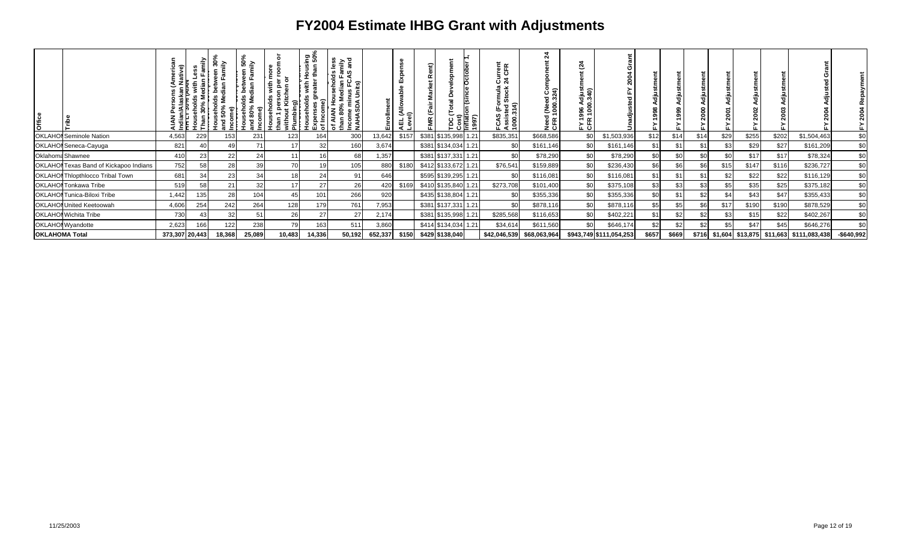| <b>Office</b>         |                                         |                |     | ੇ<br>50%<br>훎 | $\bullet$<br>ം ∈<br>ង<br>ចំនា<br>; ಕತ<br>sehol<br>80%<br>ᅙ | ႍ<br>with<br>೩<br>Househo<br>han 1 p | ក្ខុទ្ធ<br><u>ිත</u><br>우 술<br>토 룹 | $rac{1}{\sin \theta}$<br>ഗ<br><u>ശ</u> ര<br>ுட்<br>움 들 없<br>ninus FC.<br>DA Units)<br>ੌਰ<br>AIAN<br>an 80%<br>Income<br>NAHASI |         | \EL (Allo<br>_evel) | ent)<br>œ<br>¥ |                      | Cost)<br>Inflati<br>1997) | 를 뚠<br>ະ ວ<br>రె న<br>rmula<br>Stock<br>Assisted<br>1000.314)<br>╚<br>s<br>75⊼<br>ة ن | 24<br>Need (Need Cor<br>CFR 1000.324) | Ñ<br>gag<br>Sag |                         |       |       |       |      |                              |       |               |             |
|-----------------------|-----------------------------------------|----------------|-----|---------------|------------------------------------------------------------|--------------------------------------|------------------------------------|--------------------------------------------------------------------------------------------------------------------------------|---------|---------------------|----------------|----------------------|---------------------------|---------------------------------------------------------------------------------------|---------------------------------------|-----------------|-------------------------|-------|-------|-------|------|------------------------------|-------|---------------|-------------|
|                       | <b>OKLAHOI</b> Seminole Nation          | 4,563          | 229 | 153           | 231                                                        | 123                                  | 164                                | 300                                                                                                                            | 13,642  | \$157               |                | \$381 \$135,998 1.21 |                           | \$835,351                                                                             | \$668,586                             | \$0             | \$1,503,936             | \$12  | \$1   | \$14  | \$29 | \$255                        | \$202 | \$1,504,463   | \$0         |
|                       | OKLAHOI Seneca-Cayuga                   | 821            | 40  |               | 71                                                         |                                      | 32                                 | 160                                                                                                                            | 3,674   |                     |                | \$381 \$134,034 1.21 |                           | \$0                                                                                   | \$161,146                             | \$0             | \$161,146               | \$1   | \$1   | \$1   | \$3  | \$29                         | \$27  | \$161,209     | \$0         |
|                       | Oklahoma Shawnee                        | 410            | 23  | 22            | 24                                                         |                                      |                                    | 68                                                                                                                             | 1,357   |                     |                | \$381 \$137,331 1.21 |                           | \$0                                                                                   | \$78,290                              | \$0             | \$78,290                | \$0   | \$ı   | \$0   | \$0  | \$17                         | \$17  | \$78,324      | \$0         |
|                       | OKLAHOI Texas Band of Kickapoo Indians  | 752            | 58  | 28            | 39                                                         | 70                                   |                                    | 105                                                                                                                            | 880     | \$180               |                | \$412 \$133,672 1.21 |                           | \$76,541                                                                              | \$159,889                             | \$0             | \$236,430               | \$6   | \$    | \$6   | \$15 | \$147                        | \$116 | \$236,727     | \$0         |
|                       | <b>OKLAHOI Thlopthlocco Tribal Town</b> | 681            | 34  | 23            | 34                                                         | 18                                   | 24                                 | 91                                                                                                                             | 646     |                     |                | \$595 \$139,295 1.21 |                           | \$0                                                                                   | \$116,081                             | \$0             | \$116,081               | \$1   | \$1   | \$1   | \$2  | \$22                         | \$22  | \$116,129     | \$0         |
|                       | <b>OKLAHOI</b> Tonkawa Tribe            | 519            | 58  |               | 32                                                         |                                      | 27                                 | 26                                                                                                                             | 420     | \$169               |                | \$410 \$135,840 1.21 |                           | \$273,708                                                                             | \$101,400                             | \$0             | \$375,108               | \$3   | \$3   | \$3   | \$5  | \$35                         | \$25  | \$375,182     | \$0         |
|                       | <b>OKLAHOI</b> Tunica-Biloxi Tribe      | 1,442          |     | 28            | 104                                                        |                                      | 101                                | 266                                                                                                                            | 920     |                     |                | \$435 \$138,804 1.21 |                           |                                                                                       | \$355,336                             | \$0             | \$355,336               | \$0   |       | \$2   | \$4  | \$43                         | \$47  | \$355,433     | \$0         |
|                       | <b>OKLAHOI United Keetoowah</b>         | 4,606          | 254 | 242           | 264                                                        | 128                                  | 179                                | 761                                                                                                                            | 7,953   |                     |                | \$381 \$137,331 1.21 |                           | \$ <sub>6</sub>                                                                       | \$878,116                             | \$0             | \$878,116               | \$5   |       |       | \$17 | \$190                        | \$190 | \$878,529     | \$0         |
|                       | <b>OKLAHOI</b> Wichita Tribe            | 730            | 4:  | 32            | 51                                                         | 26                                   | 27                                 | 27                                                                                                                             | 2,174   |                     |                | \$381 \$135,998 1.21 |                           | \$285,568                                                                             | \$116,653                             | \$0             | \$402,221               | \$1   | \$    | \$2   | \$3  | \$15                         | \$22  | \$402,267     | \$0         |
|                       | OKLAHOI Wyandotte                       | 2,623          | 166 | 122           | 238                                                        | 79                                   | 163                                | 511                                                                                                                            | 3,860   |                     |                | \$414 \$134,034 1.21 |                           | \$34,614                                                                              | \$611,560                             |                 | \$646,174               | \$2   | \$.   | \$2   | \$5  | \$47                         | \$45  | \$646,276     | \$0         |
| <b>OKLAHOMA Total</b> |                                         | 373,307 20,443 |     | 18,368        | 25,089                                                     | 10,483                               | 14,336                             | 50,192                                                                                                                         | 652,337 | \$150               |                | \$429 \$138,040      |                           | \$42,046,539                                                                          | \$68,063,964                          |                 | \$943,749 \$111,054,253 | \$657 | \$669 | \$716 |      | $$1,604$ $$13,875$ $$11,663$ |       | \$111,083,438 | $-$640,992$ |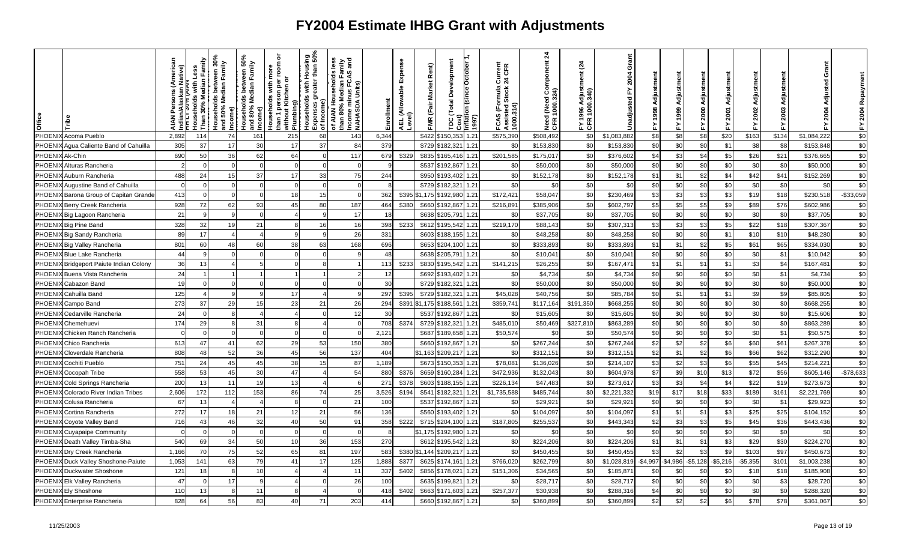| Office  |                                 | ative) | Median Family<br>with Less<br>ouseholds<br>Than | ween 30%<br>Family<br>between<br>Households betwe<br>and 50% Median F<br>Income) | ween 50%<br>Family<br>between<br>Median<br>Households I<br>and 80% Med<br>Income) | ō<br>room<br>Households with more<br>than 1 person per roon<br>without Kitchen or<br>Plumbing) | Housing<br>r than 50%<br>than<br>reater<br>with<br>touseholds<br>ಕಾ<br>Expenses g<br>of Income) | iess<br>riin<br>sand<br>of AIAN Households Ie<br>than 80% Median Fam<br>Income minus FCAS a<br>NAHASDA Units) | Enrollment      | Expense<br>AEL (Allowable I<br>Level) | Rent)<br><b>Market</b><br>FMR (Fair | Development<br>October<br>Total<br>ntlati<br>1997)<br>$30$ st)<br>g | ormula Current<br>I Stock 24 CFR<br>FCAS (Formula (<br>Assisted Stock 2<br>1000.314) | 24<br>(Need Component<br>1000.324)<br>Need<br>CFR 1 | $\tilde{a}$<br>djust<br>340)<br>8<br>EY Č | Grant<br>2004<br>Jnadjusted | Adjustment<br>998<br>孟 |         | ត្ថ<br>Adju<br>2000 | 2001<br>着 | Adjustment<br>2002<br>놊 | 2003<br>놊 | Grant<br><b>2004</b> | 2004 Repaym<br>ᇫ |
|---------|---------------------------------|--------|-------------------------------------------------|----------------------------------------------------------------------------------|-----------------------------------------------------------------------------------|------------------------------------------------------------------------------------------------|-------------------------------------------------------------------------------------------------|---------------------------------------------------------------------------------------------------------------|-----------------|---------------------------------------|-------------------------------------|---------------------------------------------------------------------|--------------------------------------------------------------------------------------|-----------------------------------------------------|-------------------------------------------|-----------------------------|------------------------|---------|---------------------|-----------|-------------------------|-----------|----------------------|------------------|
| PHOENI  | Acoma Pueblo                    | 2.892  | 114                                             | 74                                                                               | 161                                                                               | 215                                                                                            | 68                                                                                              | 143                                                                                                           | 6,344           |                                       | \$422                               | 1.21<br>\$150.35                                                    | \$575,390                                                                            | \$508,492                                           | \$0                                       | \$1,083,882                 | \$8                    | \$8     | \$8                 | \$20      | \$163                   | \$134     | \$1,084,222          | \$0              |
| PHOENI  | Agua Caliente Band of Cahuilla  | 305    | 37                                              | 17                                                                               | 30                                                                                | 17                                                                                             | 37                                                                                              | 84                                                                                                            | 379             |                                       | \$729                               | 1.21<br>\$182,321                                                   | \$ <sub>6</sub>                                                                      | \$153,830                                           | \$C                                       | \$153,830                   | \$0                    | \$C     | \$0                 | \$1       | \$8                     | \$8       | \$153,848            | \$0              |
| PHOEN   | Ak-Chin                         | 690    | 50                                              | 36                                                                               | 62                                                                                | 64                                                                                             | $\Omega$                                                                                        | 117                                                                                                           | 679             | \$329                                 | \$835                               | 1.21<br>\$165,41                                                    | \$201,585                                                                            | \$175,01                                            | \$0                                       | \$376,602                   | \$4                    | \$3     | \$4                 | \$5       | \$26                    | \$21      | \$376,665            | \$0              |
| PHOENI  | Alturas Rancheria               |        |                                                 |                                                                                  |                                                                                   |                                                                                                |                                                                                                 | $\mathcal{C}$                                                                                                 |                 |                                       | \$537                               | \$192,867<br>1.21                                                   | \$0                                                                                  | \$50,000                                            | \$0                                       | \$50,000                    | \$0                    | \$0     | \$0                 | \$0       | \$0                     | \$0       | \$50,000             | \$0              |
| PHOEN   | Auburn Rancheria                | 488    | 24                                              | 15                                                                               | 37                                                                                | 17                                                                                             | 33                                                                                              | 75                                                                                                            | 244             |                                       | \$950                               | 1.21<br>\$193,402                                                   | \$0                                                                                  | \$152,178                                           | \$0                                       | \$152,178                   | \$1                    | \$1     | \$2                 | \$4       | \$42                    | \$41      | \$152,269            | \$0              |
| PHOEN   | Augustine Band of Cahuilla      |        |                                                 |                                                                                  | $\Omega$                                                                          |                                                                                                |                                                                                                 |                                                                                                               |                 |                                       | \$729                               | 1.21<br>\$182,321                                                   | \$0                                                                                  | \$0                                                 | \$0                                       | \$0                         | \$0                    | \$0     | \$0                 | \$0       | \$0                     | \$0       | \$0                  | \$0              |
| PHOENI. | Barona Group of Capitan Grande  | 413    |                                                 |                                                                                  |                                                                                   | 18                                                                                             |                                                                                                 |                                                                                                               | 362             | \$395                                 | \$1,175                             | 1.21<br>\$192,980                                                   | \$172,421                                                                            | \$58,047                                            | \$C                                       | \$230,469                   | \$3                    | \$3     | \$3                 | \$3       | \$19                    | \$18      | \$230,518            | $-$ \$33,059     |
| PHOEN   | Berry Creek Rancheria           | 928    | 72                                              | 62                                                                               | 93                                                                                | 45                                                                                             | 80                                                                                              | 187                                                                                                           | 464             | \$380                                 | \$660                               | 1.21<br>\$192,867                                                   | \$216,891                                                                            | \$385,906                                           | \$0                                       | \$602,797                   | \$5                    | \$5     | \$5                 | \$9       | \$89                    | \$76      | \$602,986            | \$0              |
| PHOENI. | Big Lagoon Rancheria            | 21     |                                                 |                                                                                  |                                                                                   |                                                                                                |                                                                                                 | 17                                                                                                            | -18             |                                       | \$638                               | \$205,791<br>1.21                                                   | \$0                                                                                  | \$37,705                                            | \$0                                       | \$37,705                    | \$0                    | \$0     | \$0                 | \$0       | \$0                     | \$0       | \$37,705             | \$0              |
| PHOENI) | <b>Big Pine Band</b>            | 328    | 32                                              | 19                                                                               | 21                                                                                |                                                                                                | 16                                                                                              | 16                                                                                                            | 398             | \$233                                 | \$612                               | 1.21<br>\$195,542                                                   | \$219,170                                                                            | \$88,143                                            | \$0                                       | \$307,313                   | \$3                    | \$3     | \$3                 | \$5       | \$22                    | \$18      | \$307,367            | \$0              |
| PHOENI  | <b>Big Sandy Rancheria</b>      | 89     | 17                                              |                                                                                  |                                                                                   |                                                                                                |                                                                                                 | 26                                                                                                            | 331             |                                       | \$603                               | 1.21<br>\$188,155                                                   | \$0                                                                                  | \$48,258                                            | \$0                                       | \$48,258                    | \$0                    | \$0     | \$0                 | \$1       | \$10                    | \$10      | \$48,280             | \$0              |
| PHOENIX | Big Valley Rancheria            | 801    | 60                                              | 48                                                                               | 60                                                                                | 38                                                                                             | 63                                                                                              | 168                                                                                                           | 696             |                                       | \$653                               | 1.21<br>\$204,100                                                   | \$0                                                                                  | \$333,893                                           | \$0                                       | \$333,893                   | \$1                    | \$1     | \$2                 | \$5       | \$61                    | \$65      | \$334,030            | \$0              |
| PHOENI  | <b>Blue Lake Rancheria</b>      | 44     | 9                                               |                                                                                  |                                                                                   |                                                                                                |                                                                                                 |                                                                                                               | 48              |                                       | \$638                               | 1.21<br>\$205,791                                                   | \$0                                                                                  | \$10,041                                            | \$0                                       | \$10,04                     | \$0                    | \$0     | \$0                 | \$0       | \$0                     | \$1       | \$10,042             | $$0$             |
| PHOENI  | Bridgeport Paiute Indian Colony | 36     | 13                                              |                                                                                  |                                                                                   |                                                                                                |                                                                                                 |                                                                                                               | 113             | \$233                                 | \$830                               | \$195,542<br>1.21                                                   | \$141,215                                                                            | \$26,255                                            | \$0                                       | \$167,471                   | \$1                    | \$1     | \$1                 | \$1       | \$3                     | \$4       | \$167,48             | $\sqrt{6}$       |
| PHOENI  | Buena Vista Rancheria           | 24     |                                                 |                                                                                  |                                                                                   |                                                                                                |                                                                                                 |                                                                                                               | 12              |                                       | \$692                               | 1.21<br>\$193,402                                                   | \$0                                                                                  | \$4,734                                             | \$0                                       | \$4,734                     | \$0                    | \$0     | \$0                 | \$0       | \$0                     | \$1       | \$4,734              | \$0              |
| PHOENI  | Cabazon Band                    | 19     |                                                 |                                                                                  |                                                                                   |                                                                                                |                                                                                                 |                                                                                                               | 3 <sup>0</sup>  |                                       | \$729                               | 1.21<br>3182,32                                                     | \$c                                                                                  | \$50,000                                            | \$0                                       | \$50,000                    | \$0                    | \$C     | \$0                 | \$0       | \$0                     | \$0       | \$50,000             | \$0              |
| PHOENI. | Cahuilla Band                   | 125    |                                                 |                                                                                  |                                                                                   | 17                                                                                             |                                                                                                 |                                                                                                               | 297             | \$395                                 | \$729                               | 1.21<br>\$182,321                                                   | \$45,028                                                                             | \$40,756                                            | \$0                                       | \$85,784                    | \$0                    | \$1     | \$1                 | \$1       | \$9                     | \$9       | \$85,805             | \$0              |
| PHOENI  | Campo Band                      | 273    | 37                                              | 29                                                                               | 15                                                                                | 23                                                                                             | 21                                                                                              | 26                                                                                                            | 294             | \$391                                 | \$1,175                             | 1.21<br>\$188,561                                                   | \$359,741                                                                            | \$117,164                                           | \$191,350                                 | \$668,255                   | \$0                    | \$0     | \$0                 | \$0       | \$0                     | \$0       | \$668,255            | \$0              |
| PHOENI. | Cedarville Rancheria            | 24     |                                                 |                                                                                  |                                                                                   |                                                                                                |                                                                                                 | 12                                                                                                            | 30              |                                       | \$537                               | \$192,867<br>1.21                                                   | \$0                                                                                  | \$15,605                                            | \$C                                       | \$15,605                    | \$0                    | \$0     | \$0                 | \$0       | \$0                     | \$0       | \$15,606             | \$0              |
| PHOENI  | Chemehuevi                      | 174    | 29                                              |                                                                                  | 31                                                                                |                                                                                                |                                                                                                 |                                                                                                               | 708             | \$374                                 | \$729                               | 1.21<br>\$182,321                                                   | \$485,010                                                                            | \$50,469                                            | \$327,810                                 | \$863,289                   | \$0                    | \$0     | \$0                 | \$0       | \$0                     | \$0       | \$863,289            | \$0              |
| PHOEN   | Chicken Ranch Rancheria         |        |                                                 |                                                                                  | $\sqrt{ }$                                                                        |                                                                                                |                                                                                                 |                                                                                                               | 2,12'           |                                       | \$687                               | \$189,658<br>1.21                                                   | \$50,574                                                                             | \$0                                                 | \$0                                       | \$50,574                    | \$0                    | \$0     | \$0                 | \$0       | \$0                     | \$1       | \$50,575             | \$0              |
| PHOENI. | Chico Rancheria                 | 613    | 47                                              | 41                                                                               | 62                                                                                | 29                                                                                             | 53                                                                                              | 150                                                                                                           | 380             |                                       | \$660                               | \$192,867<br>1.21                                                   | \$0                                                                                  | \$267,244                                           | \$0                                       | \$267,244                   | \$2                    | \$2     | \$2                 | \$6       | \$60                    | \$61      | \$267,378            | \$0              |
| PHOEN   | Cloverdale Rancheria            | 808    | 48                                              | 52                                                                               | 36                                                                                | 45                                                                                             | 56                                                                                              | 137                                                                                                           | 404             |                                       | \$1,163                             | 1.21<br>\$209,217                                                   | \$0                                                                                  | \$312,15                                            | \$0                                       | \$312,15                    | \$2                    | \$1     | \$2                 | \$6       | \$66                    | \$62      | \$312,290            | \$0              |
| PHOENI. | Cochiti Pueblo                  | 751    | 24                                              | 45                                                                               | 45                                                                                | 38                                                                                             | 15                                                                                              | 87                                                                                                            | 1,189           |                                       | \$673                               | \$150,353<br>1.21                                                   | \$78,081                                                                             | \$136,026                                           | \$0                                       | \$214,107                   | \$3                    | \$2     | \$3                 | \$6       | \$55                    | \$45      | \$214,22             | \$0              |
| PHOENI  | <b>Cocopah Tribe</b>            | 558    | 53                                              | 45                                                                               | 30                                                                                | 47                                                                                             |                                                                                                 | 54                                                                                                            | 880             | \$376                                 | \$659                               | 1.21<br>\$160,284                                                   | \$472,93                                                                             | \$132,043                                           | \$0                                       | \$604,978                   | \$7                    | \$9     | \$10                | \$13      | \$72                    | \$56      | \$605,146            | $-$78,633$       |
| PHOENI  | Cold Springs Rancheria          | 200    | 13                                              | -11                                                                              | 19                                                                                | 13                                                                                             |                                                                                                 | 6                                                                                                             | 271             | \$378                                 | \$603                               | 1.21<br>\$188,155                                                   | \$226,13                                                                             | \$47,483                                            | \$0                                       | \$273,617                   | \$3                    | \$3     | \$4                 | \$4       | \$22                    | \$19      | \$273,673            | \$0              |
| PHOENI. | Colorado River Indian Tribes    | 2,606  | 172                                             | 112                                                                              | 153                                                                               | 86                                                                                             | 74                                                                                              | 25                                                                                                            | 3,526           | \$194                                 | \$541                               | 1.21<br>\$182,321                                                   | \$1,735,588                                                                          | \$485,744                                           | \$0                                       | \$2,221,332                 | \$19                   | \$17    | \$18                | \$33      | \$189                   | \$161     | \$2,221,769          | \$0              |
| PHOEN   | Colusa Rancheria                | 67     | 13                                              |                                                                                  |                                                                                   |                                                                                                |                                                                                                 | 21                                                                                                            | 10 <sub>C</sub> |                                       | \$537                               | \$192,867<br>1.21                                                   | \$0                                                                                  | \$29,92                                             | \$0                                       | \$29,92                     | \$0                    | \$0     | \$0                 | \$0       | \$0                     | \$1       | \$29,923             | \$0              |
| PHOENI) | Cortina Rancheria               | 272    | 17                                              | 18                                                                               | 21                                                                                | 12                                                                                             | 21                                                                                              | 56                                                                                                            | 136             |                                       | \$560                               | 1.21<br>\$193,402                                                   | \$0                                                                                  | \$104,097                                           | \$0                                       | \$104,097                   | \$1                    | \$1     | \$1                 | \$3       | \$25                    | \$25      | \$104,152            | $$0$             |
| PHOENI. | Coyote Valley Band              | 716    | 43                                              | $\Delta\theta$                                                                   | 32                                                                                | 40                                                                                             | 50                                                                                              | 91                                                                                                            | 358             | \$222                                 | \$715                               | 1.21<br>\$204,100                                                   | \$187,805                                                                            | \$255,53                                            | \$0                                       | \$443,343                   | \$2                    | \$3     | \$3                 | \$5       | \$45                    | \$36      | \$443,436            | \$0              |
| PHOENI  | <b>Cuyapaipe Community</b>      |        | $\Omega$                                        |                                                                                  | $\Omega$                                                                          |                                                                                                | $\Omega$                                                                                        | $\Omega$                                                                                                      |                 |                                       | \$1.175                             | \$192,980<br>1.21                                                   | \$0                                                                                  | \$0                                                 | \$0                                       | \$0                         | \$0                    | \$0     | \$0                 | \$0       | \$C                     | \$0       | \$0                  | \$0              |
| PHOENI) | Death Valley Timba-Sha          | 540    | 69                                              | 34                                                                               | 50                                                                                | 10 <sup>1</sup>                                                                                | 36                                                                                              | 153                                                                                                           | 270             |                                       | \$612                               | 1.21<br>\$195,542                                                   | \$0                                                                                  | \$224,206                                           | \$0                                       | \$224,206                   | \$1                    | \$1     | \$1                 | \$3       | \$29                    | \$30      | \$224,270            | \$0              |
| PHOENI  | Dry Creek Rancheria             | 1,166  | 70                                              | 75                                                                               | 52                                                                                | 65                                                                                             | 81                                                                                              | 197                                                                                                           | 583             | \$380                                 | \$1,144                             | \$209,217<br>1.21                                                   | \$0                                                                                  | \$450,455                                           | \$0                                       | \$450,455                   | \$3                    | \$2     | \$3                 | \$9       | \$103                   | \$97      | \$450,673            | \$0              |
| PHOENI  | Duck Valley Shoshone-Paiute     | 1,053  | 141                                             | 63                                                                               | 79                                                                                | 41                                                                                             | 17                                                                                              | 125                                                                                                           | 1,888           | \$377                                 | \$625                               | 1.21<br>\$174,161                                                   | \$766,020                                                                            | \$262,799                                           | \$0                                       | \$1,028,819                 | $-$4,997$              | \$4,986 | $-$5,128$           | $-$5,216$ | $-$5,355$               | \$101     | \$1,003,238          | \$0              |
| PHOENI. | Duckwater Shoshone              | 121    | 18                                              |                                                                                  | 10                                                                                |                                                                                                |                                                                                                 | 11                                                                                                            | 337             | \$402                                 | \$856                               | 1.21<br>\$178,021                                                   | \$151,306                                                                            | \$34,565                                            | \$C                                       | \$185,87                    | \$0                    | \$      | \$0                 | \$C       | \$18                    | \$18      | \$185,908            | \$0              |
| PHOENI. | <b>Elk Valley Rancheria</b>     | 47     | ∩                                               | 17                                                                               | $\mathbf{q}$                                                                      |                                                                                                |                                                                                                 | 26                                                                                                            | 10 <sub>C</sub> |                                       | \$635                               | 1.21<br>\$199,821                                                   | \$0                                                                                  | \$28,717                                            | \$0                                       | \$28,717                    | \$0                    | \$0     | \$0                 | \$0       | \$0                     | \$3       | \$28,720             | $$0$             |
| PHOENI. | <b>Ely Shoshone</b>             | 110    | 13                                              |                                                                                  | 11                                                                                |                                                                                                |                                                                                                 | $\mathcal{C}$                                                                                                 | 418             | \$402                                 | \$663                               | 1.21<br>\$171,603                                                   | \$257,377                                                                            | \$30,938                                            | \$0                                       | \$288,316                   | \$4                    | \$0     | \$0                 | \$0       | \$0                     | \$0       | \$288,320            | \$0              |
|         | PHOENIX Enterprise Rancheria    | 828    | 64                                              | 56                                                                               | 83                                                                                | 40                                                                                             | 71                                                                                              | 203                                                                                                           | 414             |                                       | \$660                               | 1.21<br>\$192,867                                                   | \$0                                                                                  | \$360,899                                           | \$0                                       | \$360,899                   | \$2                    | \$2     | \$2                 | \$6       | \$78                    | \$78      | \$361,067            | \$0              |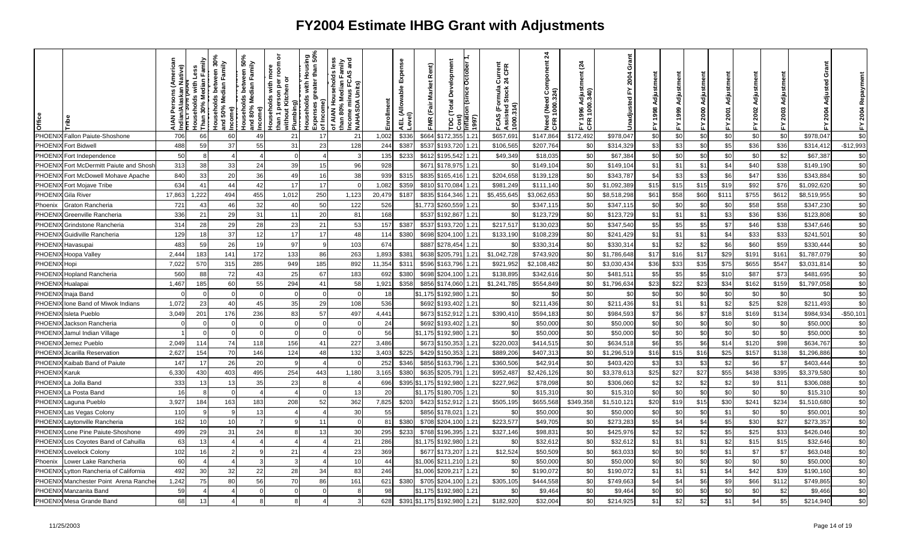| office        |                                 | (America<br>n Native)<br>Alaska<br>Indian/<br>z | Family<br>with Less<br>30% Median<br>touseholds<br><b>Than</b> | between 30%<br>dian Family<br>Households betw<br>and 50% Median F<br>ncome) | ween 50%<br>Family<br>between<br>Households betw<br>and 80% Median F<br>Income) | ō<br>room<br>ē<br>৯<br>per<br>with<br>Kitchen<br>person<br>Households<br>than 1 persor<br>without Kite<br>Plumbing) | ۵q.<br>និ<br>than<br>Housi<br>eater<br>with<br>Households<br>৯<br>Income)<br>Expenses<br>of Income) | olds less<br>I Family<br>CAS and<br>of AIAN Households le<br>than 80% Median Fam<br>Income minus FCAS a<br>NAHASDA Units) | nallm<br>T | Expense<br>AEL (Allowable<br>Level) | Rent)<br><b>Market</b><br>(Fair<br><b>FMR</b> | Development<br>Total<br>Cost)<br>ă | b<br>1997)<br>$\frac{1}{2}$ | Current<br>24 CFR<br>FCAS (Formula (<br>Assisted Stock 2<br>1000.314) | 24<br>mponent<br>1 (Need Con<br>1000.324)<br>Need<br>CFR 1 | $\frac{3}{4}$<br>sire<br>Sirip | Grant<br>2004<br>ᇎ<br>Jnadjusted | 998            |              | 릉<br>2000 | 2001<br>≿ | ã<br>Adjustm<br>2002<br>십 | 2003<br>놊 | Grant<br>Isted<br>공<br><b>2004</b> | Repaym<br>2004<br>십 |
|---------------|---------------------------------|-------------------------------------------------|----------------------------------------------------------------|-----------------------------------------------------------------------------|---------------------------------------------------------------------------------|---------------------------------------------------------------------------------------------------------------------|-----------------------------------------------------------------------------------------------------|---------------------------------------------------------------------------------------------------------------------------|------------|-------------------------------------|-----------------------------------------------|------------------------------------|-----------------------------|-----------------------------------------------------------------------|------------------------------------------------------------|--------------------------------|----------------------------------|----------------|--------------|-----------|-----------|---------------------------|-----------|------------------------------------|---------------------|
| PHOEN         | Fallon Paiute-Shoshone          | 706                                             | 66                                                             | 60                                                                          | 49                                                                              | 21                                                                                                                  | 17                                                                                                  | 21                                                                                                                        | 1,002      | \$336                               | \$664                                         | \$172,355                          | 1.21                        | \$657,691                                                             | \$147,864                                                  | \$172,492                      | \$978.047                        | \$0            | \$0          | \$0       | \$0       | \$0                       | \$0       | \$978,047                          | \$0                 |
| <b>PHOEN</b>  | <b>Fort Bidwell</b>             | 488                                             | 59                                                             | 37                                                                          | 55                                                                              | 31                                                                                                                  | 23                                                                                                  | 128                                                                                                                       | 244        | \$387                               | \$537                                         | \$193,720                          | 1.21                        | \$106,56                                                              | \$207,764                                                  | \$0                            | \$314,329                        | \$3            | \$3          | \$0       | \$5       | \$36                      | \$36      | \$314,412                          | $-$12,993$          |
| PHOEN         | Fort Independence               | 50                                              |                                                                |                                                                             | $\boldsymbol{\varDelta}$                                                        | $\Omega$                                                                                                            |                                                                                                     |                                                                                                                           | 135        | \$233                               | \$612                                         | \$195,542                          | 1.21                        | \$49,349                                                              | \$18,035                                                   | \$0                            | \$67,384                         | \$0            | \$0          | \$0       | \$0       | \$0                       | \$2       | \$67,387                           | \$0                 |
| PHOEN         | Fort McDermitt Paiute and Shosh | 313                                             | 38                                                             | 33                                                                          | 24                                                                              | 39                                                                                                                  | 15                                                                                                  | 96                                                                                                                        | 928        |                                     | \$671                                         | \$178,975                          | 1.21                        | \$C                                                                   | \$149,10                                                   | \$0                            | \$149,104                        | \$1            | \$1          | \$1       | \$4       | \$40                      | \$38      | \$149,190                          | \$0                 |
| PHOEN         | Fort McDowell Mohave Apache     | 840                                             | 33                                                             | 20                                                                          | 36                                                                              | 49                                                                                                                  | 16                                                                                                  | 38                                                                                                                        | 939        | \$315                               | \$835                                         | \$165,416                          | 1.21                        | \$204,658                                                             | \$139,128                                                  | \$0                            | \$343,787                        | \$4            | \$3          | \$3       | \$6       | \$47                      | \$36      | \$343,884                          | \$0                 |
| PHOEN         | Fort Mojave Tribe               | 634                                             | 41                                                             | 44                                                                          | 42                                                                              | 17                                                                                                                  | 17                                                                                                  |                                                                                                                           | 1,082      | \$359                               | \$810                                         | \$170,084                          | 1.21                        | \$981,24                                                              | \$111,140                                                  | \$0                            | \$1,092,389                      | \$15           | \$15         | \$15      | \$19      | \$92                      | \$76      | \$1,092,620                        | \$0                 |
| <b>PHOENI</b> | Gila River                      | 17,863                                          | 1,222                                                          | 494                                                                         | 455                                                                             | 1,012                                                                                                               | 250                                                                                                 | 1,123                                                                                                                     | 20,479     | \$187                               | \$835                                         | \$164,346                          | 1.21                        | \$5,455,645                                                           | \$3,062,653                                                | \$C                            | \$8,518,298                      | \$61           | \$58         | \$60      | \$111     | \$755                     | \$612     | \$8,519,955                        | \$0                 |
| Phoenix       | Graton Rancheria                | 721                                             | 43                                                             | 46                                                                          | 32                                                                              | 40                                                                                                                  | 50                                                                                                  | 122                                                                                                                       | 526        |                                     | \$1.773                                       | \$260,559                          | 1.21                        | \$0                                                                   | \$347,115                                                  | \$0                            | \$347,115                        | \$0            | \$0          | \$0       | \$0       | \$58                      | \$58      | \$347,230                          | \$0                 |
| PHOEN         | Greenville Rancheria            | 336                                             | 21                                                             | 29                                                                          | 31                                                                              | 11                                                                                                                  | 20                                                                                                  | 81                                                                                                                        | 168        |                                     | \$537                                         | \$192,867                          | 1.21                        | \$C                                                                   | \$123,729                                                  | \$0                            | \$123,729                        | \$1            | \$1          | \$1       | \$3       | \$36                      | \$36      | \$123,808                          | \$0                 |
| PHOEN         | Grindstone Rancheria            | 314                                             | 28                                                             | 29                                                                          | 28                                                                              | 23                                                                                                                  | 21                                                                                                  | 53                                                                                                                        | 157        | \$38                                | \$537                                         | \$193,720                          | 1.21                        | \$217,517                                                             | \$130,02                                                   | \$0                            | \$347,540                        | \$5            | \$5          | \$5       | \$7       | \$46                      | \$38      | \$347,646                          | \$0                 |
| <b>PHOEN</b>  | Guidiville Rancheria            | 129                                             | 18                                                             | 37                                                                          | 12                                                                              | 17                                                                                                                  | 17                                                                                                  | 48                                                                                                                        | 114        | \$380                               | \$698                                         | \$204,100                          | 1.21                        | \$133,19                                                              | \$108,239                                                  | \$0                            | \$241,429                        | \$1            | \$1          | \$1       | \$4       | \$33                      | \$33      | \$241,501                          | \$0                 |
| PHOEN         | Havasupai                       | 483                                             | 59                                                             | 26                                                                          | 19                                                                              | 97                                                                                                                  |                                                                                                     | 103                                                                                                                       | 674        |                                     | \$887                                         | \$278,454                          | 1.21                        | \$C                                                                   | \$330.314                                                  | \$0                            | \$330,314                        | \$1            | \$2          | \$2       | \$6       | \$60                      | \$59      | \$330,444                          | \$0                 |
| PHOEN         | Hoopa Valley                    | 2,444                                           | 183                                                            | 141                                                                         | 172                                                                             | 133                                                                                                                 | 86                                                                                                  | 263                                                                                                                       | 1,893      | \$38'                               | \$638                                         | \$205,791                          | 1.21                        | \$1,042,728                                                           | \$743,920                                                  | \$0                            | \$1,786,648                      | \$17           | \$16         | \$17      | \$29      | \$191                     | \$161     | \$1,787,079                        | \$0                 |
| <b>PHOEN</b>  | Hopi                            | 7,022                                           | 570                                                            | 315                                                                         | 285                                                                             | 949                                                                                                                 | 185                                                                                                 | 892                                                                                                                       | 11,354     | \$31                                | \$596                                         | \$163,796                          | 1.21                        | \$921,952                                                             | \$2,108,482                                                | \$0                            | \$3,030,434                      | \$36           | \$33         | \$35      | \$75      | \$655                     | \$547     | \$3,031,814                        | \$0                 |
| PHOEN         | Hopland Rancheria               | 560                                             | 88                                                             | 72                                                                          | 43                                                                              | 25                                                                                                                  | 67                                                                                                  | 183                                                                                                                       | 692        | \$380                               | \$698                                         | \$204,100                          | 1.21                        | \$138,89                                                              | \$342,61                                                   | \$0                            | \$481,51                         | \$5            | \$5          | \$5       | \$10      | \$87                      | \$73      | \$481,695                          | \$0                 |
| PHOEN         | Hualapai                        | 1,467                                           | 185                                                            | 60                                                                          | 55                                                                              | 294                                                                                                                 | 41                                                                                                  | 58                                                                                                                        | 1,921      | \$358                               | \$856                                         | \$174,060                          | 1.21                        | \$1,241,78                                                            | \$554,849                                                  | \$0                            | \$1,796,634                      | \$23           | \$22         | \$23      | \$34      | \$162                     | \$159     | \$1,797,058                        | \$0                 |
| PHOEN         | naja Band                       |                                                 |                                                                |                                                                             |                                                                                 |                                                                                                                     |                                                                                                     |                                                                                                                           | 18         |                                     | \$1.175                                       | \$192,980                          | 1.21                        | \$C                                                                   | \$0                                                        | \$0                            | \$0                              | \$0            | \$0          | \$0       | \$0       | \$0                       | \$0       | \$0                                | \$0                 |
| <b>PHOEN</b>  | lone Band of Miwok Indians      | 1,072                                           | 23                                                             | 40                                                                          | 45                                                                              | 35                                                                                                                  | 29                                                                                                  | 108                                                                                                                       | 536        |                                     | \$692                                         | \$193,402                          | 1.21                        | \$C                                                                   | \$211,436                                                  | \$0                            | \$211,436                        | \$1            | \$1          | \$1       | \$2       | \$25                      | \$28      | \$211,493                          | \$0                 |
| <b>PHOEN</b>  | Isleta Pueblo                   | 3,049                                           | 201                                                            | 176                                                                         | 236                                                                             | 83                                                                                                                  | 57                                                                                                  | 497                                                                                                                       | 4,441      |                                     | \$673                                         | \$152,91.                          | 1.21                        | \$390,410                                                             | \$594,183                                                  | \$0                            | \$984,593                        | \$7            | \$6          | \$7       | \$18      | \$169                     | \$134     | \$984,934                          | $-$50,101$          |
| <b>PHOENI</b> | Jackson Rancheria               | C                                               |                                                                |                                                                             | $\Omega$                                                                        |                                                                                                                     |                                                                                                     |                                                                                                                           | 24         |                                     | \$692                                         | \$193,402                          | 1.21                        | \$0                                                                   | \$50,000                                                   | \$0                            | \$50,000                         | \$0            | \$0          | \$0       | \$0       | \$0                       | \$0       | \$50,000                           | \$0                 |
| PHOEN         | Jamul Indian Village            |                                                 |                                                                |                                                                             |                                                                                 |                                                                                                                     |                                                                                                     |                                                                                                                           | 56         |                                     | \$1,175                                       | \$192,980                          | 1.21                        | \$C                                                                   | \$50,000                                                   | \$0                            | \$50,000                         | \$0            | \$0          | \$0       | \$0       | \$0                       | \$0       | \$50,000                           | \$0                 |
| PHOEN         | Jemez Pueblo                    | 2,049                                           | 114                                                            | 74                                                                          | 118                                                                             | 156                                                                                                                 | 41                                                                                                  | 227                                                                                                                       | 3,486      |                                     | \$673                                         | \$150,353                          | 1.21                        | \$220,003                                                             | \$414,51                                                   | \$0                            | \$634,518                        | \$6            | \$5          | \$6       | \$14      | \$120                     | \$98      | \$634,767                          | \$0                 |
| <b>PHOEN</b>  | Jicarilla Reservation           | 2,627                                           | 154                                                            | 70                                                                          | 146                                                                             | 124                                                                                                                 | 48                                                                                                  | 132                                                                                                                       | 3,403      | \$225                               | \$429                                         | \$150,35:                          | 1.21                        | \$889,20                                                              | \$407,313                                                  | \$0                            | \$1,296,519                      | \$16           | \$15         | \$16      | \$25      | \$157                     | \$138     | \$1,296,886                        | \$0                 |
| PHOEN         | Kaibab Band of Paiute           | 147                                             | 17                                                             | 26                                                                          | 20                                                                              |                                                                                                                     |                                                                                                     |                                                                                                                           | 252        | \$346                               | \$856                                         | \$163,796                          | 1.21                        | \$360,506                                                             | \$42,91                                                    | \$0                            | \$403,420                        | \$3            | \$3          | \$3       | \$2       | \$6                       | \$7       | \$403,444                          | \$0                 |
| <b>PHOEN</b>  | Karuk                           | 6,330                                           | 430                                                            | 403                                                                         | 495                                                                             | 254                                                                                                                 | 443                                                                                                 | 1,180                                                                                                                     | 3,165      | \$380                               | \$635                                         | \$205,791                          | 1.21                        | \$952,48                                                              | \$2,426,126                                                | \$0                            | \$3,378,613                      | \$25           | \$27         | \$27      | \$55      | \$438                     | \$395     | \$3,379,580                        | \$0                 |
| PHOEN         | La Jolla Band                   | 333                                             | 13                                                             | -13                                                                         | 35                                                                              | 23                                                                                                                  |                                                                                                     |                                                                                                                           | 696        | \$395                               | \$1,175                                       | \$192,980                          | 1.21                        | \$227,962                                                             | \$78,098                                                   | \$0                            | \$306,060                        | \$2            | \$2          | \$2       | \$2       | \$9                       | \$11      | \$306,088                          | \$0                 |
| PHOEN         | La Posta Band                   | 16                                              | 8                                                              |                                                                             |                                                                                 |                                                                                                                     |                                                                                                     | 13                                                                                                                        | 20         |                                     |                                               | \$1,175 \$180,705                  | 1.21                        | \$C                                                                   | \$15,310                                                   | \$0                            | \$15,310                         | \$0            | \$0          | \$0       | \$0       | \$0                       | \$0       | \$15,310                           | \$0                 |
| PHOEN         | Laguna Pueblo                   | 3,927                                           | 184                                                            | 163                                                                         | 183                                                                             | 208                                                                                                                 | 52                                                                                                  | 362                                                                                                                       | 7,825      | \$203                               | \$423                                         | \$152,91                           | 1.21                        | \$505,195                                                             | \$655,568                                                  | \$349,358                      | \$1,510,121                      | \$20           | \$19         | \$15      | \$30      | \$241                     | \$234     | \$1,510,680                        | \$0                 |
| <b>PHOEN</b>  | Las Vegas Colony                | 110                                             |                                                                |                                                                             | 13                                                                              |                                                                                                                     |                                                                                                     | 30                                                                                                                        | 55         |                                     | \$856                                         | \$178,02                           | 1.21                        | \$C                                                                   | \$50,00                                                    | \$0                            | \$50,000                         | \$0            | \$0          | \$0       | \$1       | \$0                       | \$0       | \$50,00'                           | \$0                 |
| <b>PHOEN</b>  | Laytonville Rancheria           | 162                                             | 10                                                             |                                                                             |                                                                                 |                                                                                                                     |                                                                                                     |                                                                                                                           | 81         | \$380                               | \$708                                         | \$204,100                          | 1.21                        | \$223,57                                                              | \$49,705                                                   | \$0                            | \$273,283                        | \$5            | \$4          | \$4       | \$5       | \$30                      | \$27      | \$273,357                          | \$0                 |
| PHOEN         | one Pine Paiute-Shoshone        | 499                                             | 29                                                             | 31                                                                          | 24                                                                              |                                                                                                                     | 13                                                                                                  | 30                                                                                                                        | 295        | \$233                               | \$768                                         | \$196,395                          | 1.21                        | \$327,146                                                             | \$98,83'                                                   | \$0                            | \$425,976                        | \$2            | \$2          | \$2       | \$5       | \$25                      | \$33      | \$426,046                          | \$0                 |
| PHOEN         | Los Coyotes Band of Cahuilla    | 63                                              | 13                                                             |                                                                             |                                                                                 |                                                                                                                     |                                                                                                     | 21                                                                                                                        | 286        |                                     | \$1.175                                       | \$192,980                          | 1.21                        | \$C                                                                   | \$32,61                                                    | \$0                            | \$32,612                         | \$1            | \$1          | \$1       | \$2       | \$15                      | \$15      | \$32,646                           | $$0$                |
| <b>PHOEN</b>  | Lovelock Colony                 | 102                                             | 16                                                             |                                                                             | q                                                                               | 21                                                                                                                  |                                                                                                     | 23                                                                                                                        | 369        |                                     | \$677                                         | \$173,207                          | 1.21                        | \$12,524                                                              | \$50,509                                                   | \$0                            | \$63,033                         | \$0            | \$0          | \$0       | \$1       | \$7                       | \$7       | \$63,048                           | \$0                 |
| Phoenix       | Lower Lake Rancheria            | 60                                              |                                                                |                                                                             | $\mathbf{a}$                                                                    |                                                                                                                     |                                                                                                     | 10                                                                                                                        | 44         |                                     | \$1,006                                       | \$211,210                          | 1.21                        | \$0                                                                   | \$50,000                                                   | \$0                            | \$50,000                         | \$0            | \$0          | \$0       | \$0       | \$0                       | \$0       | \$50,000                           | \$0                 |
| <b>PHOEN</b>  | Lytton Rancheria of California  | 492                                             | 30                                                             | 32                                                                          | 22                                                                              | 28                                                                                                                  | 34                                                                                                  | 83                                                                                                                        | 246        |                                     | \$1,006                                       | \$209,217                          | 1.21                        | \$C                                                                   | \$190,07                                                   | \$0                            | \$190,072                        | \$1            | $\mathbb{S}$ | \$1       | \$4       | \$42                      | \$39      | \$190,160                          | \$0                 |
| PHOEN         | Manchester Point Arena Ranche   | 1,242                                           | 75                                                             | 80                                                                          | 56                                                                              | 70                                                                                                                  | 86                                                                                                  | 161                                                                                                                       | 621        | \$380                               | \$705                                         | \$204.100                          | 1.21                        | \$305,105                                                             | \$444,558                                                  | \$0                            | \$749,663                        | \$4            | \$4          | \$6       | \$9       | \$66                      | \$112     | \$749,865                          | \$0                 |
| <b>PHOEN</b>  | Manzanita Band                  | 59                                              |                                                                |                                                                             | $\Omega$                                                                        | $\Omega$                                                                                                            |                                                                                                     | ε                                                                                                                         | 98         |                                     | \$1,175                                       | \$192,980                          | 1.21                        | \$ <sub>0</sub>                                                       | \$9,464                                                    | \$0                            | \$9,464                          | \$0            | \$0          | \$0       | \$0       | \$0                       | \$2       | \$9,466                            | \$0                 |
|               | PHOENIX Mesa Grande Band        | 68                                              | 13                                                             |                                                                             |                                                                                 |                                                                                                                     |                                                                                                     |                                                                                                                           | 628        | \$391                               | \$1,175                                       | \$192,980                          | 1.21                        | \$182,920                                                             | \$32,004                                                   | \$0                            | \$214,925                        | $\mathbb{S}^1$ | \$2          | \$2       | \$1       | \$4                       | \$5       | \$214,940                          | \$0                 |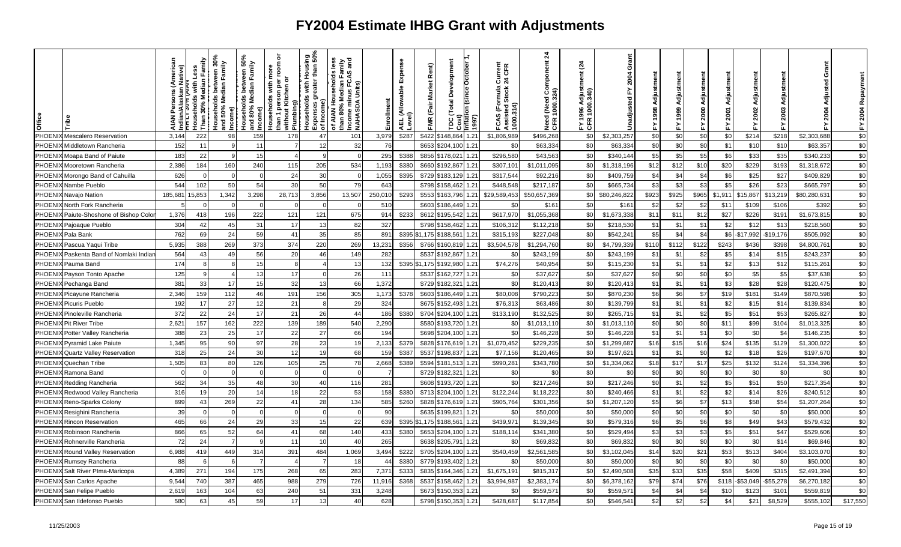| Office        |                                  | ative)<br>ਛੇ | Less<br>ouseholds with I<br>han 30% Median<br>Than | between 30 <sup>9</sup><br>dian Family<br>Median<br>louseholds k<br>Ind 50% Med<br>Income)<br>힡 | : between 50%<br>dian Family<br>Median I<br>Households<br>and 80% Med<br>ncome) | ō<br>room<br>Households with more<br>than 1 person per roon<br>without Kitchen or<br>person pe<br>ut Kitchen<br>Plumbing) | Housing<br>r than 50%<br>$\epsilon$<br>£<br>reater<br>with I<br>touseholds<br>ౚ<br>Expenses g<br>of Income) | Sana<br>Lim<br>Sana<br>ian Fan<br>FCAS<br><u>ds</u><br>of AIAN Househo<br>han 80% Median<br>ncome minus FC<br>VAHASDA Units)<br>፞፝፝፝፝፝ | Enrollment | Expense<br>AEL (Allowable I<br>Level) | Rent)<br><b>Market</b><br>FMR (Fair | Development<br><b>October</b><br>Total<br>$\overline{\text{min}}$<br>ă | 997) | Current<br>24 CFR<br>FCAS (Formula (<br>Assisted Stock 2<br>1000.314) | $\overline{a}$<br>(Need Component<br>1000.324)<br>Need<br>CFR <sub>1</sub> | $\tilde{q}$<br>djust<br>340)<br>1000<br>996<br>E<br>E<br>E | Grant<br>2004<br>≿<br>Inadjusted | Adjustm<br>998 |           | Adjustm<br>2000 | Adiu<br>2001<br>놊 | ã<br>Adjustm<br>2002<br>십 | ≿.       | Grant<br>Adjusted<br>2004 | Repaym<br>2004<br>눏 |
|---------------|----------------------------------|--------------|----------------------------------------------------|-------------------------------------------------------------------------------------------------|---------------------------------------------------------------------------------|---------------------------------------------------------------------------------------------------------------------------|-------------------------------------------------------------------------------------------------------------|----------------------------------------------------------------------------------------------------------------------------------------|------------|---------------------------------------|-------------------------------------|------------------------------------------------------------------------|------|-----------------------------------------------------------------------|----------------------------------------------------------------------------|------------------------------------------------------------|----------------------------------|----------------|-----------|-----------------|-------------------|---------------------------|----------|---------------------------|---------------------|
| PHOENI        | Mescalero Reservation            | 3,144        | 222                                                | 98                                                                                              | 159                                                                             | 178                                                                                                                       | 47                                                                                                          | 101                                                                                                                                    | 3,979      | \$287                                 | \$422                               | \$148,864                                                              | 1.21 | \$1,806,989                                                           | \$496,268                                                                  | \$0                                                        | \$2,303,257                      | \$0            | \$0       | \$0             | \$0               | \$214                     | \$218    | \$2,303,688               | \$0                 |
| PHOENI        | Middletown Rancheria             | 152          | 11                                                 |                                                                                                 | 11                                                                              |                                                                                                                           | 12                                                                                                          | 32                                                                                                                                     | 76         |                                       | \$653                               | 1.21<br>\$204,100                                                      |      | \$0                                                                   | \$63,334                                                                   | \$0                                                        | \$63,334                         | \$0            | \$0       | \$0             | \$1               | \$1C                      | \$10     | \$63,357                  | \$0                 |
| PHOEN         | Moapa Band of Paiute             | 183          | 22                                                 |                                                                                                 | 15                                                                              |                                                                                                                           |                                                                                                             | $\mathcal{C}$                                                                                                                          | 295        | \$388                                 | \$856                               | 1.21<br>\$178,021                                                      |      | \$296,580                                                             | \$43,563                                                                   | \$0                                                        | \$340,144                        | \$5            | \$5       | \$5             | \$6               | \$33                      | \$35     | \$340,233                 | \$0                 |
| PHOENI        | Mooretown Rancheria              | 2,386        | 184                                                | 160                                                                                             | 240                                                                             | 115                                                                                                                       | 205                                                                                                         | 534                                                                                                                                    | 1,193      | \$380                                 | \$660                               | \$192,867<br>1.21                                                      |      | \$307,10'                                                             | \$1,011,095                                                                | \$C                                                        | \$1,318,196                      | \$12           | \$12      | \$10            | \$20              | \$229                     | \$193    | \$1,318,672               | \$0                 |
| PHOEN         | Morongo Band of Cahuilla         | 626          |                                                    |                                                                                                 |                                                                                 | 24                                                                                                                        | 30                                                                                                          |                                                                                                                                        | 1,055      | \$395                                 | \$729                               | 1.21<br>\$183,129                                                      |      | \$317,54                                                              | \$92,210                                                                   | \$C                                                        | \$409,759                        | \$4            | \$4       | \$4             | \$6               | \$25                      | \$27     | \$409,82                  | \$0                 |
| PHOENI        | Nambe Pueblo                     | 544          | 102                                                | .50                                                                                             | 54                                                                              | 30                                                                                                                        | 50                                                                                                          | 79                                                                                                                                     | 643        |                                       | \$798                               | \$158,462                                                              | 1.21 | \$448.548                                                             | \$217,187                                                                  | \$C                                                        | \$665,734                        | \$3            | <b>S3</b> | \$3             | \$5               | \$26                      | \$23     | \$665,797                 | \$0                 |
|               | PHOENIX Navajo Nation            | 185,681      | 15,853                                             | 1,342                                                                                           | 3,298                                                                           | 28,713                                                                                                                    | 3,856                                                                                                       | 13,507                                                                                                                                 | 250,010    | \$293                                 | \$553                               | \$163,796                                                              | 1.21 | \$29,589,453                                                          | \$50,657,369                                                               | \$0                                                        | \$80,246,822                     | \$923          | \$925     | \$965           | \$1,911           | \$15,867                  | \$13,219 | \$80,280,631              | $\$0$               |
| PHOEN         | North Fork Rancheria             |              |                                                    |                                                                                                 |                                                                                 |                                                                                                                           |                                                                                                             |                                                                                                                                        | 51(        |                                       | \$603                               | \$186,449                                                              | 1.21 | \$0                                                                   | \$161                                                                      | \$0                                                        | \$161                            | \$2            | \$2       | \$2             | \$11              | \$109                     | \$106    | \$392                     | \$0                 |
| <b>PHOENI</b> | Paiute-Shoshone of Bishop Color  | 1,376        | 418                                                | 196                                                                                             | 222                                                                             | 121                                                                                                                       | 121                                                                                                         | 675                                                                                                                                    | 914        | \$233                                 | \$612                               | 1.21<br>\$195,542                                                      |      | \$617,970                                                             | \$1,055,368                                                                | \$0                                                        | \$1,673,338                      | \$11           | \$11      | \$12            | \$27              | \$226                     | \$191    | \$1,673,815               | \$0                 |
| PHOENI        | Pajoaque Pueblo                  | 304          | 42                                                 | 45                                                                                              | 31                                                                              | 17                                                                                                                        | 13                                                                                                          | 82                                                                                                                                     | 327        |                                       | \$798                               | 1.21<br>\$158,462                                                      |      | \$106,31                                                              | \$112,218                                                                  | \$0                                                        | \$218,530                        | \$1            | \$1       | \$1             | \$2               | \$12                      | \$13     | \$218,560                 | \$0                 |
| PHOENI        | Pala Bank                        | 762          | 69                                                 | 24                                                                                              | 59                                                                              | 41                                                                                                                        | 35                                                                                                          | 85                                                                                                                                     | 891        | \$395                                 | \$1.175                             | 188,56                                                                 | 1.21 | \$315,19                                                              | \$227,048                                                                  | \$C                                                        | \$542,24                         | \$5            | \$4       | \$4             | \$6               | \$17,992                  | \$19,176 | \$505,092                 | \$0                 |
| PHOENI        | Pascua Yaqui Tribe               | 5,935        | 388                                                | 269                                                                                             | 373                                                                             | 374                                                                                                                       | 220                                                                                                         | 269                                                                                                                                    | 13,231     | \$356                                 | \$766                               | \$160,81!                                                              | 1.21 | \$3,504,578                                                           | \$1,294,760                                                                | \$0                                                        | \$4,799,339                      | \$110          | \$112     | \$122           | \$243             | \$436                     | \$398    | \$4,800,76                | $\sqrt{6}$          |
| PHOENI        | Paskenta Band of Nomlaki Indiar  | 564          | 43                                                 | 49                                                                                              | 56                                                                              | 20                                                                                                                        | 46                                                                                                          | 149                                                                                                                                    | 282        |                                       | \$537                               | 1.21<br>\$192,867                                                      |      | \$0                                                                   | \$243,199                                                                  | \$0                                                        | \$243,199                        | \$1            | \$1       | \$2             | \$5               | \$14                      | \$15     | \$243,237                 | \$0                 |
| PHOENI        | Pauma Band                       | 174          |                                                    |                                                                                                 | 15                                                                              |                                                                                                                           |                                                                                                             | 13                                                                                                                                     | 132        | \$395                                 | \$1,175                             | \$192,980                                                              | 1.21 | \$74,276                                                              | \$40,954                                                                   | \$0                                                        | \$115,230                        | \$1            | \$1       | \$1             | \$2               | \$13                      | \$12     | \$115,261                 | \$0                 |
| PHOENI        | Payson Tonto Apache              | 125          |                                                    |                                                                                                 | 13                                                                              | 17                                                                                                                        |                                                                                                             | 26                                                                                                                                     | 111        |                                       | \$537                               | \$162,727<br>1.21                                                      |      | \$0                                                                   | \$37,627                                                                   | \$0                                                        | \$37,627                         | \$0            | \$0       | \$0             | \$0               | \$5                       | \$5      | \$37,638                  | \$0                 |
| PHOENI        | Pechanga Band                    | 381          | 33                                                 |                                                                                                 | 15                                                                              | 32                                                                                                                        |                                                                                                             | 66                                                                                                                                     | 1,372      |                                       | \$729                               | \$182,321<br>1.21                                                      |      | \$C                                                                   | \$120,41                                                                   | \$0                                                        | \$120,413                        | \$1            | \$1       | \$1             | \$3               | \$28                      | \$28     | \$120,475                 | \$0                 |
| PHOENI        | Picayune Rancheria               | 2,346        | 159                                                | 112                                                                                             | 46                                                                              | 191                                                                                                                       | 156                                                                                                         | 305                                                                                                                                    | 1,173      | \$378                                 | \$603                               | \$186,449                                                              | 1.21 | \$80,008                                                              | \$790,223                                                                  | \$0                                                        | \$870,230                        | \$6            | \$6       | \$7             | \$19              | \$181                     | \$149    | \$870,598                 | \$0                 |
| <b>PHOENI</b> | Picuris Pueblo                   | 192          | 17                                                 | 27                                                                                              | 12                                                                              | 21                                                                                                                        |                                                                                                             | 29                                                                                                                                     | 324        |                                       | \$675                               | 1.21<br>\$152,493                                                      |      | \$76,31                                                               | \$63,486                                                                   | \$0                                                        | \$139,799                        | \$1            | \$1       | \$1             | \$2               | \$15                      | \$14     | \$139,834                 | \$0                 |
| PHOENI        | <b>Pinoleville Rancheria</b>     | 372          | 22                                                 | 24                                                                                              | 17                                                                              | 21                                                                                                                        | 26                                                                                                          | 44                                                                                                                                     | 186        | \$380                                 | \$704                               | \$204,100<br>1.21                                                      |      | \$133,190                                                             | \$132,525                                                                  | \$0                                                        | \$265,715                        | \$1            | \$1       | \$2             | \$5               | \$51                      | \$53     | \$265,827                 | \$0                 |
| PHOENI        | <b>Pit River Tribe</b>           | 2,621        | 157                                                | 162                                                                                             | 222                                                                             | 139                                                                                                                       | 189                                                                                                         | 540                                                                                                                                    | 2,290      |                                       | \$580                               | 1.21<br>\$193,720                                                      |      | \$ <sub>6</sub>                                                       | \$1,013,110                                                                | \$0                                                        | \$1,013,110                      | \$0            | \$0       | \$0             | \$11              | \$99                      | \$104    | \$1,013,32                | \$0                 |
| PHOEN         | Potter Valley Rancheria          | 388          | 23                                                 | 25                                                                                              | 17                                                                              | 22                                                                                                                        | 27                                                                                                          | 66                                                                                                                                     | 194        |                                       | \$698                               | \$204,100                                                              | 1.21 | \$0                                                                   | \$146,228                                                                  | \$0                                                        | \$146,228                        | \$1            | \$1       | \$1             | \$0               | \$0                       | \$4      | \$146,235                 | \$0                 |
| PHOENI        | <b>Pyramid Lake Paiute</b>       | 1,345        | 95                                                 | 90                                                                                              | 97                                                                              | 28                                                                                                                        | 23                                                                                                          | 19                                                                                                                                     | 2,133      | \$379                                 | \$828                               | \$176,619                                                              | 1.21 | \$1,070,452                                                           | \$229,235                                                                  | \$0                                                        | \$1,299,687                      | \$16           | \$15      | \$16            | \$24              | \$135                     | \$129    | \$1,300,022               | \$0                 |
| PHOENI        | <b>Quartz Valley Reservation</b> | 318          | 25                                                 | 24                                                                                              | 30                                                                              | 12                                                                                                                        | 19                                                                                                          | 68                                                                                                                                     | 159        | \$387                                 | \$537                               | 1.21<br>\$198,837                                                      |      | \$77,156                                                              | \$120,465                                                                  | \$C                                                        | \$197,62                         | \$1            | \$1       | \$0             | \$2               | \$18                      | \$26     | \$197,67                  | \$0                 |
| PHOENI        | Quechan Tribe                    | 1,505        | 83                                                 | 80                                                                                              | 126                                                                             | 105                                                                                                                       | 25                                                                                                          | 78                                                                                                                                     | 2,668      | \$389                                 | \$594                               | 1.21<br>\$181,513                                                      |      | \$990,28                                                              | \$343,780                                                                  | \$0                                                        | \$1,334,062                      | \$18           | \$17      | \$17            | \$25              | \$132                     | \$124    | \$1,334,396               | \$0                 |
| PHOENI.       | Ramona Band                      |              |                                                    |                                                                                                 |                                                                                 |                                                                                                                           |                                                                                                             |                                                                                                                                        |            |                                       | \$729                               | 1.21<br>\$182,321                                                      |      | \$0                                                                   | \$0                                                                        | \$0                                                        | \$0                              | \$0            | \$C       | \$0             | \$0               | \$0                       | \$0      | \$0                       | \$0                 |
| PHOENI        | Redding Rancheria                | 562          | 34                                                 | 35                                                                                              | 48                                                                              | 30                                                                                                                        | 40                                                                                                          | 116                                                                                                                                    | 281        |                                       | \$608                               | 1.21<br>\$193,720                                                      |      | \$0                                                                   | \$217,246                                                                  | \$0                                                        | \$217,246                        | \$0            | \$1       | \$2             | \$5               | \$51                      | \$50     | \$217,354                 | \$0                 |
| PHOENI.       | Redwood Valley Rancheria         | 316          | 19                                                 | 20                                                                                              | 14                                                                              | 18                                                                                                                        | 22                                                                                                          | 53                                                                                                                                     | 158        | \$380                                 | \$713                               | \$204.100<br>1.21                                                      |      | \$122,244                                                             | \$118,222                                                                  | \$0                                                        | \$240,466                        | \$1            | \$1       | \$2             | \$2               | \$14                      | \$26     | \$240,512                 | \$0                 |
| PHOENI        | Reno-Sparks Colony               | 899          | 43                                                 | 269                                                                                             | 22                                                                              | 41                                                                                                                        | 28                                                                                                          | 134                                                                                                                                    | 585        | \$260                                 | \$828                               | 1.21<br>\$176,61                                                       |      | \$905,764                                                             | \$301,356                                                                  | \$0                                                        | \$1,207,120                      | \$5            | \$6       | \$7             | \$13              | \$58                      | \$54     | \$1,207,264               | $$0$                |
| PHOENI        | Resighini Rancheria              | 39           |                                                    |                                                                                                 | $\Omega$                                                                        |                                                                                                                           |                                                                                                             | $\mathsf{C}$                                                                                                                           | 90         |                                       | \$635                               | 1.21<br>\$199,82                                                       |      | \$0                                                                   | \$50,000                                                                   | \$0                                                        | \$50,000                         | \$0            | \$0       | \$0             | \$0               | \$0                       | \$0      | \$50,000                  | \$0                 |
| PHOENI.       | <b>Rincon Reservation</b>        | 465          | 66                                                 | 24                                                                                              | 29                                                                              | 33                                                                                                                        |                                                                                                             | 22                                                                                                                                     | 639        | \$395                                 | \$1,175                             | 1.21<br>\$188,561                                                      |      | \$439,97                                                              | \$139,345                                                                  | \$0                                                        | \$579,316                        | \$6            | \$5       | \$6             | \$8               | \$49                      | \$43     | \$579,432                 | \$0                 |
| PHOEN         | Robinson Rancheria               | 866          | 65                                                 | 52                                                                                              | 64                                                                              | 41                                                                                                                        | 68                                                                                                          | 140                                                                                                                                    | 433        | \$380                                 | \$653                               | \$204.100<br>1.21                                                      |      | \$188,11                                                              | \$341,380                                                                  | \$0                                                        | \$529,494                        | \$3            | \$3       | \$3             | \$5               | \$51                      | \$47     | \$529,606                 | \$0                 |
| PHOENI        | Rohnerville Rancheria            | 72           | 24                                                 |                                                                                                 | q                                                                               | 11                                                                                                                        | 10                                                                                                          | 40                                                                                                                                     | 265        |                                       | \$638                               | 1.21<br>\$205,791                                                      |      | \$0                                                                   | \$69,832                                                                   | \$0                                                        | \$69,832                         | \$0            | \$0       | \$0             | \$0               | \$0                       | \$14     | \$69,846                  | $$0$                |
| PHOENI        | Round Valley Reservation         | 6,988        | 419                                                | 449                                                                                             | 314                                                                             | 391                                                                                                                       | 484                                                                                                         | 1,069                                                                                                                                  | 3,494      | \$222                                 | \$705                               | \$204,100                                                              | 1.21 | \$540,459                                                             | \$2,561,585                                                                | \$0                                                        | \$3,102,045                      | \$14           | \$20      | \$21            | \$53              | \$513                     | \$404    | \$3,103,070               | $\sqrt{6}$          |
| PHOEN         | Rumsey Rancheria                 | 88           |                                                    |                                                                                                 |                                                                                 |                                                                                                                           |                                                                                                             | 18                                                                                                                                     | 44         | \$380                                 | \$779                               | \$193,402                                                              | 1.21 | \$0                                                                   | \$50,000                                                                   | \$0                                                        | \$50,000                         | \$0            | <b>SC</b> | \$0             | \$0               | \$0                       | \$0      | \$50,000                  | \$0                 |
| PHOENI        | Salt River PIma-Maricopa         | 4,389        | 271                                                | 194                                                                                             | 175                                                                             | 268                                                                                                                       | 65                                                                                                          | 283                                                                                                                                    | 7,37'      | \$333                                 | \$835                               | \$164,346                                                              | 1.21 | \$1,675,19                                                            | \$815,31                                                                   | \$C                                                        | \$2,490,508                      | \$35           | \$33      | \$35            | \$58              | \$409                     | \$315    | \$2,491,394               | \$0                 |
| PHOENI        | San Carlos Apache                | 9,544        | 740                                                | 387                                                                                             | 465                                                                             | 988                                                                                                                       | 279                                                                                                         | 726                                                                                                                                    | 11,916     | \$368                                 | \$537                               | \$158,462                                                              | 1.21 | \$3,994,987                                                           | \$2,383,174                                                                | \$0                                                        | \$6,378,162                      | \$79           | \$74      | \$76            | \$118             | \$53,049                  | \$55,278 | \$6,270,182               | \$0                 |
| PHOENI.       | San Felipe Pueblo                | 2,619        | 163                                                | 104                                                                                             | 63                                                                              | 240                                                                                                                       | 51                                                                                                          | 331                                                                                                                                    | 3,248      |                                       | \$673                               | \$150,353                                                              | 1.21 | \$ <sub>0</sub>                                                       | \$559,57                                                                   | \$C                                                        | \$559,57                         | \$4            | \$4       | \$4             | \$1C              | \$123                     | \$101    | \$559,819                 | \$0                 |
|               | PHOENIX San Ildefonso Pueblo     | 580          | 63                                                 | 45                                                                                              | 59                                                                              | 17                                                                                                                        | 13                                                                                                          | 40                                                                                                                                     | 628        |                                       | \$798                               | \$150,353                                                              | 1.21 | \$428,687                                                             | \$117,854                                                                  | \$0                                                        | \$546,54                         | \$2            | \$2       | \$2             | \$4               | \$21                      | \$8,529  | \$555,102                 | \$17,550            |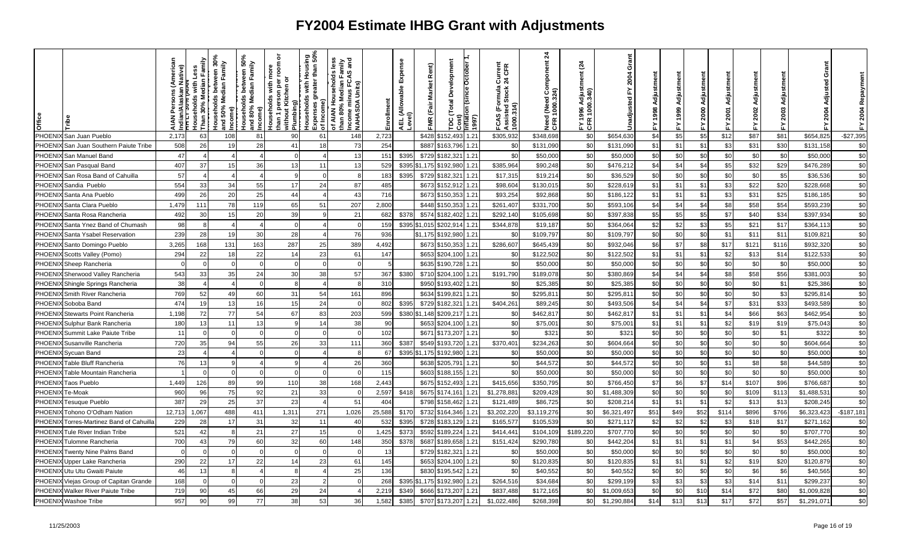| Office        |                                  | lative)  | with Less<br><b>touseholds</b><br>$\frac{5}{2}$ | between 30%<br>dian Family<br>Median<br>Households I<br>Ind 50% Med<br>:ome)<br>$\frac{1}{6}$ | veen 50%<br>Family<br>Median<br>ğ<br>Iseholds<br>80% Med<br><br>오류 | ō<br>room<br>ε<br>৯<br>per<br>Kitchen<br>person<br>Households<br>without Kit<br>Plumbing)<br>han 1 | Housing<br>r than 50%<br>with H<br>Households<br>ౚ<br>Income)<br>Expenses<br>of Income) | Ses<br>v⊪n<br>Sand<br>9y<br>۴g<br>usehol<br>ledian I<br>lus FC/<br>Media<br>š<br>nus<br>of AIAN Hoi<br>than 80% M<br>Income min<br>NAHASDA I | inrollment | Expense<br>AEL (Allowable I<br>Level) | ě<br>arket<br>Σ<br><b>FMR</b> | Development<br>Total<br>٥<br>م | ctober<br>b<br>n<br>(1997) | Current<br>24 CFR<br>CFR<br>FCAS (Formula (<br>Assisted Stock 2<br>1000.314) | $\frac{4}{3}$<br>mponent<br>l (Need Con<br>1000.324)<br>Need<br>CFR 1 | প্ৰ<br>$\tilde{5}$<br>996<br>ទ្<br><b>FTE</b> | ŏ<br>ຸລຸ    |      |       | 2000<br>≿. | ≿     | 륭<br>2002<br>놊 | ᇫ     | Grant       | 2004<br>놊   |
|---------------|----------------------------------|----------|-------------------------------------------------|-----------------------------------------------------------------------------------------------|--------------------------------------------------------------------|----------------------------------------------------------------------------------------------------|-----------------------------------------------------------------------------------------|----------------------------------------------------------------------------------------------------------------------------------------------|------------|---------------------------------------|-------------------------------|--------------------------------|----------------------------|------------------------------------------------------------------------------|-----------------------------------------------------------------------|-----------------------------------------------|-------------|------|-------|------------|-------|----------------|-------|-------------|-------------|
| PHOENI        | <b>1</b> San Juan Pueblo         | 2,173    | 63                                              | 108                                                                                           | 81                                                                 | 90                                                                                                 | 61                                                                                      | 148                                                                                                                                          | 2,723      |                                       | \$428                         | \$152.493                      | 1.21                       | \$305,932                                                                    | \$348,698                                                             | \$0                                           | \$654,630   | \$4  | \$5   | \$5        | \$12  | \$87           | \$81  | \$654,825   | $-$27,395$  |
| <b>PHOENI</b> | San Juan Southern Paiute Tribe   | 508      | 26                                              |                                                                                               | 28                                                                 | 41                                                                                                 | 18                                                                                      | 73                                                                                                                                           | 254        |                                       | \$887                         | \$163,796                      | 1.21                       | \$0                                                                          | \$131,090                                                             | \$0                                           | \$131,090   | \$1  | \$1   | \$1        | \$3   | \$31           | \$30  | \$131,158   | \$0         |
| PHOEN         | San Manuel Band                  | 47       |                                                 |                                                                                               |                                                                    |                                                                                                    |                                                                                         | 13                                                                                                                                           | 151        | \$395                                 | \$729                         | \$182,32                       | 1.21                       | \$0                                                                          | \$50,000                                                              | \$0                                           | \$50,000    | \$0  | \$0   | \$0        | \$0   | \$0            | \$0   | \$50,000    | \$0         |
| PHOENI        | San Pasqual Band                 | 407      | 37                                              | 15                                                                                            | 36                                                                 | 13                                                                                                 | 11                                                                                      | 13                                                                                                                                           | 529        | \$395                                 | \$1,175                       | \$192,980                      | 1.21                       | \$385,964                                                                    | \$90,248                                                              | \$0                                           | \$476,212   | \$4  | \$4   | \$4        | \$5   | \$32           | \$29  | \$476,289   | \$0         |
| <b>PHOEN</b>  | San Rosa Band of Cahuilla        | 57       |                                                 |                                                                                               |                                                                    |                                                                                                    | $\Omega$                                                                                |                                                                                                                                              | 183        | \$395                                 | \$729                         | \$182,32                       | 1.21                       | \$17,315                                                                     | \$19,21                                                               | \$0                                           | \$36,529    | \$0  | \$0   | \$0        | \$0   | \$0            | \$5   | \$36,536    | \$0         |
| <b>PHOEN</b>  | Sandia Pueblo                    | 554      | 33                                              | 34                                                                                            | 55                                                                 | 17                                                                                                 | 24                                                                                      | 87                                                                                                                                           | 485        |                                       | \$673                         | \$152,91                       | 1.21                       | \$98,604                                                                     | \$130,01                                                              | \$0                                           | \$228,61    | \$1  | \$1   | \$1        | \$3   | \$22           | \$20  | \$228,668   | \$0         |
| <b>PHOENI</b> | Santa Ana Pueblo                 | 499      | 26                                              | 20                                                                                            | 25                                                                 | 44                                                                                                 |                                                                                         | 43                                                                                                                                           | 716        |                                       | \$673                         | \$150,35:                      | 1.21                       | \$93,254                                                                     | \$92,868                                                              | \$0                                           | \$186,122   | \$1  | \$1   | \$1        | \$3   | \$31           | \$25  | \$186,185   | \$0         |
| PHOEN         | Santa Clara Pueblo               | 1,479    | 111                                             | 78                                                                                            | 119                                                                | 65                                                                                                 | 51                                                                                      | 207                                                                                                                                          | 2.800      |                                       | \$448                         | \$150.353                      | 1.21                       | \$261,407                                                                    | \$331,700                                                             | \$0                                           | \$593,106   | \$4  | \$4   | \$4        | \$8   | \$58           | \$54  | \$593,239   | \$0         |
| PHOENI        | Santa Rosa Rancheria             | 492      | 30                                              | 15                                                                                            | 20                                                                 | 39                                                                                                 |                                                                                         | 21                                                                                                                                           | 682        | \$378                                 | \$574                         | \$182,402                      | 1.21                       | \$292,140                                                                    | \$105,698                                                             | \$0                                           | \$397,838   | \$5  | \$5   | \$5        | \$7   | \$40           | \$34  | \$397,934   | \$0         |
| <b>PHOEN</b>  | Santa Ynez Band of Chumash       | 98       |                                                 |                                                                                               |                                                                    |                                                                                                    |                                                                                         |                                                                                                                                              | 15S        |                                       | \$395 \$1,015                 | \$202,91                       | 1.21                       | \$344,878                                                                    | \$19,187                                                              | \$0                                           | \$364,064   | \$2  | \$2   | \$3        | \$5   | \$21           | \$17  | \$364,11    | \$0         |
| PHOENI        | Santa Ysabel Reservation         | 239      | 28                                              |                                                                                               | 30                                                                 | 28                                                                                                 |                                                                                         | 76                                                                                                                                           | 936        |                                       | \$1,175                       | \$192,980                      | 1.21                       | \$0                                                                          | \$109,797                                                             | \$0                                           | \$109,797   | \$0  | \$0   | \$0        | \$1   | \$11           | \$11  | \$109,821   | \$0         |
| PHOEN         | Santo Domingo Pueblo             | 3,265    | 168                                             | 131                                                                                           | 163                                                                | 287                                                                                                | 25                                                                                      | 389                                                                                                                                          | 4,492      |                                       | \$673                         | \$150,353                      | 1.21                       | \$286,607                                                                    | \$645,439                                                             | \$0                                           | \$932,046   | \$6  | \$7   | \$8        | \$17  | \$12'          | \$116 | \$932,320   | \$0         |
| <b>PHOEN</b>  | Scotts Valley (Pomo)             | 294      | 22                                              | 18                                                                                            | 22                                                                 | 14                                                                                                 | 23                                                                                      | 61                                                                                                                                           | 147        |                                       | \$653                         | \$204,100                      | 1.21                       | \$0                                                                          | \$122,502                                                             | \$0                                           | \$122,502   | \$1  | \$1   | \$1        | \$2   | \$13           | \$14  | \$122,533   | \$0         |
| PHOENI        | Sheep Rancheria                  | $\Omega$ |                                                 |                                                                                               | $\Omega$                                                           |                                                                                                    | $\Omega$                                                                                |                                                                                                                                              |            |                                       | \$635                         | \$190,728                      | 1.21                       | \$0                                                                          | \$50,000                                                              | \$0                                           | \$50,000    | \$0  | \$0   | \$0        | \$0   | \$0            | \$0   | \$50,000    | $\sqrt{6}$  |
| PHOENI        | Sherwood Valley Rancheria        | 543      | 33                                              | 35                                                                                            | 24                                                                 | 30                                                                                                 | 38                                                                                      | 57                                                                                                                                           | 367        | \$380                                 | \$710                         | \$204,100                      | 1.21                       | \$191,790                                                                    | \$189,078                                                             | \$0                                           | \$380,869   | \$4  | \$4   | \$4        | \$8   | \$58           | \$56  | \$381,003   | \$0         |
| PHOEN         | Shingle Springs Rancheria        | 38       |                                                 |                                                                                               |                                                                    |                                                                                                    |                                                                                         |                                                                                                                                              | 310        |                                       | \$95C                         | \$193,402                      | 1.21                       | \$0                                                                          | \$25,38                                                               | \$0                                           | \$25,385    | \$C  | \$0   | \$0        | \$0   | \$0            | \$1   | \$25,386    | \$0         |
| PHOEN         | Smith River Rancheria            | 769      | 52                                              |                                                                                               | 60                                                                 | 31                                                                                                 | 54                                                                                      | 161                                                                                                                                          | 896        |                                       | \$634                         | \$199,82                       | 1.21                       | \$0                                                                          | \$295,81                                                              | \$0                                           | \$295,81    | \$0  | \$0   | \$0        | \$0   | \$0            | \$3   | \$295,81    | \$0         |
| PHOEN         | Soboba Band                      | 474      | 19                                              | 13                                                                                            | 16                                                                 | 15                                                                                                 | 24                                                                                      | $\Omega$                                                                                                                                     | 802        | \$395                                 | \$729                         | \$182,32                       | 1.21                       | \$404,261                                                                    | \$89,245                                                              | \$0                                           | \$493,506   | \$4  | \$4   | \$4        | \$7   | \$31           | \$33  | \$493,589   | $\sqrt{6}$  |
| <b>PHOEN</b>  | <b>Stewarts Point Rancheria</b>  | 1,198    | 72                                              | 77                                                                                            | 54                                                                 | 67                                                                                                 | 83                                                                                      | 203                                                                                                                                          | 599        |                                       | \$380 \$1,148                 | \$209,21                       | 1.21                       | \$0                                                                          | \$462,817                                                             | \$0                                           | \$462,817   | \$1  | \$1   | \$1        | \$4   | \$66           | \$63  | \$462,954   | \$0         |
| <b>PHOENI</b> | Sulphur Bank Rancheria           | 180      | 13                                              | 11                                                                                            | 13                                                                 |                                                                                                    | 14                                                                                      | 38                                                                                                                                           | 90         |                                       | \$653                         | \$204,100                      | 1.21                       | \$0                                                                          | \$75,001                                                              | \$0                                           | \$75,00'    | \$1  | \$1   | \$1        | \$2   | \$19           | \$19  | \$75,04     | \$0         |
| PHOEN         | Summit Lake Paiute Tribe         | 11       |                                                 |                                                                                               | $\Omega$                                                           |                                                                                                    | $\Omega$                                                                                |                                                                                                                                              | 102        |                                       | \$671                         | \$173,207                      | 1.21                       | \$0                                                                          | \$321                                                                 | \$0                                           | \$32'       | \$0  | \$0   | \$0        | \$0   | \$0            | \$1   | \$322       | \$0         |
| <b>PHOEN</b>  | Susanville Rancheria             | 720      | 35                                              | 94                                                                                            | 55                                                                 | 26                                                                                                 | 33                                                                                      | 111                                                                                                                                          | 360        | \$387                                 | \$549                         | \$193,720                      | 1.21                       | \$370,401                                                                    | \$234,263                                                             | \$0                                           | \$604,664   | \$0  | \$0   | \$0        | \$0   | \$0            | \$0   | \$604,664   | \$0         |
| PHOENI        | Sycuan Band                      | 23       |                                                 |                                                                                               | $\Omega$                                                           |                                                                                                    |                                                                                         | -8                                                                                                                                           | 67         | \$395                                 | \$1,175                       | \$192,980                      | 1.21                       | \$0                                                                          | \$50,000                                                              | \$0                                           | \$50,000    | \$0  | \$0   | \$0        | \$0   | \$0            | \$0   | \$50,000    | \$0         |
| <b>PHOEN</b>  | Table Bluff Rancheria            | 76       | 13                                              |                                                                                               |                                                                    |                                                                                                    |                                                                                         | 26                                                                                                                                           | 360        |                                       | \$638                         | \$205,791                      | 1.21                       | \$0                                                                          | \$44,572                                                              | \$0                                           | \$44,572    | \$0  | \$0   | \$0        | \$1   | \$8            | \$8   | \$44,589    | \$0         |
| <b>PHOEN</b>  | Table Mountain Rancheria         |          |                                                 |                                                                                               |                                                                    |                                                                                                    |                                                                                         |                                                                                                                                              | 115        |                                       | \$603                         | \$188,155                      | 1.21                       | \$0                                                                          | \$50,000                                                              | \$0                                           | \$50,000    | \$0  | \$0   | \$0        | \$0   | \$0            | \$0   | \$50,000    | \$0         |
| PHOEN         | <b>Taos Pueblo</b>               | 1,449    | 126                                             | 89                                                                                            | 99                                                                 | 110                                                                                                | 38                                                                                      | 168                                                                                                                                          | 2,443      |                                       | \$675                         | \$152,493                      | 1.21                       | \$415,656                                                                    | \$350,795                                                             | \$0                                           | \$766,450   | \$7  | \$6   | \$7        | \$14  | \$107          | \$96  | \$766,687   | \$0         |
| <b>PHOEN</b>  | Te-Moak                          | 960      | 96                                              | 75                                                                                            | 92                                                                 | 21                                                                                                 | 33                                                                                      |                                                                                                                                              | 2,597      | \$418                                 | \$675                         | \$174,16                       | 1.21                       | \$1,278,88                                                                   | \$209,428                                                             | \$0                                           | \$1,488,309 | \$0  | \$0   | \$0        | \$0   | \$109          | \$113 | \$1,488,531 | \$0         |
| <b>PHOEN</b>  | Tesuque Pueblo                   | 387      | 29                                              | 25                                                                                            | 37                                                                 | 23                                                                                                 |                                                                                         | 51                                                                                                                                           | 404        |                                       | \$798                         | \$158,462                      | 1.21                       | \$121,489                                                                    | \$86,72                                                               | \$0                                           | \$208,21    | \$1  | - \$1 | \$1        | \$2   | \$13           | \$13  | \$208,245   | \$0         |
| <b>PHOEN</b>  | Tohono O'Odham Nation            | 12,713   | 1,067                                           | 488                                                                                           | 411                                                                | 1,311                                                                                              | 271                                                                                     | 1,026                                                                                                                                        | 25,588     | \$170                                 | \$732                         | \$164,34                       | 1.21                       | \$3,202,22                                                                   | \$3,119,276                                                           | \$0                                           | \$6,321,497 | \$51 | \$49  | \$52       | \$114 | \$896          | \$766 | \$6,323,423 | $-$187,181$ |
| <b>PHOENI</b> | Torres-Martinez Band of Cahuilla | 229      | 28                                              |                                                                                               | 31                                                                 | 32                                                                                                 | 11                                                                                      | 4(                                                                                                                                           | 532        | \$395                                 | \$728                         | \$183,129                      | 1.21                       | \$165,57                                                                     | \$105,539                                                             | <b>\$C</b>                                    | \$271,117   | \$2  | \$2   | \$2        | \$3   | \$18           | \$17  | \$271,16    | \$0         |
| PHOEN         | Tule River Indian Tribe          | 521      | 42                                              |                                                                                               | 21                                                                 | 27                                                                                                 | 15                                                                                      |                                                                                                                                              | 1,425      | \$373                                 | \$592                         | \$189,224                      | 1.21                       | \$414,44                                                                     | \$104,109                                                             | \$189,22                                      | \$707,770   | \$0  | \$0   | \$0        | \$0   | \$0            | \$0   | \$707,770   | \$0         |
| PHOEN         | Tulomne Rancheria                | 700      | 43                                              | 79                                                                                            | 60                                                                 | 32                                                                                                 | 60                                                                                      | 148                                                                                                                                          | 350        | \$378                                 | \$687                         | \$189,658                      | 1.21                       | \$151,424                                                                    | \$290,780                                                             | \$0                                           | \$442,204   | \$1  | \$1   | \$1        | \$1   | \$4            | \$53  | \$442,265   | \$0         |
| <b>PHOEN</b>  | <b>Twenty Nine Palms Band</b>    | $\Omega$ |                                                 |                                                                                               | $\Omega$                                                           |                                                                                                    | $\Omega$                                                                                |                                                                                                                                              | 13         |                                       | \$729                         | \$182,32                       | 1.21                       | \$0                                                                          | \$50,000                                                              | \$0                                           | \$50,000    | \$0  | \$0   | \$0        | \$0   | \$0            | \$0   | \$50,000    | \$0         |
| <b>PHOEN</b>  | Upper Lake Rancheria             | 290      | 22                                              | 17                                                                                            | 22                                                                 | 14                                                                                                 | 23                                                                                      | 61                                                                                                                                           | 145        |                                       | \$653                         | \$204,100                      | 1.21                       | \$0                                                                          | \$120,83                                                              | \$0                                           | \$120,835   | \$1  | \$1   | \$1        | \$2   | \$19           | \$20  | \$120,879   | $\sqrt{6}$  |
| <b>PHOENI</b> | Utu Utu Gwaiti Paiute            | 46       | 15                                              |                                                                                               |                                                                    |                                                                                                    |                                                                                         | 25                                                                                                                                           | 136        |                                       | \$830                         | \$195,542                      | 1.21                       | \$0                                                                          | \$40,552                                                              | \$0                                           | \$40,552    | \$0  | \$0   | \$0        | \$0   | \$6            | \$6   | \$40,565    | \$0         |
| PHOEN         | Viejas Group of Capitan Grande   | 168      |                                                 |                                                                                               | $\Omega$                                                           | 23                                                                                                 | 2                                                                                       |                                                                                                                                              | 268        | \$395                                 | \$1,175                       | \$192,980                      | 1.21                       | \$264,516                                                                    | \$34,684                                                              | \$0                                           | \$299,199   | \$3  | \$3   | \$3        | \$3   | \$14           | \$11  | \$299,237   | \$0         |
| <b>PHOENI</b> | <b>Walker River Paiute Tribe</b> | 719      | 90                                              | 45                                                                                            | 66                                                                 | 29                                                                                                 | 24                                                                                      |                                                                                                                                              | 2,219      | \$349                                 | \$666                         | \$173,207                      | 1.21                       | \$837,488                                                                    | \$172,165                                                             | \$0                                           | \$1,009,653 | \$0  | \$0   | \$10       | \$14  | \$72           | \$80  | \$1,009,828 | \$0         |
|               | PHOENIX Washoe Tribe             | 957      | 90                                              | 99                                                                                            | 77                                                                 | 38                                                                                                 | 53                                                                                      | 36                                                                                                                                           | 1,582      | \$385                                 | \$707                         | \$173,207                      | 1.21                       | \$1,022,486                                                                  | \$268,398                                                             | \$0                                           | \$1,290,884 | \$14 | \$13  | \$13       | \$17  | \$72           | \$57  | \$1,291,071 | \$0         |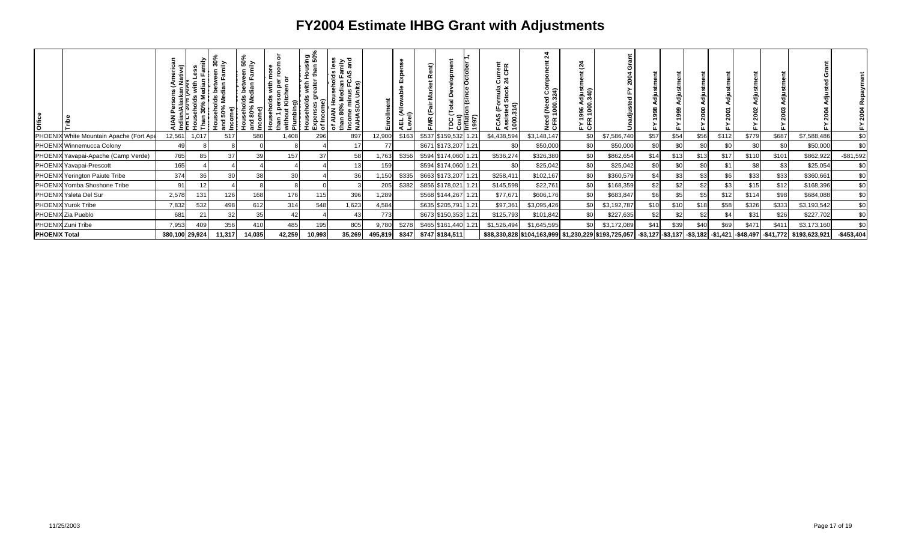| <b>Office</b>        |                                         |                | efo<br>ౢ | $\bullet$<br>ິສ≧<br>ត<br>옮<br>$\widehat{\epsilon}$<br>នី នី | ទី ≧<br>lds betw<br>Median<br>seho<br>80%<br>$\frac{1}{2}$ | ē<br>€<br>Plumbir | ិ<br>ទី១<br>Expenses<br>of Income | <u>ទ័</u> ៖<br>តាម<br>ဖ — ဖ<br>호 뿐 도<br>ିଉ<br>ᇹ<br><b>SC</b><br>Income min<br>NAHASDA I<br>ౚఀ |         | ш<br>ี้<br>ei∩<br>∙<br>. 몇 회. | g | ◠<br>Ο               | lnflati<br>1997) | 한<br>인도<br>రె న<br>rmula<br>Stock<br>Assisted S<br>1000.314)<br>⊵<br>ທ<br>ن | 21<br>င် နဲ့<br>၁၁၅<br>Need (Need<br>CFR 1000.3 | Ġ,<br>gar<br>Sag<br>. പ |                                                                                                                    | $\alpha$ |      |      |       |       |       |               |             |
|----------------------|-----------------------------------------|----------------|----------|-------------------------------------------------------------|------------------------------------------------------------|-------------------|-----------------------------------|-----------------------------------------------------------------------------------------------|---------|-------------------------------|---|----------------------|------------------|-----------------------------------------------------------------------------|-------------------------------------------------|-------------------------|--------------------------------------------------------------------------------------------------------------------|----------|------|------|-------|-------|-------|---------------|-------------|
|                      | PHOENIX White Mountain Apache (Fort Apa | 12,561         | 1,017    | 517                                                         | 580                                                        | 1,408             | 296                               | 897                                                                                           | 12,900  | \$163                         |   | \$537 \$159,532 1.21 |                  | \$4,438,594                                                                 | \$3,148,147                                     |                         | \$7,586,740                                                                                                        | \$57     | \$5  | \$56 | \$112 | \$779 | \$687 | \$7,588,486   | \$0         |
|                      | PHOENIX Winnemucca Colony               | 49             |          |                                                             |                                                            |                   |                                   | 17                                                                                            |         |                               |   | \$671 \$173,207 1.21 |                  | \$0                                                                         | \$50,000                                        | \$0                     | \$50,000                                                                                                           | \$0      | \$C  | \$ር  | \$0   | \$0   | \$0   | \$50,000      | \$0         |
|                      | PHOENIX Yavapai-Apache (Camp Verde)     | 765            | 85       |                                                             | 39                                                         | 157               | 37                                | 58                                                                                            | 1,763   | \$356                         |   | \$594 \$174,060 1.21 |                  | \$536,274                                                                   | \$326,380                                       | \$0                     | \$862,654                                                                                                          | \$14     | \$1. | \$13 | \$17  | \$110 | \$101 | \$862,922     | $-$81,592$  |
|                      | PHOENIX Yavapai-Prescott                | 165            |          |                                                             |                                                            |                   |                                   |                                                                                               | 159     |                               |   | \$594 \$174,060 1.21 |                  | \$0                                                                         | \$25,042                                        | \$0                     | \$25,042                                                                                                           | \$0      | \$0  | \$0  | \$1   | \$8   | \$3   | \$25,054      | \$0         |
|                      | PHOENIX Yerington Paiute Tribe          | 374            | 36       |                                                             | 38                                                         | 30                |                                   | 36                                                                                            | 1,150   | \$335                         |   | \$663 \$173,207 1.21 |                  | \$258,411                                                                   | \$102,167                                       |                         | \$360,579                                                                                                          | \$4      | \$3  | \$3  | \$6   | \$33  | \$33  | \$360,661     | \$0         |
|                      | PHOENIX Yomba Shoshone Tribe            | 91             |          |                                                             |                                                            |                   |                                   |                                                                                               | 205     | \$382                         |   | \$856 \$178,021 1.21 |                  | \$145,598                                                                   | \$22,761                                        |                         | \$168,359                                                                                                          | \$2      | \$2  | \$2  | \$3   | \$15  | \$12  | \$168,396     | \$0         |
|                      | PHOENIX Ysleta Del Sur                  | 2,578          | 131      | 126                                                         | 168                                                        | 176               | 115                               | 396                                                                                           | 1,289   |                               |   | \$568 \$144,267 1.21 |                  | \$77,671                                                                    | \$606,176                                       |                         | \$683,847                                                                                                          | \$6      |      |      | \$12  | \$114 | \$98  | \$684,088     | \$0         |
|                      | PHOENIX Yurok Tribe                     | 7,832          | 532      | 498                                                         | 612                                                        | 314               | 548                               | 1,623                                                                                         | 4,584   |                               |   | \$635 \$205,791 1.21 |                  | \$97,361                                                                    | \$3,095,426                                     |                         | \$3,192,787                                                                                                        | \$10     | \$10 | \$18 | \$58  | \$326 | \$333 | \$3,193,542   | \$0         |
|                      | PHOENIX Zia Pueblo                      | 681            |          |                                                             | 35                                                         |                   |                                   | 43                                                                                            | 773     |                               |   | \$673 \$150,353 1.21 |                  | \$125,793                                                                   | \$101,842                                       |                         | \$227,635                                                                                                          | \$2      | \$2  | \$2  | \$4   | \$31  | \$26  | \$227,702     | \$0         |
|                      | PHOENIX Zuni Tribe                      | 7,953          | 409      | 356                                                         | 410                                                        | 485               | 195                               | 805                                                                                           | 9,780   | \$278                         |   | \$465 \$161,440 1.21 |                  | \$1,526,494                                                                 | \$1,645,595                                     |                         | \$3,172,089                                                                                                        | \$41     | \$39 | \$40 | \$69  | \$471 | \$411 | \$3,173,160   | \$0         |
| <b>PHOENIX Total</b> |                                         | 380,100 29,924 |          | 11,317                                                      | 14,035                                                     | 42,259            | 10,993                            | 35,269                                                                                        | 495,819 | \$347                         |   | \$747 \$184,511      |                  |                                                                             |                                                 |                         | \$88,330,828 \$104,163,999  \$1,230,229 \$193,725,057  -\$3,127 -\$3,137  -\$3,182  -\$1,421  -\$48,497  -\$41,772 |          |      |      |       |       |       | \$193,623,921 | $-$453,404$ |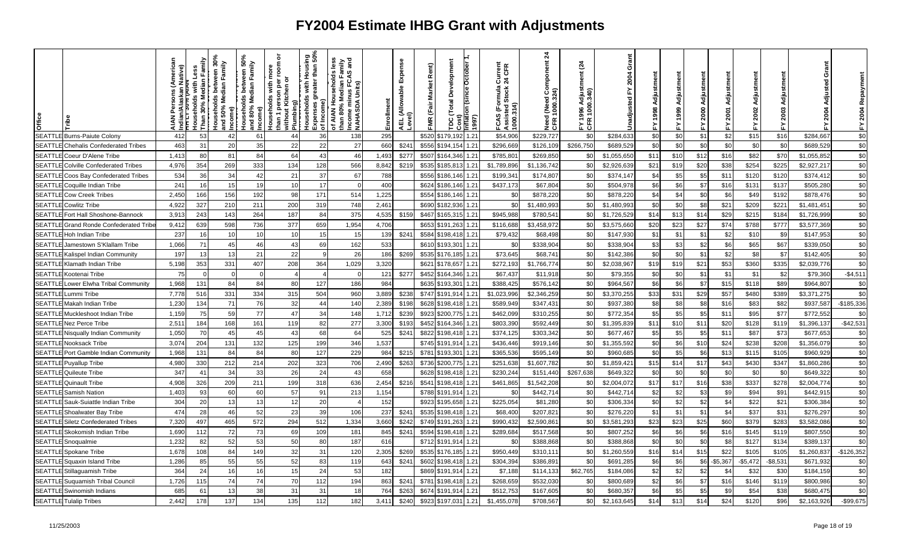| Office        |                                             |       | -Iouseholds with I<br>Than 30% Median | ween 30%<br>Family<br>Median<br>w<br>Iseholds<br>50% Me<br>ncome)<br>ਤੂੰ ਵੂ | ween 50%<br>Family<br>between<br>Median<br>مستحدث<br>Households I<br>And 80% Med<br>Income) | ৯<br>room<br>ē<br>৯<br>with<br>å<br>person pe<br># Kitchen o<br><b>Touseholds</b><br>Plumbing)<br>than 1 p<br>without l | <u>ing</u><br>than<br>훈<br>greater<br>with<br>ouseholds<br>Income)<br>Expenses<br>of Income) | less<br>mily<br>and<br>œ<br>useholds<br>ಹ<br>- 동 군<br>Units)<br>nus<br>Medi<br>of AIAN Hou<br>than 80% Me<br>Income min<br>NAHASDA I | nrollm | Expense<br> AEL (Allowable I<br> <br> Level) | Rent)<br><b>Market</b><br>(Fair<br><b>FMR</b> | Development<br>Total<br>$\frac{cost}{m$<br>ပ္က | October<br>on (since<br>(1661 | Current<br>24 CFR<br>(Formula<br><b>Stock</b><br><b>FCAS (Fo<br/>Assisted:<br/>1000.314)</b> | $\frac{1}{2}$<br>(Need Component<br>1000.324)<br>Need<br>CFR 1 | $\frac{3}{4}$<br>$rac{1}{3}$ 40<br><u>ខ</u><br>996<br>E<br>CER | Grant<br>2004<br>⋩<br>Unadjusted | 1998 |            | 2000 | 2001<br>십    | Adju<br>2002<br>놊 | 2003<br>놊 | ō<br><b>2004</b> | Repaym<br>2004<br>$\sum_{i=1}^{n}$ |
|---------------|---------------------------------------------|-------|---------------------------------------|-----------------------------------------------------------------------------|---------------------------------------------------------------------------------------------|-------------------------------------------------------------------------------------------------------------------------|----------------------------------------------------------------------------------------------|--------------------------------------------------------------------------------------------------------------------------------------|--------|----------------------------------------------|-----------------------------------------------|------------------------------------------------|-------------------------------|----------------------------------------------------------------------------------------------|----------------------------------------------------------------|----------------------------------------------------------------|----------------------------------|------|------------|------|--------------|-------------------|-----------|------------------|------------------------------------|
| <b>SEATTL</b> | E Burns-Paiute Colonv.                      | 412   | 53                                    | 42                                                                          | 61                                                                                          | 44                                                                                                                      | 36                                                                                           | 138                                                                                                                                  | 295    |                                              | \$520                                         | \$179.19:                                      | 1.21                          | \$54,906                                                                                     | \$229,727                                                      | \$0                                                            | \$284,633                        | \$0  | \$0        | \$1  | \$2          | \$15              | \$16      | \$284,667        | \$0                                |
|               | <b>SEATTLE</b> Chehalis Confederated Tribes | 463   | 31                                    | 20                                                                          | 35                                                                                          | 22                                                                                                                      | 22                                                                                           | 27                                                                                                                                   | 660    | \$24'                                        | \$556                                         | \$194,154                                      | 1.21                          | \$296,66                                                                                     | \$126,109                                                      | \$266,750                                                      | \$689,529                        | \$0  | <b>\$C</b> | \$0  | \$0          | \$C               | \$0       | \$689,529        | \$0                                |
| <b>SEATTL</b> | E Coeur D'Alene Tribe                       | 1,413 | 80                                    | 81                                                                          | 84                                                                                          | 64                                                                                                                      | 43                                                                                           | 46                                                                                                                                   | 1,493  | \$277                                        | \$507                                         | \$164,346                                      | 1.21                          | \$785,80                                                                                     | \$269,850                                                      | \$0                                                            | \$1,055,650                      | \$11 | \$10       | \$12 | \$16         | \$82              | \$70      | \$1,055,852      | \$0                                |
|               | <b>SEATTLE Colville Confederated Tribes</b> | 4,976 | 354                                   | 269                                                                         | 333                                                                                         | 134                                                                                                                     | 128                                                                                          | 566                                                                                                                                  | 8,842  | \$219                                        | \$535                                         | \$185,81                                       | 1.21                          | \$1,789,896                                                                                  | \$1,136,742                                                    | \$0                                                            | \$2,926,639                      | \$21 | \$19       | \$20 | \$38         | \$254             | \$225     | \$2,927,217      | \$0                                |
| SEATTL        | E Coos Bay Confederated Tribes              | 534   | 36                                    | 34                                                                          | 42                                                                                          | 21                                                                                                                      | 37                                                                                           | 67                                                                                                                                   | 788    |                                              | \$556                                         | \$186,146                                      | 1.21                          | \$199,34                                                                                     | \$174,807                                                      | -\$0                                                           | \$374,147                        | \$4  | \$5        | \$5  | \$11         | \$120             | \$120     | \$374,412        | \$0                                |
| <b>SEATTL</b> | Coquille Indian Tribe                       | 241   | 16                                    | 15                                                                          | 19                                                                                          | 10                                                                                                                      | 17                                                                                           |                                                                                                                                      | 400    |                                              | \$624                                         | \$186,146                                      | 1.21                          | \$437.173                                                                                    | \$67,804                                                       | \$0                                                            | \$504,978                        | \$6  | \$6        | \$7  | \$16         | \$131             | \$137     | \$505,280        | \$0                                |
|               | <b>SEATTLE</b> Cow Creek Tribes             | 2,450 | 166                                   | 156                                                                         | 192                                                                                         | 98                                                                                                                      | 171                                                                                          | 514                                                                                                                                  | 1,225  |                                              | \$554                                         | \$186,146                                      | 1.21                          | \$ <sub>6</sub>                                                                              | \$878,220                                                      | \$0                                                            | \$878,220                        | \$4  | \$4        | \$0  | \$6          | \$49              | \$192     | \$878,476        | \$0                                |
| <b>SEATTL</b> | <b>Cowlitz Tribe</b>                        | 4,922 | 327                                   | 210                                                                         | 211                                                                                         | 200                                                                                                                     | 319                                                                                          | 748                                                                                                                                  | 2,461  |                                              | \$690                                         | \$182,936                                      | 1.21                          | \$0                                                                                          | \$1,480,993                                                    | \$0                                                            | \$1,480,993                      | \$0  | \$0        | \$8  | \$21         | \$209             | \$221     | \$1,481,45       | \$0                                |
|               | SEATTLE Fort Hall Shoshone-Bannock          | 3,913 | 243                                   | 143                                                                         | 264                                                                                         | 187                                                                                                                     | 84                                                                                           | 375                                                                                                                                  | 4,535  | \$159                                        | \$467                                         | \$165,315                                      | 1.21                          | \$945,988                                                                                    | \$780,541                                                      | \$0                                                            | \$1,726,529                      | \$14 | \$13       | \$14 | \$29         | \$215             | \$184     | \$1,726,999      | \$0                                |
| <b>SEATTL</b> | E Grand Ronde Confederated Tribe.           | 9,412 | 639                                   | 598                                                                         | 736                                                                                         | 377                                                                                                                     | 659                                                                                          | 1,954                                                                                                                                | 4,706  |                                              | \$653                                         | \$191,263                                      | 1.21                          | \$116,688                                                                                    | \$3,458,972                                                    | \$0                                                            | \$3,575,660                      | \$20 | \$23       | \$27 | \$74         | \$788             | \$777     | \$3,577,369      | \$0                                |
| <b>SEATTL</b> | Hoh Indian Tribe                            | 237   | 16                                    |                                                                             | 10                                                                                          | 10                                                                                                                      | 15                                                                                           | 15                                                                                                                                   | 139    | \$241                                        | \$584                                         | \$198,418                                      | 1.21                          | \$79,432                                                                                     | \$68,498                                                       | \$0                                                            | \$147,930                        | \$1  | \$1        | \$1  | \$2          | \$1C              | \$9       | \$147,953        | \$0                                |
|               | SEATTLE Jamestown S'Klallam Tribe           | 1,066 | 71                                    | 45                                                                          | 46                                                                                          | 43                                                                                                                      | 69                                                                                           | 162                                                                                                                                  | 533    |                                              |                                               | \$610 \$193,301                                | 1.21                          | \$0                                                                                          | \$338,904                                                      | \$0                                                            | \$338,904                        | \$3  | \$3        | \$2  | \$6          | \$65              | \$67      | \$339,050        | \$0                                |
|               | SEATTLE Kalispel Indian Community           | 197   | 13                                    | 13                                                                          | 21                                                                                          | 22                                                                                                                      |                                                                                              | 26                                                                                                                                   | 186    | \$269                                        | \$535                                         | \$176,185                                      | 1.21                          | \$73,645                                                                                     | \$68,741                                                       | \$0                                                            | \$142,386                        | \$0  | \$0        | \$1  | \$2          | \$8               | \$7       | \$142,405        | \$0                                |
| <b>SEATTL</b> | .E Klamath Indian Tribe                     | 5,198 | 353                                   | 331                                                                         | 407                                                                                         | 208                                                                                                                     | 364                                                                                          | 1,029                                                                                                                                | 3,320  |                                              | \$621                                         | \$178,657                                      | 1.21                          | \$272,193                                                                                    | \$1,766,774                                                    | \$0                                                            | \$2,038,967                      | \$19 | \$15       | \$21 | \$53         | \$360             | \$335     | \$2,039,776      | \$0                                |
|               | <b>SEATTLE</b> Kootenai Tribe               | 75    | $\Omega$                              |                                                                             | $\Omega$                                                                                    |                                                                                                                         |                                                                                              |                                                                                                                                      | 121    | \$277                                        | \$452                                         | \$164,346                                      | 1.21                          | \$67,43                                                                                      | \$11,918                                                       | \$0                                                            | \$79,355                         | \$0  | \$0        | \$1  | \$1          | \$1               | \$2       | \$79,360         | $-$4,511$                          |
| <b>SEATTL</b> | Lower Elwha Tribal Community                | 1,968 | 131                                   | 84                                                                          | 84                                                                                          | 80                                                                                                                      | 127                                                                                          | 186                                                                                                                                  | 984    |                                              | \$635                                         | \$193,30                                       | 1.21                          | \$388,42                                                                                     | \$576,142                                                      | \$0                                                            | \$964,567                        | \$6  | \$6        | \$7  | \$15         | \$118             | \$89      | \$964,807        | \$0                                |
|               | <b>SEATTLE</b> Lummi Tribe                  | 7,778 | 516                                   | 331                                                                         | 334                                                                                         | 315                                                                                                                     | 504                                                                                          | 960                                                                                                                                  | 3,889  | \$238                                        |                                               | \$747 \$191,914                                | 1.21                          | \$1,023,996                                                                                  | \$2,346,259                                                    | \$0                                                            | \$3,370,255                      | \$33 | \$31       | \$29 | \$57         | \$480             | \$389     | \$3,371,275      | \$0                                |
| <b>SEATTL</b> | .E Makah Indian Tribe                       | 1,230 | 134                                   | 71                                                                          | 76                                                                                          | 32                                                                                                                      | 44                                                                                           | 140                                                                                                                                  | 2,389  | \$198                                        | \$628                                         | \$198,418                                      | 1.21                          | \$589,949                                                                                    | \$347,431                                                      | \$0                                                            | \$937,380                        | \$8  | \$8        | \$8  | \$16         | \$83              | \$82      | \$937,587        | $-$185,336$                        |
| <b>SEATTL</b> | E Muckleshoot Indian Tribe                  | 1,159 | 75                                    | 59                                                                          | 77                                                                                          | 47                                                                                                                      | 34                                                                                           | 148                                                                                                                                  | 1,712  | \$239                                        | \$923                                         | \$200,775                                      | 1.21                          | \$462,099                                                                                    | \$310,255                                                      | \$0                                                            | \$772,354                        | \$5  | \$5        | \$5  | \$11         | \$95              | \$77      | \$772,552        | \$0                                |
|               | <b>SEATTLE Nez Perce Tribe</b>              | 2,51' | 184                                   | 168                                                                         | 161                                                                                         | 119                                                                                                                     | 82                                                                                           | 277                                                                                                                                  | 3,300  | \$193                                        | \$452                                         | \$164,346                                      | 1.21                          | \$803,39                                                                                     | \$592,449                                                      | \$0                                                            | \$1,395,839                      | \$11 | \$10       | \$1' | \$20         | \$128             | \$119     | \$1,396,13       | $-$42,531$                         |
| <b>SEATTL</b> | E Nisqually Indian Community.               | 1,050 | 70                                    | 45                                                                          | 45                                                                                          | 43                                                                                                                      | 68                                                                                           | 64                                                                                                                                   | 525    | \$241                                        | \$822                                         | \$198,418                                      | 1.21                          | \$374,12                                                                                     | \$303,342                                                      | \$0                                                            | \$677,467                        | \$5  | \$5        | \$5  | \$11         | \$87              | \$73      | \$677,653        | \$0                                |
|               | <b>SEATTLE Nooksack Tribe</b>               | 3,074 | 204                                   | 131                                                                         | 132                                                                                         | 125                                                                                                                     | 199                                                                                          | 346                                                                                                                                  | 1,537  |                                              |                                               | \$745 \$191,914                                | 1.21                          | \$436,446                                                                                    | \$919,146                                                      | \$0                                                            | \$1,355,592                      | \$0  | \$6        | \$10 | \$24         | \$238             | \$208     | \$1,356,079      | \$0                                |
|               | <b>SEATTLE Port Gamble Indian Community</b> | 1,968 | 131                                   | 84                                                                          | 84                                                                                          | 80                                                                                                                      | 127                                                                                          | 229                                                                                                                                  | 984    | \$215                                        | \$781                                         | \$193,30                                       | 1.21                          | \$365,536                                                                                    | \$595,149                                                      | \$0                                                            | \$960,685                        | \$0  | \$5        | \$6  | \$13         | \$115             | \$105     | \$960,929        | \$0                                |
|               | <b>SEATTLE Puyallup Tribe</b>               | 4,980 | 330                                   | 212                                                                         | 214                                                                                         | 202                                                                                                                     | 323                                                                                          | 706                                                                                                                                  | 2,490  | \$263                                        | \$736                                         | \$200,775                                      | 1.21                          | \$251,638                                                                                    | \$1,607,782                                                    | \$0                                                            | \$1,859,421                      | \$15 | \$14       | \$17 | \$43         | \$430             | \$347     | \$1,860,286      | \$0                                |
|               | <b>SEATTLE</b> Quileute Tribe               | 347   | 41                                    | 34                                                                          | 33                                                                                          | 26                                                                                                                      | 24                                                                                           | 43                                                                                                                                   | 658    |                                              | \$628                                         | \$198,418                                      | 1.21                          | \$230,24                                                                                     | \$151,440                                                      | \$267,63                                                       | \$649,32                         | \$0  | <b>SC</b>  | \$0  | \$0          | <b>\$C</b>        | \$0       | \$649,32         | \$0                                |
| <b>SEATTL</b> | <b>E</b> Quinault Tribe                     | 4,908 | 326                                   | 209                                                                         | 211                                                                                         | 199                                                                                                                     | 318                                                                                          | 636                                                                                                                                  | 2,454  | \$216                                        | \$541                                         | \$198,418                                      | 1.21                          | \$461,865                                                                                    | \$1,542,208                                                    | - \$                                                           | \$2,004,07                       | \$17 | \$17       | \$16 | \$38         | \$337             | \$278     | \$2,004,774      | \$0                                |
|               | <b>SEATTLE</b> Samish Nation                | 1,403 | 93                                    | 60                                                                          | 60                                                                                          | 57                                                                                                                      | 91                                                                                           | 213                                                                                                                                  | 1,154  |                                              | \$788                                         | \$191,914                                      | 1.21                          | \$0                                                                                          | \$442,714                                                      | \$0                                                            | \$442,714                        | \$2  | \$2        | \$3  | \$9          | \$94              | \$91      | \$442,91         | \$0                                |
| <b>SEATTL</b> | E Sauk-Suiattle Indian Tribe                | 304   | 20                                    | 13                                                                          | 13                                                                                          | 12                                                                                                                      | 20                                                                                           |                                                                                                                                      | 152    |                                              | \$923                                         | \$195,658                                      | 1.21                          | \$225,054                                                                                    | \$81,280                                                       | \$0                                                            | \$306,334                        | \$0  | \$2        | \$2  | \$4          | \$22              | \$21      | \$306,384        | \$0                                |
|               | SEATTLE Shoalwater Bay Tribe                | 474   | 28                                    | 46                                                                          | 52                                                                                          | 23                                                                                                                      | 39                                                                                           | 106                                                                                                                                  | 237    | \$241                                        | \$535                                         | \$198,418                                      | 1.21                          | \$68,400                                                                                     | \$207,821                                                      | \$0                                                            | \$276,220                        | \$1  | \$1        | \$1  | \$4          | \$37              | \$31      | \$276,297        | \$0                                |
|               | <b>SEATTLE</b> Siletz Confederated Tribes   | 7,320 | 497                                   | 465                                                                         | 572                                                                                         | 294                                                                                                                     | 512                                                                                          | 1,334                                                                                                                                | 3,660  | \$242                                        | \$749                                         | \$191,263                                      | 1.21                          | \$990,432                                                                                    | \$2,590,86                                                     | \$0                                                            | \$3,581,293                      | \$23 | \$2        | \$25 | \$60         | \$379             | \$283     | \$3,582,086      | \$0                                |
|               | SEATTLE Skokomish Indian Tribe              | 1,690 | 112                                   | 72                                                                          | 73                                                                                          | 69                                                                                                                      | 109                                                                                          | 181                                                                                                                                  | 845    | \$241                                        | \$594                                         | \$198,418                                      | 1.21                          | \$289,684                                                                                    | \$517,568                                                      | \$0                                                            | \$807,252                        | \$6  | \$6        | \$6  | \$16         | \$145             | \$119     | \$807,550        | \$0                                |
|               | <b>SEATTLE</b> Snoqualmie                   | 1,232 | 82                                    | 52                                                                          | 53                                                                                          | 50                                                                                                                      | 80                                                                                           | 187                                                                                                                                  | 616    |                                              |                                               | \$712 \$191,914                                | 1.21                          | \$0                                                                                          | \$388,868                                                      | \$0                                                            | \$388,868                        | \$0  | \$0        | \$0  | \$8          | \$127             | \$134     | \$389,137        | \$0                                |
| <b>SEATTL</b> | Spokane Tribe                               | 1,678 | 108                                   | 84                                                                          | 149                                                                                         | 32                                                                                                                      | 31                                                                                           | 120                                                                                                                                  | 2,305  | \$269                                        | \$535                                         | \$176,185                                      | 1.21                          | \$950,449                                                                                    | \$310,11                                                       | \$0                                                            | \$1,260,559                      | \$16 | \$14       | \$15 | \$22         | \$105             | \$105     | \$1,260,837      | $-$126,352$                        |
|               | SEATTLE Squaxin Island Tribe                | 1,286 | 85                                    | 55                                                                          | 55                                                                                          | 52                                                                                                                      | 83                                                                                           | 119                                                                                                                                  | 643    | \$241                                        | \$602                                         | \$198,418                                      | 1.21                          | \$304,39                                                                                     | \$386,891                                                      | \$0                                                            | \$691,285                        | \$6  | \$6        | \$6  | $-$5,367$    | $-$5,472$         | $-$8,531$ | \$671,932        | \$0                                |
|               | SEATTLE Stillaguamish Tribe                 | 364   | 24                                    |                                                                             | 16                                                                                          | 15                                                                                                                      | 24                                                                                           | 53                                                                                                                                   | 182    |                                              | \$869                                         | \$191,914                                      | 1.21                          | \$7,18                                                                                       | \$114,133                                                      | \$62,76                                                        | \$184,086                        | \$2  | \$2        | \$2  | $\mathbb{S}$ | \$32              | \$30      | \$184,159        | \$0                                |
|               | SEATTLE Suquamish Tribal Council            | 1,726 | 115                                   | 74                                                                          | 74                                                                                          | 70                                                                                                                      | 112                                                                                          | 194                                                                                                                                  | 863    | \$241                                        | \$781                                         | \$198,418                                      | 1.21                          | \$268,65                                                                                     | \$532,030                                                      | \$0                                                            | \$800,689                        | \$2  | \$6        | \$7  | \$16         | \$146             | \$119     | \$800,986        | \$0                                |
|               | <b>SEATTLE</b> Swinomish Indians            | 685   | 61                                    | 13                                                                          | 38                                                                                          | 31                                                                                                                      | 31                                                                                           | 18                                                                                                                                   | 764    | \$263                                        | \$674                                         | \$191,914                                      | 1.21                          | \$512,753                                                                                    | \$167,605                                                      | \$0                                                            | \$680,357                        | \$6  | \$5        | \$5  | \$9          | \$54              | \$38      | \$680,475        | \$0                                |
|               | <b>SEATTLE</b> Tulalip Tribes               | 2,442 | 178                                   | 137                                                                         | 134                                                                                         | 135                                                                                                                     | 112                                                                                          | 182                                                                                                                                  | 3,411  | \$240                                        | \$923                                         | \$197,03                                       | 1.21                          | \$1,455,078                                                                                  | \$708,567                                                      | \$0                                                            | \$2,163,645                      | \$14 | \$13       | \$14 | \$24         | \$120             | \$96      | \$2,163,926      | $-$99,675$                         |